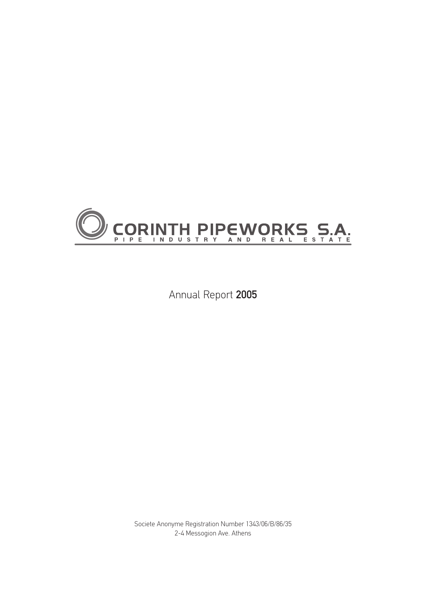

Annual Report 2005

Societe Anonyme Registration Number 1343/06/B/86/35 2-4 Messogion Ave. Athens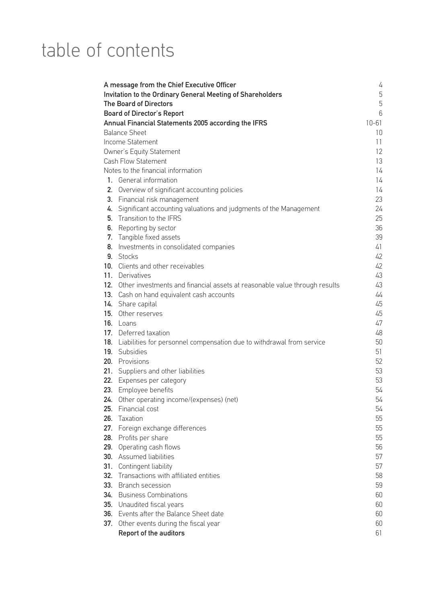# table of contents

|     | A message from the Chief Executive Officer                                     | 4         |
|-----|--------------------------------------------------------------------------------|-----------|
|     | Invitation to the Ordinary General Meeting of Shareholders                     | 5         |
|     | <b>The Board of Directors</b>                                                  | 5         |
|     | <b>Board of Director's Report</b>                                              | 6         |
|     | Annual Financial Statements 2005 according the IFRS                            | $10 - 61$ |
|     | <b>Balance Sheet</b>                                                           | 10        |
|     | Income Statement                                                               | 11        |
|     | Owner's Equity Statement                                                       | 12        |
|     | Cash Flow Statement                                                            | 13        |
|     | Notes to the financial information                                             | 14        |
|     | 1. General information                                                         | 14        |
|     | 2. Overview of significant accounting policies                                 | 14        |
|     | 3. Financial risk management                                                   | 23        |
|     | 4. Significant accounting valuations and judgments of the Management           | 24        |
|     | 5. Transition to the IFRS                                                      | 25        |
|     | 6. Reporting by sector                                                         | 36        |
|     | 7. Tangible fixed assets                                                       | 39        |
|     | 8. Investments in consolidated companies                                       | 41        |
|     | 9. Stocks                                                                      | 42        |
|     | 10. Clients and other receivables                                              | 42        |
|     | 11. Derivatives                                                                | 43        |
|     | 12. Other investments and financial assets at reasonable value through results | 43        |
|     | 13. Cash on hand equivalent cash accounts                                      | 44        |
|     | 14. Share capital                                                              | 45        |
|     | 15. Other reserves                                                             | 45        |
|     | 16. Loans                                                                      | 47        |
|     | 17. Deferred taxation                                                          | 48        |
|     | 18. Liabilities for personnel compensation due to withdrawal from service      | 50        |
|     | 19. Subsidies                                                                  | 51        |
|     | 20. Provisions                                                                 | 52        |
|     | 21. Suppliers and other liabilities                                            | 53        |
|     | 22. Expenses per category                                                      | 53        |
|     | 23. Employee benefits                                                          | 54        |
|     | 24. Other operating income/(expenses) (net)                                    | 54        |
|     | 25. Financial cost                                                             | 54        |
| 26. | Taxation                                                                       | 55        |
| 27. | Foreign exchange differences                                                   | 55        |
| 28. | Profits per share                                                              | 55        |
| 29. | Operating cash flows                                                           | 56        |
|     | <b>30.</b> Assumed liabilities                                                 | 57        |
|     | 31. Contingent liability                                                       | 57        |
| 32. | Transactions with affiliated entities                                          | 58        |
|     | 33. Branch secession                                                           | 59        |
|     | 34. Business Combinations                                                      | 60        |
|     | 35. Unaudited fiscal years                                                     | 60        |
|     | 36. Events after the Balance Sheet date                                        | 60        |
|     | 37. Other events during the fiscal year                                        | 60        |
|     | <b>Report of the auditors</b>                                                  | 61        |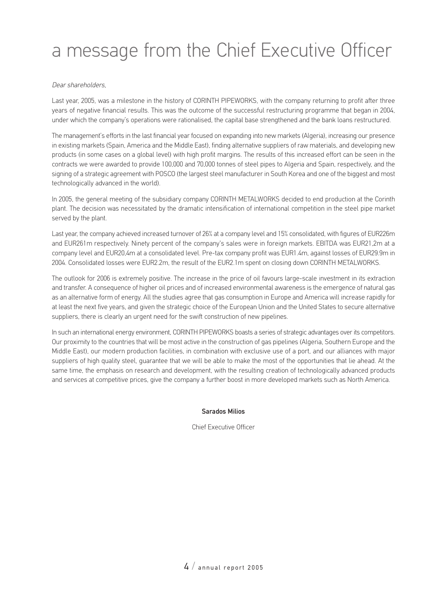# a message from the Chief Executive Officer

#### Dear shareholders,

Last year, 2005, was a milestone in the history of CORINTH PIPEWORKS, with the company returning to profit after three years of negative financial results. This was the outcome of the successful restructuring programme that began in 2004, under which the company's operations were rationalised, the capital base strengthened and the bank loans restructured.

The management's efforts in the last financial year focused on expanding into new markets (Algeria), increasing our presence in existing markets (Spain, America and the Middle East), finding alternative suppliers of raw materials, and developing new products (in some cases on a global level) with high profit margins. The results of this increased effort can be seen in the contracts we were awarded to provide 100,000 and 70,000 tonnes of steel pipes to Algeria and Spain, respectively, and the signing of a strategic agreement with POSCO (the largest steel manufacturer in South Korea and one of the biggest and most technologically advanced in the world).

In 2005, the general meeting of the subsidiary company CORINTH METALWORKS decided to end production at the Corinth plant. The decision was necessitated by the dramatic intensification of international competition in the steel pipe market served by the plant.

Last year, the company achieved increased turnover of 26% at a company level and 15% consolidated, with figures of EUR226m and EUR261m respectively. Ninety percent of the company's sales were in foreign markets. EBITDA was EUR21,2m at a company level and EUR20,4m at a consolidated level. Pre-tax company profit was EUR1.4m, against losses of EUR29.9m in 2004. Consolidated losses were EUR2.2m, the result of the EUR2.1m spent on closing down CORINTH METALWORKS.

The outlook for 2006 is extremely positive. The increase in the price of oil favours large-scale investment in its extraction and transfer. A consequence of higher oil prices and of increased environmental awareness is the emergence of natural gas as an alternative form of energy. All the studies agree that gas consumption in Europe and America will increase rapidly for at least the next five years, and given the strategic choice of the European Union and the United States to secure alternative suppliers, there is clearly an urgent need for the swift construction of new pipelines.

In such an international energy environment, CORINTH PIPEWORKS boasts a series of strategic advantages over its competitors. Our proximity to the countries that will be most active in the construction of gas pipelines (Algeria, Southern Europe and the Middle East), our modern production facilities, in combination with exclusive use of a port, and our alliances with major suppliers of high quality steel, guarantee that we will be able to make the most of the opportunities that lie ahead. At the same time, the emphasis on research and development, with the resulting creation of technologically advanced products and services at competitive prices, give the company a further boost in more developed markets such as North America.

#### Sarados Milios

Chief Executive Officer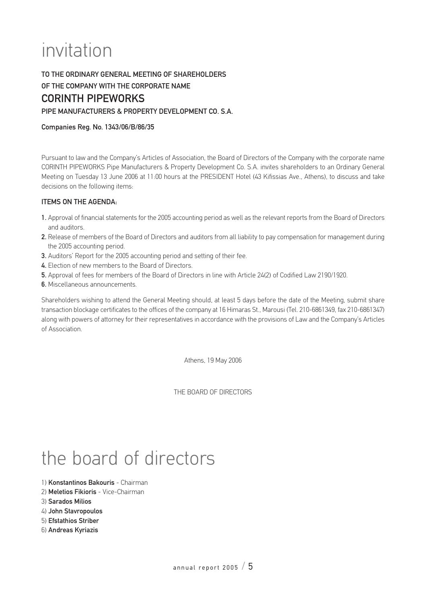# invitation

## TO THE ORDINARY GENERAL MEETING OF SHAREHOLDERS OF THE COMPANY WITH THE CORPORATE NAME CORINTH PIPEWORKS PIPE MANUFACTURERS & PROPERTY DEVELOPMENT CO. S.A.

#### Companies Reg. No. 1343/06/B/86/35

Pursuant to law and the Company's Articles of Association, the Board of Directors of the Company with the corporate name CORINTH PIPEWORKS Pipe Manufacturers & Property Development Co. S.A. invites shareholders to an Ordinary General Meeting on Tuesday 13 June 2006 at 11:00 hours at the PRESIDENT Hotel (43 Kifissias Ave., Athens), to discuss and take decisions on the following items:

#### ITEMS ON THE AGENDA:

- 1. Approval of financial statements for the 2005 accounting period as well as the relevant reports from the Board of Directors and auditors.
- 2. Release of members of the Board of Directors and auditors from all liability to pay compensation for management during the 2005 accounting period.
- 3. Auditors' Report for the 2005 accounting period and setting of their fee.
- 4. Election of new members to the Board of Directors.
- 5. Approval of fees for members of the Board of Directors in line with Article 24(2) of Codified Law 2190/1920.
- 6. Miscellaneous announcements.

Shareholders wishing to attend the General Meeting should, at least 5 days before the date of the Meeting, submit share transaction blockage certificates to the offices of the company at 16 Himaras St., Marousi (Tel. 210-6861349, fax 210-6861347) along with powers of attorney for their representatives in accordance with the provisions of Law and the Company's Articles of Association.

Athens, 19 May 2006

THE BOARD OF DIRECTORS

## the board of directors

- 1) Konstantinos Bakouris Chairman
- 2) Meletios Fikioris Vice-Chairman
- 3) Sarados Milios
- 4) John Stavropoulos
- 5) Efstathios Striber
- 6) Andreas Kyriazis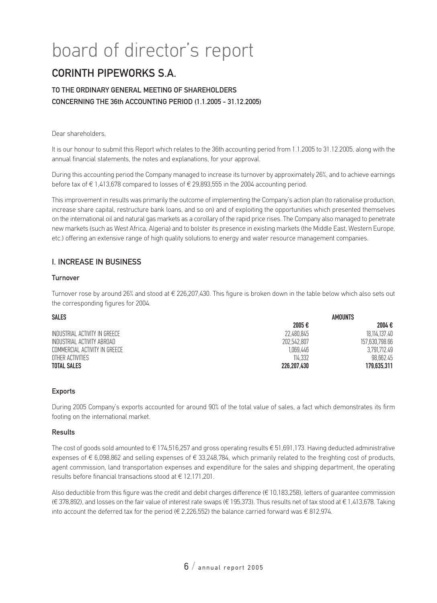# board of director's report

## CORINTH PIPEWORKS S.A.

### TO THE ORDINARY GENERAL MEETING OF SHAREHOLDERS CONCERNING THE 36th ACCOUNTING PERIOD (1.1.2005 - 31.12.2005)

Dear shareholders,

It is our honour to submit this Report which relates to the 36th accounting period from 1.1.2005 to 31.12.2005, along with the annual financial statements, the notes and explanations, for your approval.

During this accounting period the Company managed to increase its turnover by approximately 26%, and to achieve earnings before tax of  $\epsilon$  1,413,678 compared to losses of  $\epsilon$  29,893,555 in the 2004 accounting period.

This improvement in results was primarily the outcome of implementing the Company's action plan (to rationalise production, increase share capital, restructure bank loans, and so on) and of exploiting the opportunities which presented themselves on the international oil and natural gas markets as a corollary of the rapid price rises. The Company also managed to penetrate new markets (such as West Africa, Algeria) and to bolster its presence in existing markets (the Middle East, Western Europe, etc.) offering an extensive range of high quality solutions to energy and water resource management companies.

#### **I INCREASE IN BUSINESS**

#### Turnover

Turnover rose by around 26% and stood at € 226,207,430. This figure is broken down in the table below which also sets out the corresponding figures for 2004.

| <b>SALES</b>                  | AMOUNTS     |                |  |
|-------------------------------|-------------|----------------|--|
|                               | 2005€       | 2004€          |  |
| INDUSTRIAL ACTIVITY IN GREECE | 22.480.845  | 18.114.137.40  |  |
| INDUSTRIAL ACTIVITY ABROAD    | 202.542.807 | 157.630.798.66 |  |
| COMMERCIAL ACTIVITY IN GREECE | 1.069.446   | 3.791.712.49   |  |
| OTHER ACTIVITIES              | 114.332     | 98.662.45      |  |
| <b>TOTAL SALES</b>            | 226.207.430 | 179.635.311    |  |

#### Exports

During 2005 Company's exports accounted for around 90% of the total value of sales, a fact which demonstrates its firm footing on the international market.

#### Results

The cost of goods sold amounted to € 174,516,257 and gross operating results € 51,691,173. Having deducted administrative expenses of € 6,098,862 and selling expenses of € 33,248,784, which primarily related to the freighting cost of products, agent commission, land transportation expenses and expenditure for the sales and shipping department, the operating results before financial transactions stood at € 12,171,201.

Also deductible from this figure was the credit and debit charges difference (€ 10,183,258), letters of guarantee commission (€ 378,892), and losses on the fair value of interest rate swaps (€ 195,373). Thus results net of tax stood at € 1,413,678. Taking into account the deferred tax for the period (€ 2,226,552) the balance carried forward was € 812,974.

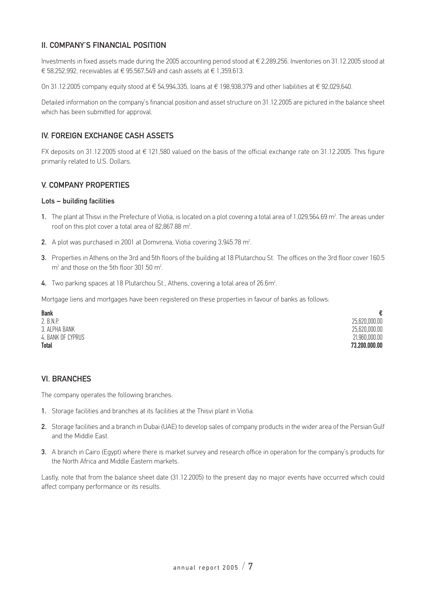#### II. COMPANY'S FINANCIAL POSITION

Investments in fixed assets made during the 2005 accounting period stood at € 2,289,256. Inventories on 31.12.2005 stood at € 58,252,992, receivables at € 95,567,549 and cash assets at € 1,359,613.

On 31.12.2005 company equity stood at € 54,994,335, loans at € 198,938,379 and other liabilities at € 92,029,640.

Detailed information on the company's financial position and asset structure on 31.12.2005 are pictured in the balance sheet which has been submitted for approval.

#### IV. FOREIGN EXCHANGE CASH ASSETS

FX deposits on 31.12.2005 stood at € 121,580 valued on the basis of the official exchange rate on 31.12.2005. This figure primarily related to U.S. Dollars.

#### V. COMPANY PROPERTIES

#### Lots – building facilities

- **1.** The plant at Thisvi in the Prefecture of Viotia, is located on a plot covering a total area of 1,029,564.69 m<sup>2</sup>. The areas under roof on this plot cover a total area of 82,867.88  $m^2$ .
- **2.** A plot was purchased in 2001 at Domvrena, Viotia covering 3,945.78 m<sup>2</sup>.
- 3. Properties in Athens on the 3rd and 5th floors of the building at 18 Plutarchou St. The offices on the 3rd floor cover 160.5  $\mathsf{m}^2$  and those on the 5th floor 301.50  $\mathsf{m}^2$ .
- **4.** Two parking spaces at 18 Plutarchou St., Athens, covering a total area of 26.6m<sup>2</sup>.

Mortgage liens and mortgages have been registered on these properties in favour of banks as follows:

| <b>Bank</b>       | €             |
|-------------------|---------------|
| 2. B.N.P.         | 25,620,000.00 |
| 3. ALPHA BANK     | 25,620,000.00 |
| 4. BANK OF CYPRUS | 21,960,000.00 |
| <b>Total</b>      | 73.200.000.00 |

#### VI. BRANCHES

The company operates the following branches:

- 1. Storage facilities and branches at its facilities at the Thisvi plant in Viotia.
- 2. Storage facilities and a branch in Dubai (UAE) to develop sales of company products in the wider area of the Persian Gulf and the Middle East.
- 3. A branch in Cairo (Egypt) where there is market survey and research office in operation for the company's products for the North Africa and Middle Eastern markets.

Lastly, note that from the balance sheet date (31.12.2005) to the present day no major events have occurred which could affect company performance or its results.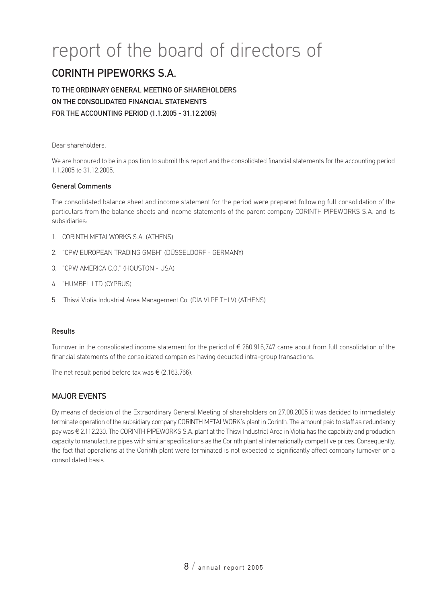# report of the board of directors of

## CORINTH PIPEWORKS S.A.

TO THE ORDINARY GENERAL MEETING OF SHAREHOLDERS ON THE CONSOLIDATED FINANCIAL STATEMENTS FOR THE ACCOUNTING PERIOD (1.1.2005 - 31.12.2005)

Dear shareholders,

We are honoured to be in a position to submit this report and the consolidated financial statements for the accounting period 1.1.2005 to 31.12.2005.

#### General Comments

The consolidated balance sheet and income statement for the period were prepared following full consolidation of the particulars from the balance sheets and income statements of the parent company CORINTH PIPEWORKS S.A. and its subsidiaries:

- 1. CORINTH METALWORKS S.A. (ATHENS)
- 2. "CPW EUROPEAN TRADING GMBH" (DÜSSELDORF GERMANY)
- 3. "CPW AMERICA C.O." (HOUSTON USA)
- 4. "HUMBEL LTD (CYPRUS)
- 5. 'Thisvi Viotia Industrial Area Management Co. (DIA.VI.PE.THI.V) (ATHENS)

#### Results

Turnover in the consolidated income statement for the period of € 260,916,747 came about from full consolidation of the financial statements of the consolidated companies having deducted intra-group transactions.

The net result period before tax was  $\epsilon$  (2,163,766).

#### MAJOR EVENTS

By means of decision of the Extraordinary General Meeting of shareholders on 27.08.2005 it was decided to immediately terminate operation of the subsidiary company CORINTH METALWORK's plant in Corinth. The amount paid to staff as redundancy pay was € 2,112,230. The CORINTH PIPEWORKS S.A. plant at the Thisvi Industrial Area in Viotia has the capability and production capacity to manufacture pipes with similar specifications as the Corinth plant at internationally competitive prices. Consequently, the fact that operations at the Corinth plant were terminated is not expected to significantly affect company turnover on a consolidated basis.

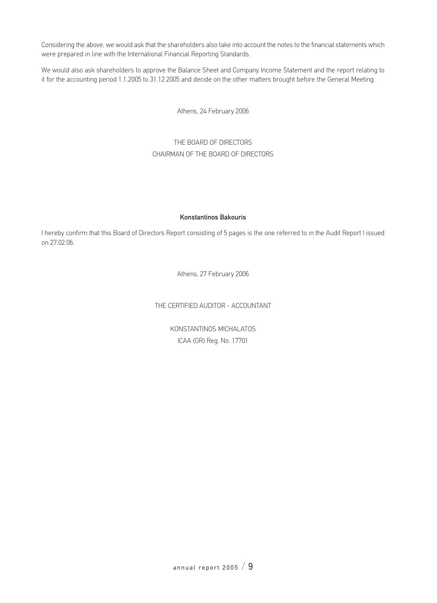Considering the above, we would ask that the shareholders also take into account the notes to the financial statements which were prepared in line with the International Financial Reporting Standards.

We would also ask shareholders to approve the Balance Sheet and Company Income Statement and the report relating to it for the accounting period 1.1.2005 to 31.12.2005 and decide on the other matters brought before the General Meeting.

Athens, 24 February 2006

### THE BOARD OF DIRECTORS CHAIRMAN OF THE BOARD OF DIRECTORS

#### Konstantinos Bakouris

I hereby confirm that this Board of Directors Report consisting of 5 pages is the one referred to in the Audit Report I issued on 27.02.06.

Athens, 27 February 2006

THE CERTIFIED AUDITOR - ACCOUNTANT

KONSTANTINOS MICHALATOS ICAA (GR) Reg. No. 17701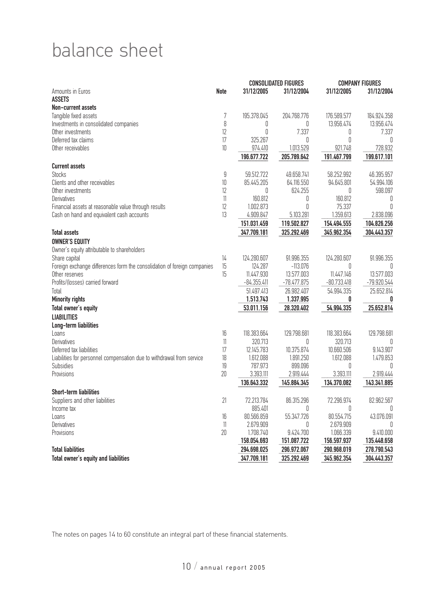# balance sheet

|                                                                          |             |               | <b>CONSOLIDATED FIGURES</b> |                 | <b>COMPANY FIGURES</b> |
|--------------------------------------------------------------------------|-------------|---------------|-----------------------------|-----------------|------------------------|
| Amounts in Euros                                                         | <b>Note</b> | 31/12/2005    | 31/12/2004                  | 31/12/2005      | 31/12/2004             |
| <b>ASSETS</b>                                                            |             |               |                             |                 |                        |
| Non-current assets                                                       |             |               |                             |                 |                        |
| Tangible fixed assets                                                    | 7           | 195.378.045   | 204.768.776                 | 176.589.577     | 184.924.358            |
| Investments in consolidated companies                                    | 8           | 0             | 0                           | 13.956.474      | 13.956.474             |
| Other investments                                                        | 12          | 0             | 7.337                       | 0               | 7.337                  |
| Deferred tax claims                                                      | 17          | 325.267       | 0                           | 0               | 0                      |
| Other receivables                                                        | $10\,$      | 974.410       | 1.013.529                   | 921.748         | 728.932                |
|                                                                          |             | 196.677.722   | 205.789.642                 | 191.467.799     | 199.617.101            |
| <b>Current assets</b>                                                    |             |               |                             |                 |                        |
| <b>Stocks</b>                                                            | 9           | 59.512.722    | 49.658.741                  | 58.252.992      | 46.395.957             |
| Clients and other receivables                                            | $10\,$      | 85.445.205    | 64.116.550                  | 94.645.801      | 54.994.106             |
| Other investments                                                        | 12          | 0             | 624.255                     | 0               | 598.097                |
| Derivatives                                                              | $11\,$      | 160.812       | 0                           | 160.812         | 0                      |
| Financial assets at reasonable value through results                     | 12          | 1.002.873     | 0                           | 75.337          | 0                      |
| Cash on hand and equivalent cash accounts                                | 13          | 4.909.847     | 5.103.281                   | 1.359.613       | 2.838.096              |
|                                                                          |             | 151.031.459   | 119.502.827                 | 154.494.555     | 104.826.256            |
| <b>Total assets</b>                                                      |             | 347.709.181   | 325.292.469                 | 345.962.354     | 304.443.357            |
| <b>OWNER'S EQUITY</b>                                                    |             |               |                             |                 |                        |
| Owner's equity attributable to shareholders                              |             |               |                             |                 |                        |
| Share capital                                                            | 14          | 124.280.607   | 91.996.355                  | 124.280.607     | 91.996.355             |
| Foreign exchange differences form the consolidation of foreign companies | 15          | 124.287       | $-113.076$                  | 0               | 0                      |
| Other reserves                                                           | 15          | 11.447.930    | 13.577.003                  | 11.447.146      | 13.577.003             |
| Profits/(losses) carried forward                                         |             | $-84.355.411$ | $-78.477.875$               | $-80.733.418$   | $-79.920.544$          |
| Total                                                                    |             | 51.497.413    | 26.982.407                  | 54.994.335      | 25.652.814             |
| <b>Minority rights</b>                                                   |             | 1.513.743     | 1.337.995                   | 0               | 0                      |
| Total owner's equity                                                     |             | 53.011.156    | 28.320.402                  | 54.994.335      | 25.652.814             |
| <b>LIABILITIES</b>                                                       |             |               |                             |                 |                        |
| Long-term liabilities                                                    |             |               |                             |                 |                        |
| Loans                                                                    | 16          | 118.383.664   | 129.798.681                 | 118.383.664     | 129.798.681            |
| Derivatives                                                              | 11          | 320.713       | 0                           | 320.713         | 0                      |
| Deferred tax liabilities                                                 | 17          | 12.145.783    | 10.375.874                  | 10.660.506      | 9.143.907              |
| Liabilities for personnel compensation due to withdrawal from service    | 18          | 1.612.088     | 1.891.250                   | 1.612.088       | 1.479.853              |
| Subsidies                                                                | 19          | 787.973       | 899.096                     | 0               | O                      |
| Provisions                                                               | 20          | 3.393.111     | 2.919.444                   | 3.393.111       | 2.919.444              |
|                                                                          |             | 136.643.332   | 145.884.345                 | 134.370.082     | 143.341.885            |
| <b>Short-term liabilities</b>                                            |             |               |                             |                 |                        |
|                                                                          | 21          | 72.213.784    | 86.315.296                  | 72.296.974      | 82.962.567             |
| Suppliers and other liabilities                                          |             | 885.401       |                             |                 | 0                      |
| Income tax                                                               | 16          | 80.566.859    | U<br>55.347.726             | U<br>80.554.715 | 43.076.091             |
| Loans<br>Derivatives                                                     | $11\,$      | 2.679.909     | 0                           | 2.679.909       | 0                      |
| Provisions                                                               | $20\,$      | 1.708.740     | 9.424.700                   | 1.066.339       | 9.410.000              |
|                                                                          |             | 158.054.693   | 151.087.722                 | 156.597.937     | 135.448.658            |
| <b>Total liabilities</b>                                                 |             | 294.698.025   | 296.972.067                 | 290.968.019     | 278.790.543            |
|                                                                          |             |               |                             |                 |                        |
| <b>Total owner's equity and liabilities</b>                              |             | 347.709.181   | 325.292.469                 | 345.962.354     | 304.443.357            |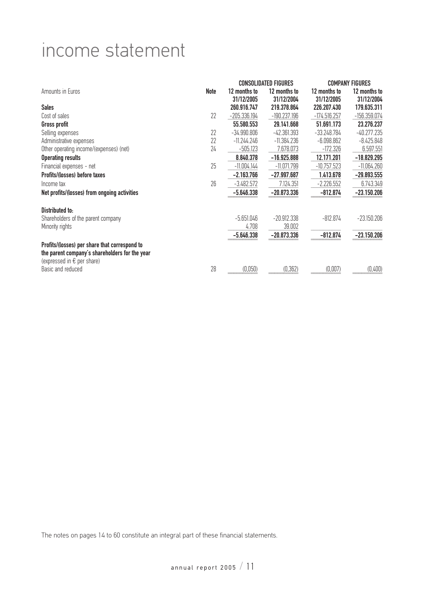## income statement

|                                                                                                                                        |      |                           | <b>CONSOLIDATED FIGURES</b> |                           | <b>COMPANY FIGURES</b>    |
|----------------------------------------------------------------------------------------------------------------------------------------|------|---------------------------|-----------------------------|---------------------------|---------------------------|
| Amounts in Euros                                                                                                                       | Note | 12 months to              | 12 months to                | 12 months to              | 12 months to              |
| <b>Sales</b>                                                                                                                           |      | 31/12/2005<br>260.916.747 | 31/12/2004<br>219.378.864   | 31/12/2005<br>226.207.430 | 31/12/2004<br>179.635.311 |
| Cost of sales                                                                                                                          | 22   | $-205.336.194$            | $-190.237.196$              | $-174.516.257$            | $-156.359.074$            |
| Gross profit                                                                                                                           |      | 55.580.553                | 29.141.668                  | 51.691.173                | 23.276.237                |
| Selling expenses                                                                                                                       | 22   | $-34.990.806$             | $-42.361.393$               | $-33.248.784$             | $-40.277.235$             |
| Administrative expenses                                                                                                                | 22   | $-11.244.246$             | $-11.384.236$               | $-6.098.862$              | $-8.425.848$              |
| Other operating income/(expenses) (net)                                                                                                | 24   | $-505.123$                | 7.678.073                   | $-172.326$                | 6.597.551                 |
| <b>Operating results</b>                                                                                                               |      | 8.840.378                 | $-16.925.888$               | 12.171.201                | $-18.829.295$             |
| Financial expenses - net                                                                                                               | 25   | $-11.004.144$             | $-11.071.799$               | $-10.757.523$             | $-11.064.260$             |
| Profits/(losses) before taxes                                                                                                          |      | $-2.163.766$              | $-27.997.687$               | 1.413.678                 | $-29.893.555$             |
| Income tax                                                                                                                             | 26   | $-3.482.572$              | 7.124.351                   | $-2.226.552$              | 6.743.349                 |
| Net profits/(losses) from ongoing activities                                                                                           |      | $-5.646.338$              | $-20.873.336$               | $-812.874$                | $-23.150.206$             |
| <b>Distributed to:</b>                                                                                                                 |      |                           |                             |                           |                           |
| Shareholders of the parent company                                                                                                     |      | $-5.651.046$              | $-20.912.338$               | $-812.874$                | $-23.150.206$             |
| Minority rights                                                                                                                        |      | 4.708                     | 39,002                      |                           |                           |
|                                                                                                                                        |      | $-5.646.338$              | $-20.873.336$               | $-812.874$                | $-23.150.206$             |
| Profits/(losses) per share that correspond to<br>the parent company's shareholders for the year<br>(expressed in $\epsilon$ per share) |      |                           |                             |                           |                           |
| Basic and reduced                                                                                                                      | 28   | (0,050)                   | (0, 362)                    | (0,007)                   | (0,400)                   |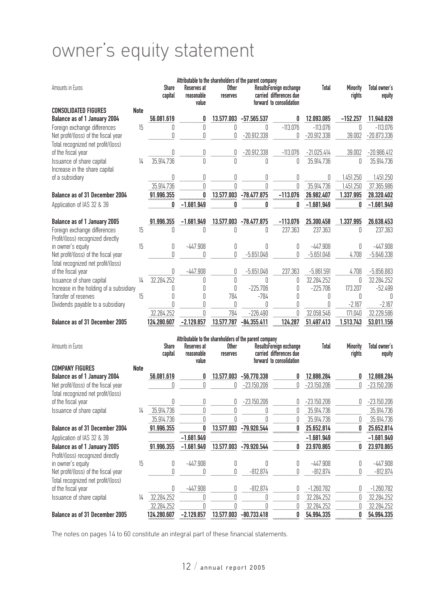# owner's equity statement

|                                                          |             |                         | Attributable to the shareholders of the parent company |                   |                             |                                                                                |                          |                           |                          |
|----------------------------------------------------------|-------------|-------------------------|--------------------------------------------------------|-------------------|-----------------------------|--------------------------------------------------------------------------------|--------------------------|---------------------------|--------------------------|
| Amounts in Euros                                         |             | <b>Share</b><br>capital | Reserves at<br>reasonable<br>value                     | Other<br>reserves |                             | ResultsForeign exchange<br>carried differences due<br>forward to consolidation | <b>Total</b>             | <b>Minority</b><br>rights | Total owner's<br>equity  |
| <b>CONSOLIDATED FIGURES</b>                              | <b>Note</b> |                         |                                                        |                   |                             |                                                                                |                          |                           |                          |
| Balance as of 1 January 2004                             |             | 56.081.619              | 0                                                      | 13.577.003        | $-57.565.537$               | 0                                                                              | 12.093.085               | $-152.257$                | 11.940.828               |
| Foreign exchange differences                             | 15          | 0                       | 0                                                      | 0                 | 0                           | $-113.076$                                                                     | $-113.076$               | 0                         | $-113.076$               |
| Net profit/(loss) of the fiscal year                     |             | 0                       | 0                                                      | 0                 | $-20.912.338$               | 0                                                                              | $-20.912.338$            | 39.002                    | $-20.873.336$            |
| Total recognized net profit/(loss)<br>of the fiscal year |             | Ŋ                       | 0                                                      | 0                 | $-20.912.338$               | $-113.076$                                                                     | $-21.025.414$            | 39.002                    | $-20.986.412$            |
| Issuance of share capital                                | 14          | 35.914.736              | 0                                                      | $\sqrt{ }$        | Ŋ                           | Ŋ                                                                              | 35.914.736               | 0                         | 35.914.736               |
| Increase in the share capital                            |             |                         |                                                        |                   |                             |                                                                                |                          |                           |                          |
| of a subsidiary                                          |             | 0                       | 0                                                      | 0                 | 0                           | 0                                                                              | 0                        | 1.451.250                 | 1.451.250                |
|                                                          |             | 35.914.736              | 0                                                      | 0                 | Ŋ                           | 0                                                                              | 35.914.736               | 1.451.250                 | 37.365.986               |
| Balance as of 31 December 2004                           |             | 91.996.355              | 0                                                      | 13.577.003        | $-78.477.875$               | $-113.076$                                                                     | 26.982.407               | 1.337.995                 | 28.320.402               |
| Application of IAS 32 & 39                               |             | 0                       | $-1.681.949$                                           | 0                 | 0                           | 0                                                                              | $-1.681.949$             | 0                         | $-1.681.949$             |
| Balance as of 1 January 2005                             |             | 91.996.355              | $-1.681.949$                                           | 13.577.003        | $-78.477.875$               | $-113.076$                                                                     | 25.300.458               | 1.337.995                 | 26.638.453               |
| Foreign exchange differences                             | 15          | 0                       | 0                                                      | 0                 | Ŋ                           | 237.363                                                                        | 237.363                  | 0                         | 237.363                  |
| Profit/(loss) recognized directly                        |             |                         |                                                        |                   |                             |                                                                                |                          |                           |                          |
| in owner's equity                                        | 15          | 0                       | $-447.908$                                             | 0                 | 0                           | 0                                                                              | $-447.908$               | 0                         | $-447.908$               |
| Net profit/(loss) of the fiscal year                     |             | 0                       | 0                                                      | 0                 | $-5.651.046$                | 0                                                                              | $-5.651.046$             | 4.708                     | $-5.646.338$             |
| Total recognized net profit/(loss)                       |             |                         |                                                        |                   |                             |                                                                                |                          |                           |                          |
| of the fiscal year                                       |             | 0                       | $-447.908$                                             | $\mathbb 0$       | $-5.651.046$                | 237.363                                                                        | $-5.861.591$             | 4.708                     | $-5.856.883$             |
| Issuance of share capital                                | 14          | 32.284.252              | 0                                                      | $\mathbb 0$       | 0                           | 0                                                                              | 32.284.252               | 0                         | 32.284.252               |
| Increase in the holding of a subsidiary                  |             | O                       | 0                                                      | 0                 | $-225.706$                  | 0                                                                              | $-225.706$               | 173.207                   | $-52.499$                |
| Transfer of reserves                                     | 15          | 0<br>0                  | 0                                                      | 784               | $-784$                      | 0                                                                              | 0                        | 0                         | 0                        |
| Dividends payable to a subsidiary                        |             | 32.284.252              | 0<br>$\mathbb 0$                                       | 0<br>784          | 0                           | 0<br>0                                                                         | $\mathbb 0$              | $-2.167$                  | $-2.167$                 |
| Balance as of 31 December 2005                           |             | 124.280.607             | $-2.129.857$                                           | 13.577.787        | $-226.490$<br>$-84.355.411$ | 124.287                                                                        | 32.058.546<br>51.497.413 | 171.040<br>1.513.743      | 32.229.586<br>53.011.156 |
|                                                          |             |                         |                                                        |                   |                             |                                                                                |                          |                           |                          |
|                                                          |             |                         | Attributable to the shareholders of the parent company |                   |                             |                                                                                |                          |                           |                          |
| Amounts in Euros                                         |             | <b>Share</b><br>capital | Reserves at<br>reasonable<br>value                     | Other<br>reserves |                             | ResultsForeign exchange<br>carried differences due<br>forward to consolidation | Total                    | <b>Minority</b><br>rights | Total owner's<br>equity  |
| <b>COMPANY FIGURES</b>                                   | <b>Note</b> |                         |                                                        |                   |                             |                                                                                |                          |                           |                          |
| Balance as of 1 January 2004                             |             | 56.081.619              | 0                                                      | 13.577.003        | $-56.770.338$               |                                                                                | 12.888.284               | 0                         | 12.888.284               |
| Net profit/(loss) of the fiscal year                     |             | 0                       | 0                                                      | 0                 | $-23.150.206$               | 0                                                                              | $-23.150.206$            | 0                         | $-23.150.206$            |
| Total recognized net profit/(loss)                       |             |                         |                                                        |                   |                             |                                                                                |                          |                           |                          |
| of the fiscal year                                       |             | 0                       | 0                                                      | 0                 | $-23.150.206$               | 0                                                                              | $-23.150.206$            | 0                         | $-23.150.206$            |
| Issuance of share capital                                | 14          | 35.914.736              | 0                                                      | $\mathbb 0$       | 0                           | 0                                                                              | 35.914.736               |                           | 35.914.736               |
|                                                          |             | 35.914.736              | Ŋ                                                      | 0                 |                             | 0                                                                              | 35.914.736               | 0                         | 35.914.736               |
| Balance as of 31 December 2004                           |             | 91.996.355              | 0                                                      | 13.577.003        | $-79.920.544$               | 0                                                                              | 25.652.814               | 0                         | 25.652.814               |
| Application of IAS 32 & 39                               |             |                         | $-1.681.949$                                           |                   |                             |                                                                                | $-1.681.949$             |                           | $-1.681.949$             |
| Balance as of 1 January 2005                             |             | 91.996.355              | $-1.681.949$                                           | 13.577.003        | $-79.920.544$               | 0                                                                              | 23.970.865               | 0                         | 23.970.865               |
| Profit/(loss) recognized directly                        |             |                         |                                                        |                   |                             |                                                                                |                          |                           |                          |
| in owner's equity                                        | 15          | $\mathbb 0$             | $-447.908$                                             | $\mathbb 0$       | 0                           | $\mathbb 0$                                                                    | $-447.908$               | 0                         | $-447.908$               |
| Net profit/(loss) of the fiscal year                     |             | $\mathbb 0$             | 0                                                      | $\mathbb 0$       | $-812.874$                  | 0                                                                              | $-812.874$               | 0                         | $-812.874$               |
| Total recognized net profit/(loss)<br>of the fiscal year |             | 0                       | $-447.908$                                             | $\mathbb 0$       | $-812.874$                  | 0                                                                              | $-1.260.782$             | 0                         | $-1.260.782$             |
| Issuance of share capital                                | 14          | 32.284.252              | 0                                                      | $\mathbb 0$       | O                           | 0                                                                              | 32.284.252               | $\mathbf 0$               | 32.284.252               |
|                                                          |             | 32.284.252              | 0                                                      | $\mathbb 0$       | N                           | 0                                                                              | 32.284.252               | $\mathbb 0$               | 32.284.252               |
| Balance as of 31 December 2005                           |             | 124.280.607             | $-2.129.857$                                           | 13.577.003        | $-80.733.418$               | 0                                                                              | 54.994.335               | 0                         | 54.994.335               |
|                                                          |             |                         |                                                        |                   |                             |                                                                                |                          |                           |                          |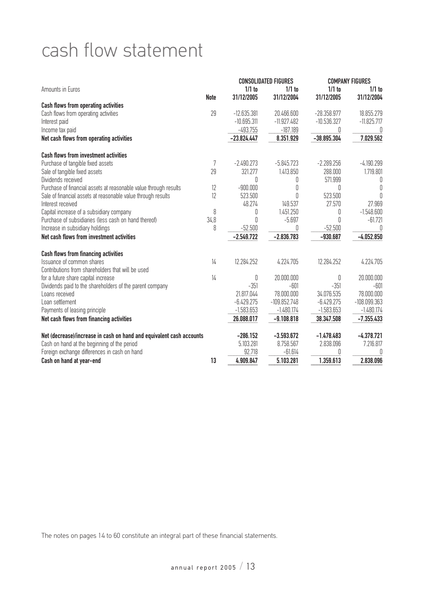## cash flow statement

|                                                                      |             |               | <b>CONSOLIDATED FIGURES</b> |               | <b>COMPANY FIGURES</b> |
|----------------------------------------------------------------------|-------------|---------------|-----------------------------|---------------|------------------------|
| Amounts in Euros                                                     |             | $1/1$ to      | $1/1$ to                    | $1/1$ to      | $1/1$ to               |
|                                                                      | <b>Note</b> | 31/12/2005    | 31/12/2004                  | 31/12/2005    | 31/12/2004             |
| Cash flows from operating activities                                 |             |               |                             |               |                        |
| Cash flows from operating activities                                 | 29          | $-12.635.381$ | 20.466.600                  | $-28.358.977$ | 18.855.279             |
| Interest paid                                                        |             | $-10.695.311$ | $-11.927.482$               | $-10.536.327$ | $-11.825.717$          |
| Income tax paid                                                      |             | $-493.755$    | $-187.189$                  | 0             | 0                      |
| Net cash flows from operating activities                             |             | -23.824.447   | 8.351.929                   | $-38.895.304$ | 7.029.562              |
| <b>Cash flows from investment activities</b>                         |             |               |                             |               |                        |
| Purchase of tangible fixed assets                                    | 7           | $-2.490.273$  | $-5.845.723$                | $-2.289.256$  | $-4.190.299$           |
| Sale of tangible fixed assets                                        | 29          | 321.277       | 1.413.850                   | 288.000       | 1.719.801              |
| Dividends received                                                   |             | 0             | 0                           | 571.999       | 0                      |
| Purchase of financial assets at reasonable value through results     | 12          | $-900.000$    | 0                           | 0             | 0                      |
| Sale of financial assets at reasonable value through results         | 12          | 523.500       | Ŋ                           | 523.500       | 0                      |
| Interest received                                                    |             | 48.274        | 149.537                     | 27.570        | 27.969                 |
| Capital increase of a subsidiary company                             | 8           | 0             | 1.451.250                   | 0             | $-1.548.600$           |
| Purchase of subsidiaries (less cash on hand thereof)                 | 34,8        | 0             | $-5.697$                    | $\sqrt{ }$    | $-61.721$              |
| Increase in subsidiary holdings                                      | 8           | $-52.500$     |                             | $-52.500$     | n                      |
| Net cash flows from investment activities                            |             | $-2.549.722$  | $-2.836.783$                | $-930.687$    | $-4.052.850$           |
| <b>Cash flows from financing activities</b>                          |             |               |                             |               |                        |
| Issuance of common shares                                            | 14          | 12.284.252    | 4.224.705                   | 12.284.252    | 4.224.705              |
| Contributions from shareholders that will be used                    |             |               |                             |               |                        |
| for a future share capital increase                                  | 14          | 0             | 20.000.000                  | 0             | 20.000.000             |
| Dividends paid to the shareholders of the parent company             |             | $-351$        | $-601$                      | $-351$        | $-601$                 |
| Loans received                                                       |             | 21.817.044    | 78.000.000                  | 34.076.535    | 78.000.000             |
| Loan settlement                                                      |             | $-6.429.275$  | $-109.852.748$              | $-6.429.275$  | $-108.099.363$         |
| Payments of leasing principle                                        |             | $-1.583.653$  | $-1.480.174$                | $-1.583.653$  | $-1.480.174$           |
| Net cash flows from financing activities                             |             | 26.088.017    | $-9.108.818$                | 38.347.508    | $-7.355.433$           |
|                                                                      |             |               |                             |               |                        |
| Net (decrease)/increase in cash on hand and equivalent cash accounts |             | $-286.152$    | $-3.593.672$                | $-1.478.483$  | $-4.378.721$           |
| Cash on hand at the beginning of the period                          |             | 5.103.281     | 8.758.567                   | 2.838.096     | 7.216.817              |
| Foreign exchange differences in cash on hand                         |             | 92.718        | $-61.614$                   | 0             |                        |
| Cash on hand at year-end                                             | 13          | 4.909.847     | 5.103.281                   | 1.359.613     | 2.838.096              |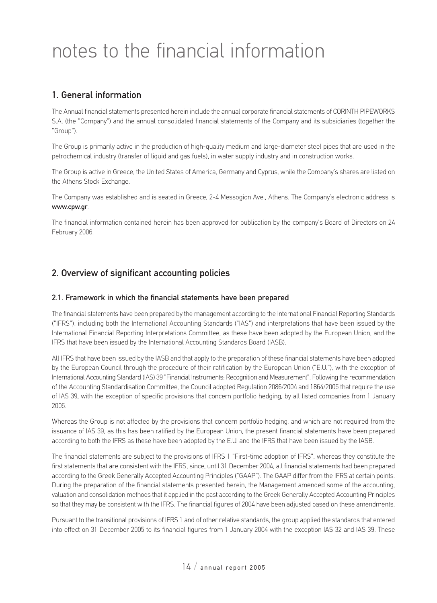# notes to the financial information

## 1. General information

The Annual financial statements presented herein include the annual corporate financial statements of CORINTH PIPEWORKS S.A. (the "Company") and the annual consolidated financial statements of the Company and its subsidiaries (together the "Group").

The Group is primarily active in the production of high-quality medium and large-diameter steel pipes that are used in the petrochemical industry (transfer of liquid and gas fuels), in water supply industry and in construction works.

The Group is active in Greece, the United States of America, Germany and Cyprus, while the Company's shares are listed on the Athens Stock Exchange.

The Company was established and is seated in Greece, 2-4 Messogion Ave., Athens. The Company's electronic address is www.cpw.gr.

The financial information contained herein has been approved for publication by the company's Board of Directors on 24 February 2006.

## 2. Overview of significant accounting policies

#### 2.1. Framework in which the financial statements have been prepared

The financial statements have been prepared by the management according to the International Financial Reporting Standards ("IFRS"), including both the International Accounting Standards ("IAS") and interpretations that have been issued by the International Financial Reporting Interpretations Committee, as these have been adopted by the European Union, and the IFRS that have been issued by the International Accounting Standards Board (IASB).

All IFRS that have been issued by the IASB and that apply to the preparation of these financial statements have been adopted by the European Council through the procedure of their ratification by the European Union ("E.U."), with the exception of International Accounting Standard (IAS) 39 "Financial Instruments: Recognition and Measurement". Following the recommendation of the Accounting Standardisation Committee, the Council adopted Regulation 2086/2004 and 1864/2005 that require the use of IAS 39, with the exception of specific provisions that concern portfolio hedging, by all listed companies from 1 January 2005.

Whereas the Group is not affected by the provisions that concern portfolio hedging, and which are not required from the issuance of IAS 39, as this has been ratified by the European Union, the present financial statements have been prepared according to both the IFRS as these have been adopted by the E.U. and the IFRS that have been issued by the IASB.

The financial statements are subject to the provisions of IFRS 1 "First-time adoption of IFRS", whereas they constitute the first statements that are consistent with the IFRS, since, until 31 December 2004, all financial statements had been prepared according to the Greek Generally Accepted Accounting Principles ("GAAP"). The GAAP differ from the IFRS at certain points. During the preparation of the financial statements presented herein, the Management amended some of the accounting, valuation and consolidation methods that it applied in the past according to the Greek Generally Accepted Accounting Principles so that they may be consistent with the IFRS. The financial figures of 2004 have been adjusted based on these amendments.

Pursuant to the transitional provisions of IFRS 1 and of other relative standards, the group applied the standards that entered into effect on 31 December 2005 to its financial figures from 1 January 2004 with the exception IAS 32 and IAS 39. These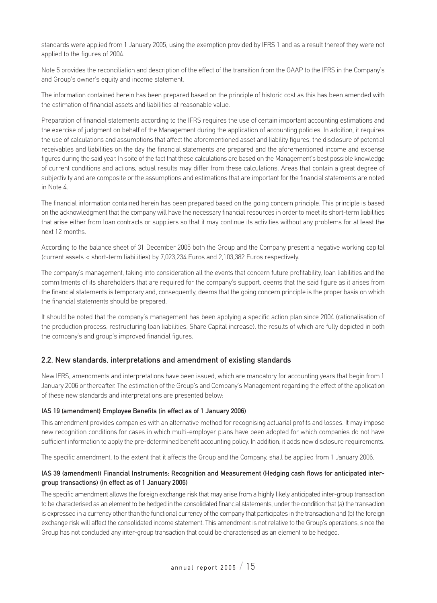standards were applied from 1 January 2005, using the exemption provided by IFRS 1 and as a result thereof they were not applied to the figures of 2004.

Note 5 provides the reconciliation and description of the effect of the transition from the GAAP to the IFRS in the Company's and Group's owner's equity and income statement.

The information contained herein has been prepared based on the principle of historic cost as this has been amended with the estimation of financial assets and liabilities at reasonable value.

Preparation of financial statements according to the IFRS requires the use of certain important accounting estimations and the exercise of judgment on behalf of the Management during the application of accounting policies. In addition, it requires the use of calculations and assumptions that affect the aforementioned asset and liability figures, the disclosure of potential receivables and liabilities on the day the financial statements are prepared and the aforementioned income and expense figures during the said year. In spite of the fact that these calculations are based on the Management's best possible knowledge of current conditions and actions, actual results may differ from these calculations. Areas that contain a great degree of subjectivity and are composite or the assumptions and estimations that are important for the financial statements are noted in Note 4.

The financial information contained herein has been prepared based on the going concern principle. This principle is based on the acknowledgment that the company will have the necessary financial resources in order to meet its short-term liabilities that arise either from loan contracts or suppliers so that it may continue its activities without any problems for at least the next 12 months.

According to the balance sheet of 31 December 2005 both the Group and the Company present a negative working capital (current assets < short-term liabilities) by 7,023,234 Euros and 2,103,382 Euros respectively.

The company's management, taking into consideration all the events that concern future profitability, loan liabilities and the commitments of its shareholders that are required for the company's support, deems that the said figure as it arises from the financial statements is temporary and, consequently, deems that the going concern principle is the proper basis on which the financial statements should be prepared.

It should be noted that the company's management has been applying a specific action plan since 2004 (rationalisation of the production process, restructuring loan liabilities, Share Capital increase), the results of which are fully depicted in both the company's and group's improved financial figures.

#### 2.2. New standards, interpretations and amendment of existing standards

New IFRS, amendments and interpretations have been issued, which are mandatory for accounting years that begin from 1 January 2006 or thereafter. The estimation of the Group's and Company's Management regarding the effect of the application of these new standards and interpretations are presented below:

#### IAS 19 (amendment) Employee Benefits (in effect as of 1 January 2006)

This amendment provides companies with an alternative method for recognising actuarial profits and losses. It may impose new recognition conditions for cases in which multi-employer plans have been adopted for which companies do not have sufficient information to apply the pre-determined benefit accounting policy. In addition, it adds new disclosure requirements.

The specific amendment, to the extent that it affects the Group and the Company, shall be applied from 1 January 2006.

#### IAS 39 (amendment) Financial Instruments: Recognition and Measurement (Hedging cash flows for anticipated intergroup transactions) (in effect as of 1 January 2006)

The specific amendment allows the foreign exchange risk that may arise from a highly likely anticipated inter-group transaction to be characterised as an element to be hedged in the consolidated financial statements, under the condition that (a) the transaction is expressed in a currency other than the functional currency of the company that participates in the transaction and (b) the foreign exchange risk will affect the consolidated income statement. This amendment is not relative to the Group's operations, since the Group has not concluded any inter-group transaction that could be characterised as an element to be hedged.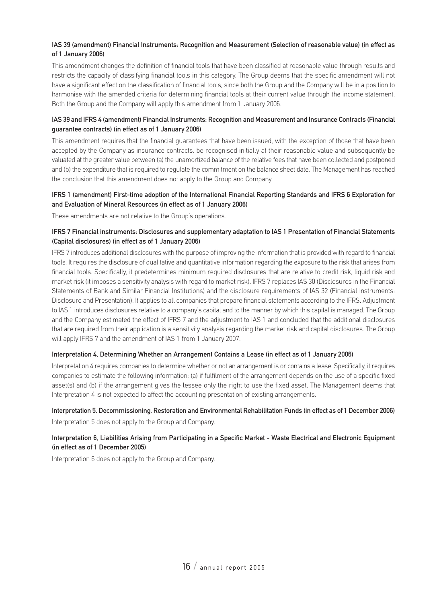#### IAS 39 (amendment) Financial Instruments: Recognition and Measurement (Selection of reasonable value) (in effect as of 1 January 2006)

This amendment changes the definition of financial tools that have been classified at reasonable value through results and restricts the capacity of classifying financial tools in this category. The Group deems that the specific amendment will not have a significant effect on the classification of financial tools, since both the Group and the Company will be in a position to harmonise with the amended criteria for determining financial tools at their current value through the income statement. Both the Group and the Company will apply this amendment from 1 January 2006.

#### IAS 39 and IFRS 4 (amendment) Financial Instruments: Recognition and Measurement and Insurance Contracts (Financial guarantee contracts) (in effect as of 1 January 2006)

This amendment requires that the financial guarantees that have been issued, with the exception of those that have been accepted by the Company as insurance contracts, be recognised initially at their reasonable value and subsequently be valuated at the greater value between (a) the unamortized balance of the relative fees that have been collected and postponed and (b) the expenditure that is required to regulate the commitment on the balance sheet date. The Management has reached the conclusion that this amendment does not apply to the Group and Company.

#### IFRS 1 (amendment) First-time adoption of the International Financial Reporting Standards and IFRS 6 Exploration for and Evaluation of Mineral Resources (in effect as of 1 January 2006)

These amendments are not relative to the Group's operations.

#### IFRS 7 Financial instruments: Disclosures and supplementary adaptation to IAS 1 Presentation of Financial Statements (Capital disclosures) (in effect as of 1 January 2006)

IFRS 7 introduces additional disclosures with the purpose of improving the information that is provided with regard to financial tools. It requires the disclosure of qualitative and quantitative information regarding the exposure to the risk that arises from financial tools. Specifically, it predetermines minimum required disclosures that are relative to credit risk, liquid risk and market risk (it imposes a sensitivity analysis with regard to market risk). IFRS 7 replaces IAS 30 (Disclosures in the Financial Statements of Bank and Similar Financial Institutions) and the disclosure requirements of IAS 32 (Financial Instruments: Disclosure and Presentation). It applies to all companies that prepare financial statements according to the IFRS. Adjustment to IAS 1 introduces disclosures relative to a company's capital and to the manner by which this capital is managed. The Group and the Company estimated the effect of IFRS 7 and the adjustment to IAS 1 and concluded that the additional disclosures that are required from their application is a sensitivity analysis regarding the market risk and capital disclosures. The Group will apply IFRS 7 and the amendment of IAS 1 from 1 January 2007.

#### Interpretation 4, Determining Whether an Arrangement Contains a Lease (in effect as of 1 January 2006)

Interpretation 4 requires companies to determine whether or not an arrangement is or contains a lease. Specifically, it requires companies to estimate the following information: (a) if fulfilment of the arrangement depends on the use of a specific fixed asset(s) and (b) if the arrangement gives the lessee only the right to use the fixed asset. The Management deems that Interpretation 4 is not expected to affect the accounting presentation of existing arrangements.

#### Interpretation 5, Decommissioning, Restoration and Environmental Rehabilitation Funds (in effect as of 1 December 2006)

Interpretation 5 does not apply to the Group and Company.

#### Interpretation 6, Liabilities Arising from Participating in a Specific Market - Waste Electrical and Electronic Equipment (in effect as of 1 December 2005)

Interpretation 6 does not apply to the Group and Company.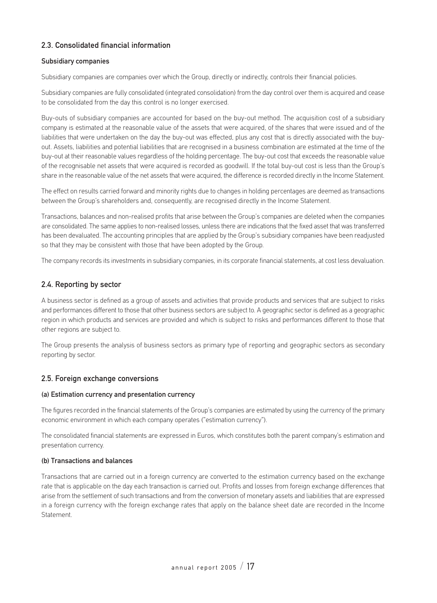#### 2.3. Consolidated financial information

#### Subsidiary companies

Subsidiary companies are companies over which the Group, directly or indirectly, controls their financial policies.

Subsidiary companies are fully consolidated (integrated consolidation) from the day control over them is acquired and cease to be consolidated from the day this control is no longer exercised.

Buy-outs of subsidiary companies are accounted for based on the buy-out method. The acquisition cost of a subsidiary company is estimated at the reasonable value of the assets that were acquired, of the shares that were issued and of the liabilities that were undertaken on the day the buy-out was effected, plus any cost that is directly associated with the buyout. Assets, liabilities and potential liabilities that are recognised in a business combination are estimated at the time of the buy-out at their reasonable values regardless of the holding percentage. The buy-out cost that exceeds the reasonable value of the recognisable net assets that were acquired is recorded as goodwill. If the total buy-out cost is less than the Group's share in the reasonable value of the net assets that were acquired, the difference is recorded directly in the Income Statement.

The effect on results carried forward and minority rights due to changes in holding percentages are deemed as transactions between the Group's shareholders and, consequently, are recognised directly in the Income Statement.

Transactions, balances and non-realised profits that arise between the Group's companies are deleted when the companies are consolidated. The same applies to non-realised losses, unless there are indications that the fixed asset that was transferred has been devaluated. The accounting principles that are applied by the Group's subsidiary companies have been readjusted so that they may be consistent with those that have been adopted by the Group.

The company records its investments in subsidiary companies, in its corporate financial statements, at cost less devaluation.

#### 2.4. Reporting by sector

A business sector is defined as a group of assets and activities that provide products and services that are subject to risks and performances different to those that other business sectors are subject to. A geographic sector is defined as a geographic region in which products and services are provided and which is subject to risks and performances different to those that other regions are subject to.

The Group presents the analysis of business sectors as primary type of reporting and geographic sectors as secondary reporting by sector.

#### 2.5. Foreign exchange conversions

#### (a) Estimation currency and presentation currency

The figures recorded in the financial statements of the Group's companies are estimated by using the currency of the primary economic environment in which each company operates ("estimation currency").

The consolidated financial statements are expressed in Euros, which constitutes both the parent company's estimation and presentation currency.

#### (b) Transactions and balances

Transactions that are carried out in a foreign currency are converted to the estimation currency based on the exchange rate that is applicable on the day each transaction is carried out. Profits and losses from foreign exchange differences that arise from the settlement of such transactions and from the conversion of monetary assets and liabilities that are expressed in a foreign currency with the foreign exchange rates that apply on the balance sheet date are recorded in the Income Statement.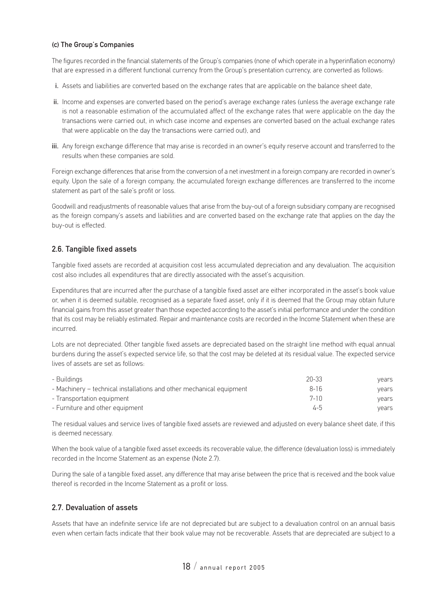#### (c) The Group's Companies

The figures recorded in the financial statements of the Group's companies (none of which operate in a hyperinflation economy) that are expressed in a different functional currency from the Group's presentation currency, are converted as follows:

- i. Assets and liabilities are converted based on the exchange rates that are applicable on the balance sheet date,
- ii. Income and expenses are converted based on the period's average exchange rates (unless the average exchange rate is not a reasonable estimation of the accumulated affect of the exchange rates that were applicable on the day the transactions were carried out, in which case income and expenses are converted based on the actual exchange rates that were applicable on the day the transactions were carried out), and
- iii. Any foreign exchange difference that may arise is recorded in an owner's equity reserve account and transferred to the results when these companies are sold.

Foreign exchange differences that arise from the conversion of a net investment in a foreign company are recorded in owner's equity. Upon the sale of a foreign company, the accumulated foreign exchange differences are transferred to the income statement as part of the sale's profit or loss.

Goodwill and readjustments of reasonable values that arise from the buy-out of a foreign subsidiary company are recognised as the foreign company's assets and liabilities and are converted based on the exchange rate that applies on the day the buy-out is effected.

#### 2.6. Tangible fixed assets

Tangible fixed assets are recorded at acquisition cost less accumulated depreciation and any devaluation. The acquisition cost also includes all expenditures that are directly associated with the asset's acquisition.

Expenditures that are incurred after the purchase of a tangible fixed asset are either incorporated in the asset's book value or, when it is deemed suitable, recognised as a separate fixed asset, only if it is deemed that the Group may obtain future financial gains from this asset greater than those expected according to the asset's initial performance and under the condition that its cost may be reliably estimated. Repair and maintenance costs are recorded in the Income Statement when these are incurred.

Lots are not depreciated. Other tangible fixed assets are depreciated based on the straight line method with equal annual burdens during the asset's expected service life, so that the cost may be deleted at its residual value. The expected service lives of assets are set as follows:

| - Buildings                                                          | $20 - 33$ | vears |
|----------------------------------------------------------------------|-----------|-------|
| - Machinery – technical installations and other mechanical equipment | $8 - 16$  | vears |
| - Transportation equipment                                           | $7 - 10$  | vears |
| - Furniture and other equipment                                      | $4 - 5$   | vears |

The residual values and service lives of tangible fixed assets are reviewed and adjusted on every balance sheet date, if this is deemed necessary.

When the book value of a tangible fixed asset exceeds its recoverable value, the difference (devaluation loss) is immediately recorded in the Income Statement as an expense (Note 2.7).

During the sale of a tangible fixed asset, any difference that may arise between the price that is received and the book value thereof is recorded in the Income Statement as a profit or loss.

#### 2.7. Devaluation of assets

Assets that have an indefinite service life are not depreciated but are subject to a devaluation control on an annual basis even when certain facts indicate that their book value may not be recoverable. Assets that are depreciated are subject to a

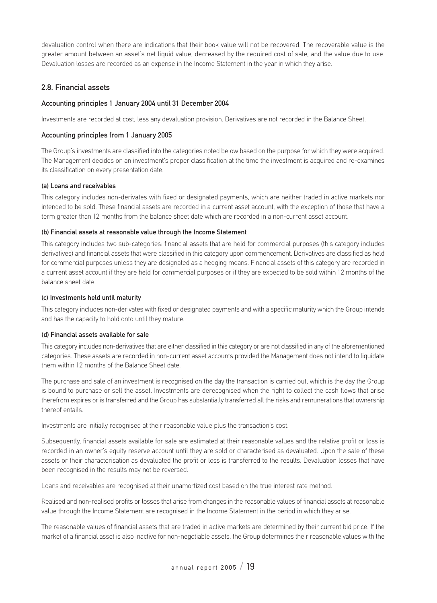devaluation control when there are indications that their book value will not be recovered. The recoverable value is the greater amount between an asset's net liquid value, decreased by the required cost of sale, and the value due to use. Devaluation losses are recorded as an expense in the Income Statement in the year in which they arise.

#### 2.8. Financial assets

#### Accounting principles 1 January 2004 until 31 December 2004

Investments are recorded at cost, less any devaluation provision. Derivatives are not recorded in the Balance Sheet.

#### Accounting principles from 1 January 2005

The Group's investments are classified into the categories noted below based on the purpose for which they were acquired. The Management decides on an investment's proper classification at the time the investment is acquired and re-examines its classification on every presentation date.

#### (a) Loans and receivables

This category includes non-derivates with fixed or designated payments, which are neither traded in active markets nor intended to be sold. These financial assets are recorded in a current asset account, with the exception of those that have a term greater than 12 months from the balance sheet date which are recorded in a non-current asset account.

#### (b) Financial assets at reasonable value through the Income Statement

This category includes two sub-categories: financial assets that are held for commercial purposes (this category includes derivatives) and financial assets that were classified in this category upon commencement. Derivatives are classified as held for commercial purposes unless they are designated as a hedging means. Financial assets of this category are recorded in a current asset account if they are held for commercial purposes or if they are expected to be sold within 12 months of the balance sheet date.

#### (c) Investments held until maturity

This category includes non-derivates with fixed or designated payments and with a specific maturity which the Group intends and has the capacity to hold onto until they mature.

#### (d) Financial assets available for sale

This category includes non-derivatives that are either classified in this category or are not classified in any of the aforementioned categories. These assets are recorded in non-current asset accounts provided the Management does not intend to liquidate them within 12 months of the Balance Sheet date.

The purchase and sale of an investment is recognised on the day the transaction is carried out, which is the day the Group is bound to purchase or sell the asset. Investments are derecognised when the right to collect the cash flows that arise therefrom expires or is transferred and the Group has substantially transferred all the risks and remunerations that ownership thereof entails.

Investments are initially recognised at their reasonable value plus the transaction's cost.

Subsequently, financial assets available for sale are estimated at their reasonable values and the relative profit or loss is recorded in an owner's equity reserve account until they are sold or characterised as devaluated. Upon the sale of these assets or their characterisation as devaluated the profit or loss is transferred to the results. Devaluation losses that have been recognised in the results may not be reversed.

Loans and receivables are recognised at their unamortized cost based on the true interest rate method.

Realised and non-realised profits or losses that arise from changes in the reasonable values of financial assets at reasonable value through the Income Statement are recognised in the Income Statement in the period in which they arise.

The reasonable values of financial assets that are traded in active markets are determined by their current bid price. If the market of a financial asset is also inactive for non-negotiable assets, the Group determines their reasonable values with the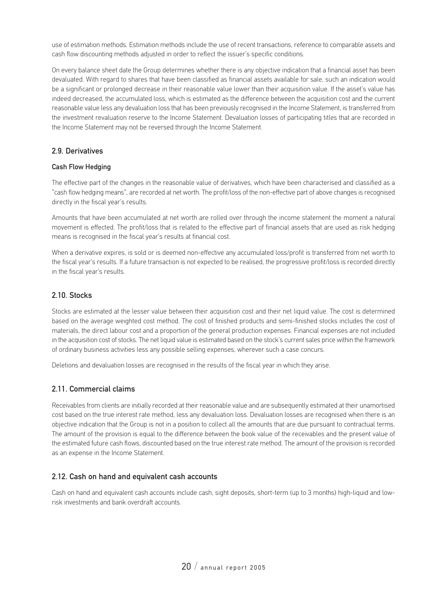use of estimation methods. Estimation methods include the use of recent transactions, reference to comparable assets and cash flow discounting methods adjusted in order to reflect the issuer's specific conditions.

On every balance sheet date the Group determines whether there is any objective indication that a financial asset has been devaluated. With regard to shares that have been classified as financial assets available for sale, such an indication would be a significant or prolonged decrease in their reasonable value lower than their acquisition value. If the asset's value has indeed decreased, the accumulated loss, which is estimated as the difference between the acquisition cost and the current reasonable value less any devaluation loss that has been previously recognised in the Income Statement, is transferred from the investment revaluation reserve to the Income Statement. Devaluation losses of participating titles that are recorded in the Income Statement may not be reversed through the Income Statement.

#### 2.9. Derivatives

#### Cash Flow Hedging

The effective part of the changes in the reasonable value of derivatives, which have been characterised and classified as a "cash flow hedging means", are recorded at net worth. The profit/loss of the non-effective part of above changes is recognised directly in the fiscal year's results.

Amounts that have been accumulated at net worth are rolled over through the income statement the moment a natural movement is effected. The profit/loss that is related to the effective part of financial assets that are used as risk hedging means is recognised in the fiscal year's results at financial cost.

When a derivative expires, is sold or is deemed non-effective any accumulated loss/profit is transferred from net worth to the fiscal year's results. If a future transaction is not expected to be realised, the progressive profit/loss is recorded directly in the fiscal year's results.

#### 2.10. Stocks

Stocks are estimated at the lesser value between their acquisition cost and their net liquid value. The cost is determined based on the average weighted cost method. The cost of finished products and semi-finished stocks includes the cost of materials, the direct labour cost and a proportion of the general production expenses. Financial expenses are not included in the acquisition cost of stocks. The net liquid value is estimated based on the stock's current sales price within the framework of ordinary business activities less any possible selling expenses, wherever such a case concurs.

Deletions and devaluation losses are recognised in the results of the fiscal year in which they arise.

#### 2.11. Commercial claims

Receivables from clients are initially recorded at their reasonable value and are subsequently estimated at their unamortised cost based on the true interest rate method, less any devaluation loss. Devaluation losses are recognised when there is an objective indication that the Group is not in a position to collect all the amounts that are due pursuant to contractual terms. The amount of the provision is equal to the difference between the book value of the receivables and the present value of the estimated future cash flows, discounted based on the true interest rate method. The amount of the provision is recorded as an expense in the Income Statement.

#### 2.12. Cash on hand and equivalent cash accounts

Cash on hand and equivalent cash accounts include cash, sight deposits, short-term (up to 3 months) high-liquid and lowrisk investments and bank overdraft accounts.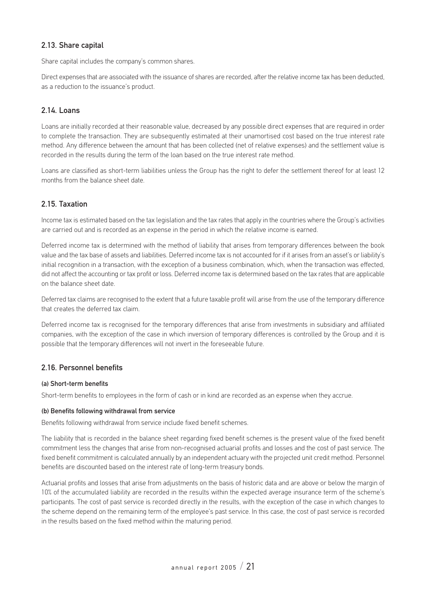#### 2.13. Share capital

Share capital includes the company's common shares.

Direct expenses that are associated with the issuance of shares are recorded, after the relative income tax has been deducted, as a reduction to the issuance's product.

#### 2.14. Loans

Loans are initially recorded at their reasonable value, decreased by any possible direct expenses that are required in order to complete the transaction. They are subsequently estimated at their unamortised cost based on the true interest rate method. Any difference between the amount that has been collected (net of relative expenses) and the settlement value is recorded in the results during the term of the loan based on the true interest rate method.

Loans are classified as short-term liabilities unless the Group has the right to defer the settlement thereof for at least 12 months from the balance sheet date.

#### 2.15. Taxation

Income tax is estimated based on the tax legislation and the tax rates that apply in the countries where the Group's activities are carried out and is recorded as an expense in the period in which the relative income is earned.

Deferred income tax is determined with the method of liability that arises from temporary differences between the book value and the tax base of assets and liabilities. Deferred income tax is not accounted for if it arises from an asset's or liability's initial recognition in a transaction, with the exception of a business combination, which, when the transaction was effected, did not affect the accounting or tax profit or loss. Deferred income tax is determined based on the tax rates that are applicable on the balance sheet date.

Deferred tax claims are recognised to the extent that a future taxable profit will arise from the use of the temporary difference that creates the deferred tax claim.

Deferred income tax is recognised for the temporary differences that arise from investments in subsidiary and affiliated companies, with the exception of the case in which inversion of temporary differences is controlled by the Group and it is possible that the temporary differences will not invert in the foreseeable future.

#### 2.16. Personnel benefits

#### (a) Short-term benefits

Short-term benefits to employees in the form of cash or in kind are recorded as an expense when they accrue.

#### (b) Benefits following withdrawal from service

Benefits following withdrawal from service include fixed benefit schemes.

The liability that is recorded in the balance sheet regarding fixed benefit schemes is the present value of the fixed benefit commitment less the changes that arise from non-recognised actuarial profits and losses and the cost of past service. The fixed benefit commitment is calculated annually by an independent actuary with the projected unit credit method. Personnel benefits are discounted based on the interest rate of long-term treasury bonds.

Actuarial profits and losses that arise from adjustments on the basis of historic data and are above or below the margin of 10% of the accumulated liability are recorded in the results within the expected average insurance term of the scheme's participants. The cost of past service is recorded directly in the results, with the exception of the case in which changes to the scheme depend on the remaining term of the employee's past service. In this case, the cost of past service is recorded in the results based on the fixed method within the maturing period.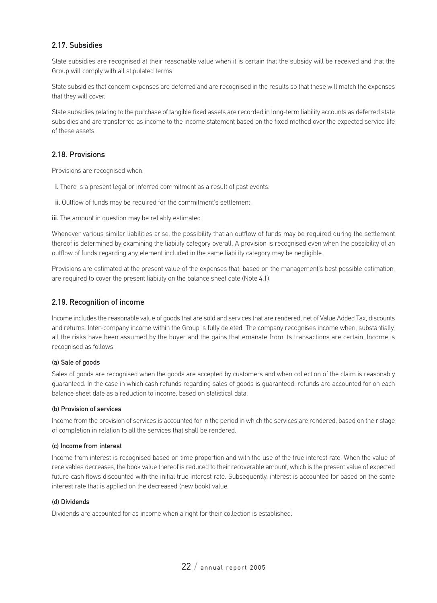#### 2.17. Subsidies

State subsidies are recognised at their reasonable value when it is certain that the subsidy will be received and that the Group will comply with all stipulated terms.

State subsidies that concern expenses are deferred and are recognised in the results so that these will match the expenses that they will cover.

State subsidies relating to the purchase of tangible fixed assets are recorded in long-term liability accounts as deferred state subsidies and are transferred as income to the income statement based on the fixed method over the expected service life of these assets.

#### 2.18. Provisions

Provisions are recognised when:

- i. There is a present legal or inferred commitment as a result of past events.
- ii. Outflow of funds may be required for the commitment's settlement.

iii. The amount in question may be reliably estimated.

Whenever various similar liabilities arise, the possibility that an outflow of funds may be required during the settlement thereof is determined by examining the liability category overall. A provision is recognised even when the possibility of an outflow of funds regarding any element included in the same liability category may be negligible.

Provisions are estimated at the present value of the expenses that, based on the management's best possible estimation, are required to cover the present liability on the balance sheet date (Note 4.1).

#### 2.19. Recognition of income

Income includes the reasonable value of goods that are sold and services that are rendered, net of Value Added Tax, discounts and returns. Inter-company income within the Group is fully deleted. The company recognises income when, substantially, all the risks have been assumed by the buyer and the gains that emanate from its transactions are certain. Income is recognised as follows:

#### (a) Sale of goods

Sales of goods are recognised when the goods are accepted by customers and when collection of the claim is reasonably guaranteed. In the case in which cash refunds regarding sales of goods is guaranteed, refunds are accounted for on each balance sheet date as a reduction to income, based on statistical data.

#### (b) Provision of services

Income from the provision of services is accounted for in the period in which the services are rendered, based on their stage of completion in relation to all the services that shall be rendered.

#### (c) Income from interest

Income from interest is recognised based on time proportion and with the use of the true interest rate. When the value of receivables decreases, the book value thereof is reduced to their recoverable amount, which is the present value of expected future cash flows discounted with the initial true interest rate. Subsequently, interest is accounted for based on the same interest rate that is applied on the decreased (new book) value.

#### (d) Dividends

Dividends are accounted for as income when a right for their collection is established.

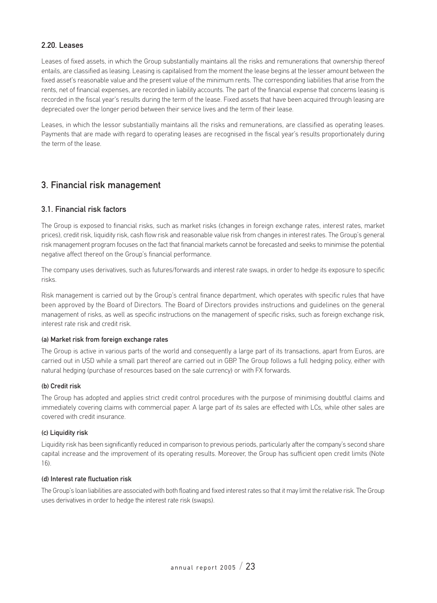#### 2.20. Leases

Leases of fixed assets, in which the Group substantially maintains all the risks and remunerations that ownership thereof entails, are classified as leasing. Leasing is capitalised from the moment the lease begins at the lesser amount between the fixed asset's reasonable value and the present value of the minimum rents. The corresponding liabilities that arise from the rents, net of financial expenses, are recorded in liability accounts. The part of the financial expense that concerns leasing is recorded in the fiscal year's results during the term of the lease. Fixed assets that have been acquired through leasing are depreciated over the longer period between their service lives and the term of their lease.

Leases, in which the lessor substantially maintains all the risks and remunerations, are classified as operating leases. Payments that are made with regard to operating leases are recognised in the fiscal year's results proportionately during the term of the lease.

## 3. Financial risk management

#### 3.1. Financial risk factors

The Group is exposed to financial risks, such as market risks (changes in foreign exchange rates, interest rates, market prices), credit risk, liquidity risk, cash flow risk and reasonable value risk from changes in interest rates. The Group's general risk management program focuses on the fact that financial markets cannot be forecasted and seeks to minimise the potential negative affect thereof on the Group's financial performance.

The company uses derivatives, such as futures/forwards and interest rate swaps, in order to hedge its exposure to specific risks.

Risk management is carried out by the Group's central finance department, which operates with specific rules that have been approved by the Board of Directors. The Board of Directors provides instructions and guidelines on the general management of risks, as well as specific instructions on the management of specific risks, such as foreign exchange risk, interest rate risk and credit risk.

#### (a) Market risk from foreign exchange rates

The Group is active in various parts of the world and consequently a large part of its transactions, apart from Euros, are carried out in USD while a small part thereof are carried out in GBP. The Group follows a full hedging policy, either with natural hedging (purchase of resources based on the sale currency) or with FX forwards.

#### (b) Credit risk

The Group has adopted and applies strict credit control procedures with the purpose of minimising doubtful claims and immediately covering claims with commercial paper. A large part of its sales are effected with LCs, while other sales are covered with credit insurance.

#### (c) Liquidity risk

Liquidity risk has been significantly reduced in comparison to previous periods, particularly after the company's second share capital increase and the improvement of its operating results. Moreover, the Group has sufficient open credit limits (Note 16).

#### (d) Interest rate fluctuation risk

The Group's loan liabilities are associated with both floating and fixed interest rates so that it may limit the relative risk. The Group uses derivatives in order to hedge the interest rate risk (swaps).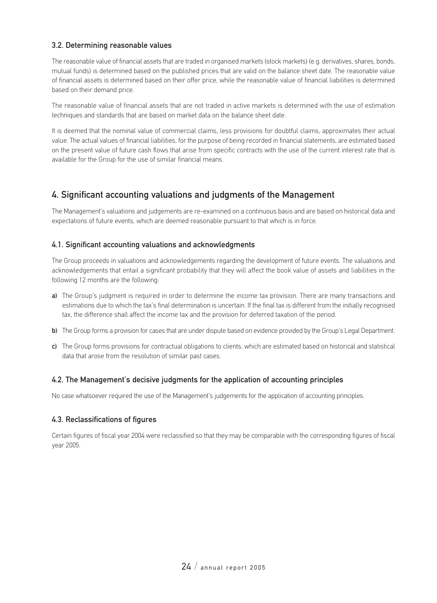#### 3.2. Determining reasonable values

The reasonable value of financial assets that are traded in organised markets (stock markets) (e.g. derivatives, shares, bonds, mutual funds) is determined based on the published prices that are valid on the balance sheet date. The reasonable value of financial assets is determined based on their offer price, while the reasonable value of financial liabilities is determined based on their demand price.

The reasonable value of financial assets that are not traded in active markets is determined with the use of estimation techniques and standards that are based on market data on the balance sheet date.

It is deemed that the nominal value of commercial claims, less provisions for doubtful claims, approximates their actual value. The actual values of financial liabilities, for the purpose of being recorded in financial statements, are estimated based on the present value of future cash flows that arise from specific contracts with the use of the current interest rate that is available for the Group for the use of similar financial means.

## 4. Significant accounting valuations and judgments of the Management

The Management's valuations and judgements are re-examined on a continuous basis and are based on historical data and expectations of future events, which are deemed reasonable pursuant to that which is in force.

#### 4.1. Significant accounting valuations and acknowledgments

The Group proceeds in valuations and acknowledgements regarding the development of future events. The valuations and acknowledgements that entail a significant probability that they will affect the book value of assets and liabilities in the following 12 months are the following:

- a) The Group's judgment is required in order to determine the income tax provision. There are many transactions and estimations due to which the tax's final determination is uncertain. If the final tax is different from the initially recognised tax, the difference shall affect the income tax and the provision for deferred taxation of the period.
- b) The Group forms a provision for cases that are under dispute based on evidence provided by the Group's Legal Department.
- c) The Group forms provisions for contractual obligations to clients, which are estimated based on historical and statistical data that arose from the resolution of similar past cases.

#### 4.2. The Management's decisive judgments for the application of accounting principles

No case whatsoever required the use of the Management's judgements for the application of accounting principles.

#### 4.3. Reclassifications of figures

Certain figures of fiscal year 2004 were reclassified so that they may be comparable with the corresponding figures of fiscal year 2005.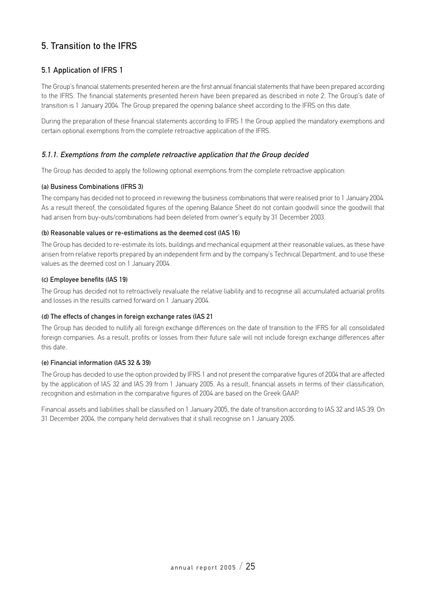## 5. Transition to the IFRS

#### 5.1 Application of IFRS 1

The Group's financial statements presented herein are the first annual financial statements that have been prepared according to the IFRS. The financial statements presented herein have been prepared as described in note 2. The Group's date of transition is 1 January 2004. The Group prepared the opening balance sheet according to the IFRS on this date.

During the preparation of these financial statements according to IFRS 1 the Group applied the mandatory exemptions and certain optional exemptions from the complete retroactive application of the IFRS.

#### 5.1.1. Exemptions from the complete retroactive application that the Group decided

The Group has decided to apply the following optional exemptions from the complete retroactive application:

#### (a) Business Combinations (IFRS 3)

The company has decided not to proceed in reviewing the business combinations that were realised prior to 1 January 2004. As a result thereof, the consolidated figures of the opening Balance Sheet do not contain goodwill since the goodwill that had arisen from buy-outs/combinations had been deleted from owner's equity by 31 December 2003.

#### (b) Reasonable values or re-estimations as the deemed cost (IAS 16)

The Group has decided to re-estimate its lots, buildings and mechanical equipment at their reasonable values, as these have arisen from relative reports prepared by an independent firm and by the company's Technical Department, and to use these values as the deemed cost on 1 January 2004.

#### (c) Employee benefits (IAS 19)

The Group has decided not to retroactively revaluate the relative liability and to recognise all accumulated actuarial profits and losses in the results carried forward on 1 January 2004.

#### (d) The effects of changes in foreign exchange rates (IAS 21

The Group has decided to nullify all foreign exchange differences on the date of transition to the IFRS for all consolidated foreign companies. As a result, profits or losses from their future sale will not include foreign exchange differences after this date.

#### (e) Financial information (IAS 32 & 39)

The Group has decided to use the option provided by IFRS 1 and not present the comparative figures of 2004 that are affected by the application of IAS 32 and IAS 39 from 1 January 2005. As a result, financial assets in terms of their classification, recognition and estimation in the comparative figures of 2004 are based on the Greek GAAP.

Financial assets and liabilities shall be classified on 1 January 2005, the date of transition according to IAS 32 and IAS 39. On 31 December 2004, the company held derivatives that it shall recognise on 1 January 2005.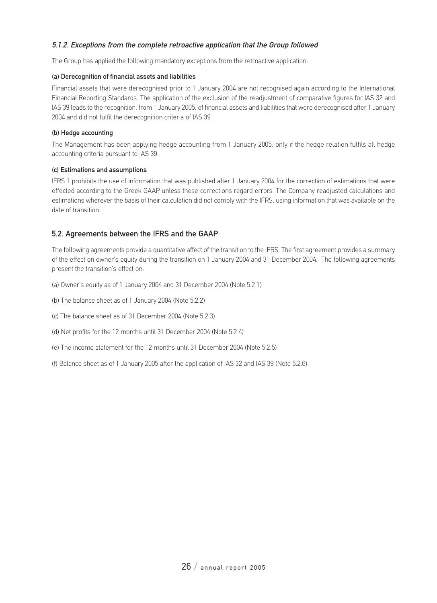#### 5.1.2. Exceptions from the complete retroactive application that the Group followed

The Group has applied the following mandatory exceptions from the retroactive application:

#### (a) Derecognition of financial assets and liabilities

Financial assets that were derecognised prior to 1 January 2004 are not recognised again according to the International Financial Reporting Standards. The application of the exclusion of the readjustment of comparative figures for IAS 32 and IAS 39 leads to the recognition, from 1 January 2005, of financial assets and liabilities that were derecognised after 1 January 2004 and did not fulfil the derecognition criteria of IAS 39

#### (b) Hedge accounting

The Management has been applying hedge accounting from 1 January 2005, only if the hedge relation fulfils all hedge accounting criteria pursuant to IAS 39.

#### (c) Estimations and assumptions

IFRS 1 prohibits the use of information that was published after 1 January 2004 for the correction of estimations that were effected according to the Greek GAAP, unless these corrections regard errors. The Company readjusted calculations and estimations wherever the basis of their calculation did not comply with the IFRS, using information that was available on the date of transition.

#### 5.2. Agreements between the IFRS and the GAAP

The following agreements provide a quantitative affect of the transition to the IFRS. The first agreement provides a summary of the effect on owner's equity during the transition on 1 January 2004 and 31 December 2004. The following agreements present the transition's effect on:

- (a) Owner's equity as of 1 January 2004 and 31 December 2004 (Note 5.2.1)
- (b) The balance sheet as of 1 January 2004 (Note 5.2.2)
- (c) The balance sheet as of 31 December 2004 (Note 5.2.3)
- (d) Net profits for the 12 months until 31 December 2004 (Note 5.2.4)
- (e) The income statement for the 12 months until 31 December 2004 (Note 5.2.5)
- (f) Balance sheet as of 1 January 2005 after the application of IAS 32 and IAS 39 (Note 5.2.6).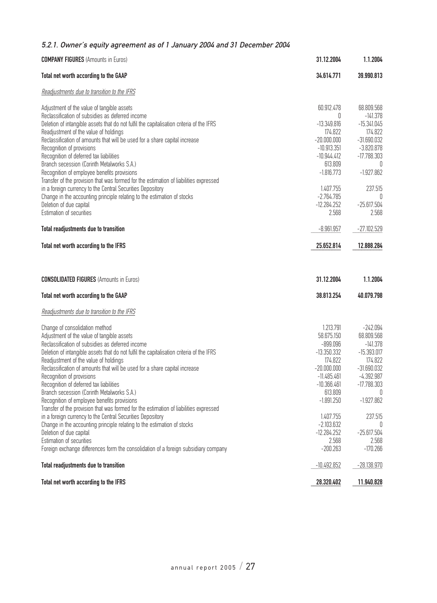| J.Z.T. OWNER 5 EQUIty agreement as or FJanuary 2004 and 31 December 2004                                                                                                                     |                                                     |                                        |
|----------------------------------------------------------------------------------------------------------------------------------------------------------------------------------------------|-----------------------------------------------------|----------------------------------------|
| <b>COMPANY FIGURES</b> (Amounts in Euros)                                                                                                                                                    | 31.12.2004                                          | 1.1.2004                               |
| Total net worth according to the GAAP                                                                                                                                                        | 34.614.771                                          | 39.990.813                             |
| Readjustments due to transition to the IFRS                                                                                                                                                  |                                                     |                                        |
| Adjustment of the value of tangible assets<br>Reclassification of subsidies as deferred income                                                                                               | 60.912.478<br>0                                     | 68.809.568<br>$-141.378$               |
| Deletion of intangible assets that do not fulfil the capitalisation criteria of the IFRS<br>Readjustment of the value of holdings                                                            | $-13.349.816$<br>174.822                            | $-15.341.045$<br>174.822               |
| Reclassification of amounts that will be used for a share capital increase<br>Recognition of provisions                                                                                      | $-20.000.000$<br>$-10.913.351$                      | $-31.690.032$<br>$-3.820.878$          |
| Recognition of deferred tax liabilities<br>Branch secession (Corinth Metalworks S.A.)                                                                                                        | $-10.944.412$<br>613.809                            | $-17.788.303$<br>0                     |
| Recognition of employee benefits provisions<br>Transfer of the provision that was formed for the estimation of liabilities expressed                                                         | $-1.816.773$                                        | $-1.927.862$                           |
| in a foreign currency to the Central Securities Depository<br>Change in the accounting principle relating to the estimation of stocks<br>Deletion of due capital<br>Estimation of securities | 1.407.755<br>$-2.764.785$<br>$-12.284.252$<br>2.568 | 237.515<br>0<br>$-25.617.504$<br>2.568 |
| <b>Total readjustments due to transition</b>                                                                                                                                                 | $-8.961.957$                                        | $-27.102.529$                          |
| Total net worth according to the IFRS                                                                                                                                                        | 25.652.814                                          | 12.888.284                             |
|                                                                                                                                                                                              |                                                     |                                        |
| <b>CONSOLIDATED FIGURES</b> (Amounts in Euros)                                                                                                                                               | 31.12.2004                                          | 1.1.2004                               |
| Total net worth according to the GAAP                                                                                                                                                        | 38.813.254                                          | 40.079.798                             |
| Readjustments due to transition to the IFRS                                                                                                                                                  |                                                     |                                        |
| Change of consolidation method<br>Adjustment of the value of tangible assets                                                                                                                 | 1.213.791<br>58.675.150                             | $-242.094$<br>68.809.568               |
| Reclassification of subsidies as deferred income<br>Deletion of intangible assets that do not fulfil the capitalisation criteria of the IFRS<br>Readjustment of the value of holdings        | $-899.096$<br>$-13.350.332$<br>174.822              | $-141.378$<br>$-15.393.017$<br>174.822 |
| Reclassification of amounts that will be used for a share capital increase<br>Recognition of provisions                                                                                      | $-20.000.000$<br>$-11.485.461$                      | $-31.690.032$<br>$-4.392.987$          |
| Recognition of deferred tax liabilities<br>Branch secession (Corinth Metalworks S.A.)                                                                                                        | $-10.366.461$<br>613.809                            | $-17.788.303$<br>0                     |
| Recognition of employee benefits provisions<br>Transfer of the provision that was formed for the estimation of liabilities expressed                                                         | $-1.891.250$                                        | $-1.927.862$                           |
| in a foreign currency to the Central Securities Depository<br>Change in the accounting principle relating to the estimation of stocks                                                        | 1.407.755<br>$-2.103.632$                           | 237.515<br>0                           |
| Deletion of due capital<br>Estimation of securities                                                                                                                                          | $-12.284.252$<br>2.568                              | $-25.617.504$<br>2.568                 |
| Foreign exchange differences form the consolidation of a foreign subsidiary company                                                                                                          | $-200.263$                                          | $-170.266$                             |
| <b>Total readjustments due to transition</b>                                                                                                                                                 | $-10.492.852$                                       | $-28.138.970$                          |
| Total net worth according to the IFRS                                                                                                                                                        | 28.320.402                                          | 11.940.828                             |

### 5.2.1. Owner's equity agreement as of 1 January 2004 and 31 December 2004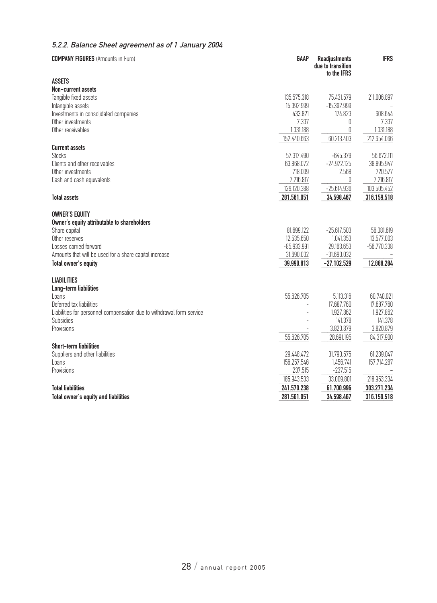## 5.2.2. Balance Sheet agreement as of 1 January 2004

| <b>ASSETS</b><br>Non-current assets<br>135.575.318<br>75.431.579<br>Tangible fixed assets                       | 211.006.897<br>608.644<br>7.337<br>1.031.188 |
|-----------------------------------------------------------------------------------------------------------------|----------------------------------------------|
|                                                                                                                 |                                              |
|                                                                                                                 |                                              |
|                                                                                                                 |                                              |
| 15.392.999<br>$-15.392.999$<br>Intangible assets<br>Investments in consolidated companies<br>433.821<br>174.823 |                                              |
| 7.337<br>Other investments<br>0                                                                                 |                                              |
| Other receivables<br>1.031.188<br>$\theta$                                                                      |                                              |
| 60.213.403<br>152.440.663                                                                                       | 212.654.066                                  |
| <b>Current assets</b>                                                                                           |                                              |
| <b>Stocks</b><br>57.317.490<br>$-645.379$                                                                       | 56.672.111                                   |
| Clients and other receivables<br>63.868.072<br>$-24.972.125$                                                    | 38.895.947                                   |
| 718.009<br>2.568<br>Other investments                                                                           | 720.577                                      |
| 7.216.817<br>Cash and cash equivalents<br>0<br>$-25.614.936$                                                    | 7.216.817<br>103.505.452                     |
| 129.120.388<br>34.598.467<br><b>Total assets</b><br>281.561.051                                                 | 316.159.518                                  |
|                                                                                                                 |                                              |
| <b>OWNER'S EQUITY</b>                                                                                           |                                              |
| Owner's equity attributable to shareholders                                                                     |                                              |
| 81.699.122<br>Share capital<br>$-25.617.503$                                                                    | 56.081.619                                   |
| 12.535.650<br>Other reserves<br>1.041.353                                                                       | 13.577.003                                   |
| $-85.933.991$<br>Losses carried forward<br>29.163.653                                                           | $-56.770.338$                                |
| Amounts that will be used for a share capital increase<br>31.690.032<br>$-31.690.032$                           |                                              |
| 39.990.813<br>$-27.102.529$<br>Total owner's equity                                                             | 12.888.284                                   |
| <b>LIABILITIES</b>                                                                                              |                                              |
| Long-term liabilities                                                                                           |                                              |
| 55.626.705<br>Loans<br>5.113.316                                                                                | 60.740.021                                   |
| Deferred tax liabilities<br>17.687.760                                                                          | 17.687.760                                   |
| 1.927.862<br>Liabilities for personnel compensation due to withdrawal form service                              | 1.927.862                                    |
| 141.378<br>Subsidies                                                                                            | 141.378                                      |
| Provisions<br>3.820.879                                                                                         | 3.820.879                                    |
| 55.626.705<br>28.691.195                                                                                        | 84.317.900                                   |
| <b>Short-term liabilities</b><br>29.448.472<br>31.790.575<br>Suppliers and other liabilities                    | 61.239.047                                   |
| 156.257.546<br>Loans<br>1.456.741                                                                               | 157.714.287                                  |
| 237.515<br>Provisions<br>$-237.515$                                                                             |                                              |
| 185.943.533<br>33.009.801                                                                                       | 218.953.334                                  |
| <b>Total liabilities</b><br>241.570.238<br>61.700.996                                                           | 303.271.234                                  |
| 281.561.051<br>34.598.467<br><b>Total owner's equity and liabilities</b>                                        | 316.159.518                                  |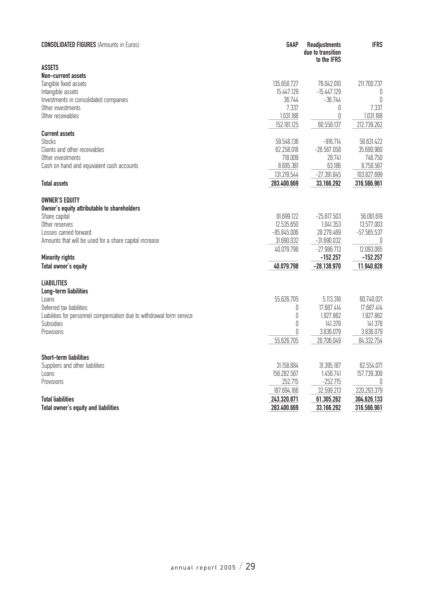| <b>ASSETS</b><br>Non-current assets<br>Tangible fixed assets<br>135.658.727<br>76.042.010<br>211.700.737<br>15.447.129<br>$-15.447.129$<br>Intangible assets<br>0<br>Investments in consolidated companies<br>36.744<br>$-36.744$<br>Ŋ<br>7.337<br>0<br>7.337<br>Other investments<br>Other receivables<br>1.031.188<br>0<br>1.031.188<br>60.558.137<br>152.181.125<br>212.739.262<br><b>Current assets</b><br><b>Stocks</b><br>59.548.136<br>$-916.714$<br>58.631.422<br>Clients and other receivables<br>62.258.018<br>$-26.567.058$<br>35.690.960<br>718.009<br>28.741<br>746.750<br>Other investments<br>8.695.381<br>63.186<br>8.758.567<br>Cash on hand and equivalent cash accounts<br>131.219.544<br>$-27.391.845$<br>103.827.699<br>316.566.961<br><b>Total assets</b><br>283.400.669<br>33.166.292<br><b>OWNER'S EQUITY</b><br>Owner's equity attributable to shareholders<br>81.699.122<br>$-25.617.503$<br>56.081.619<br>Share capital<br>12.535.650<br>Other reserves<br>1.041.353<br>13.577.003<br>Losses carried forward<br>$-85.845.006$<br>28.279.469<br>$-57.565.537$<br>31.690.032<br>Amounts that will be used for a share capital increase<br>$-31.690.032$<br>0<br>12.093.085<br>40.079.798<br>$-27.986.713$<br>$-152.257$<br><b>Minority rights</b><br>$-152.257$<br>40.079.798<br>$-28.138.970$<br>11.940.828<br>Total owner's equity<br><b>LIABILITIES</b><br>Long-term liabilities<br>55.626.705<br>5.113.316<br>60.740.021<br>Loans<br>Deferred tax liabilities<br>0<br>17.687.414<br>17.687.414<br>$\mathbb 0$<br>1.927.862<br>1.927.862<br>Liabilities for personnel compensation due to withdrawal form service<br>0<br>Subsidies<br>141.378<br>141.378<br>3.836.079<br>Provisions<br>0<br>3.836.079<br>55.626.705<br>28.706.049<br>84.332.754<br><b>Short-term liabilities</b><br>31.158.884<br>31.395.187<br>62.554.071<br>Suppliers and other liabilities<br>156.282.567<br>1.456.741<br>157.739.308<br>Loans<br>Provisions<br>252.715<br>$-252.715$<br>0<br>187.694.166<br>32.599.213<br>220.293.379<br>243.320.871<br>61.305.262<br>304.626.133<br><b>Total liabilities</b><br>283.400.669<br>33.166.292<br>316.566.961<br><b>Total owner's equity and liabilities</b> | <b>CONSOLIDATED FIGURES</b> (Amounts in Euros) | GAAP | <b>Readjustments</b><br>due to transition<br>to the IFRS | <b>IFRS</b> |
|-----------------------------------------------------------------------------------------------------------------------------------------------------------------------------------------------------------------------------------------------------------------------------------------------------------------------------------------------------------------------------------------------------------------------------------------------------------------------------------------------------------------------------------------------------------------------------------------------------------------------------------------------------------------------------------------------------------------------------------------------------------------------------------------------------------------------------------------------------------------------------------------------------------------------------------------------------------------------------------------------------------------------------------------------------------------------------------------------------------------------------------------------------------------------------------------------------------------------------------------------------------------------------------------------------------------------------------------------------------------------------------------------------------------------------------------------------------------------------------------------------------------------------------------------------------------------------------------------------------------------------------------------------------------------------------------------------------------------------------------------------------------------------------------------------------------------------------------------------------------------------------------------------------------------------------------------------------------------------------------------------------------------------------------------------------------------------------------------------------------------------------------------------------------------------------------------------------|------------------------------------------------|------|----------------------------------------------------------|-------------|
|                                                                                                                                                                                                                                                                                                                                                                                                                                                                                                                                                                                                                                                                                                                                                                                                                                                                                                                                                                                                                                                                                                                                                                                                                                                                                                                                                                                                                                                                                                                                                                                                                                                                                                                                                                                                                                                                                                                                                                                                                                                                                                                                                                                                           |                                                |      |                                                          |             |
|                                                                                                                                                                                                                                                                                                                                                                                                                                                                                                                                                                                                                                                                                                                                                                                                                                                                                                                                                                                                                                                                                                                                                                                                                                                                                                                                                                                                                                                                                                                                                                                                                                                                                                                                                                                                                                                                                                                                                                                                                                                                                                                                                                                                           |                                                |      |                                                          |             |
|                                                                                                                                                                                                                                                                                                                                                                                                                                                                                                                                                                                                                                                                                                                                                                                                                                                                                                                                                                                                                                                                                                                                                                                                                                                                                                                                                                                                                                                                                                                                                                                                                                                                                                                                                                                                                                                                                                                                                                                                                                                                                                                                                                                                           |                                                |      |                                                          |             |
|                                                                                                                                                                                                                                                                                                                                                                                                                                                                                                                                                                                                                                                                                                                                                                                                                                                                                                                                                                                                                                                                                                                                                                                                                                                                                                                                                                                                                                                                                                                                                                                                                                                                                                                                                                                                                                                                                                                                                                                                                                                                                                                                                                                                           |                                                |      |                                                          |             |
|                                                                                                                                                                                                                                                                                                                                                                                                                                                                                                                                                                                                                                                                                                                                                                                                                                                                                                                                                                                                                                                                                                                                                                                                                                                                                                                                                                                                                                                                                                                                                                                                                                                                                                                                                                                                                                                                                                                                                                                                                                                                                                                                                                                                           |                                                |      |                                                          |             |
|                                                                                                                                                                                                                                                                                                                                                                                                                                                                                                                                                                                                                                                                                                                                                                                                                                                                                                                                                                                                                                                                                                                                                                                                                                                                                                                                                                                                                                                                                                                                                                                                                                                                                                                                                                                                                                                                                                                                                                                                                                                                                                                                                                                                           |                                                |      |                                                          |             |
|                                                                                                                                                                                                                                                                                                                                                                                                                                                                                                                                                                                                                                                                                                                                                                                                                                                                                                                                                                                                                                                                                                                                                                                                                                                                                                                                                                                                                                                                                                                                                                                                                                                                                                                                                                                                                                                                                                                                                                                                                                                                                                                                                                                                           |                                                |      |                                                          |             |
|                                                                                                                                                                                                                                                                                                                                                                                                                                                                                                                                                                                                                                                                                                                                                                                                                                                                                                                                                                                                                                                                                                                                                                                                                                                                                                                                                                                                                                                                                                                                                                                                                                                                                                                                                                                                                                                                                                                                                                                                                                                                                                                                                                                                           |                                                |      |                                                          |             |
|                                                                                                                                                                                                                                                                                                                                                                                                                                                                                                                                                                                                                                                                                                                                                                                                                                                                                                                                                                                                                                                                                                                                                                                                                                                                                                                                                                                                                                                                                                                                                                                                                                                                                                                                                                                                                                                                                                                                                                                                                                                                                                                                                                                                           |                                                |      |                                                          |             |
|                                                                                                                                                                                                                                                                                                                                                                                                                                                                                                                                                                                                                                                                                                                                                                                                                                                                                                                                                                                                                                                                                                                                                                                                                                                                                                                                                                                                                                                                                                                                                                                                                                                                                                                                                                                                                                                                                                                                                                                                                                                                                                                                                                                                           |                                                |      |                                                          |             |
|                                                                                                                                                                                                                                                                                                                                                                                                                                                                                                                                                                                                                                                                                                                                                                                                                                                                                                                                                                                                                                                                                                                                                                                                                                                                                                                                                                                                                                                                                                                                                                                                                                                                                                                                                                                                                                                                                                                                                                                                                                                                                                                                                                                                           |                                                |      |                                                          |             |
|                                                                                                                                                                                                                                                                                                                                                                                                                                                                                                                                                                                                                                                                                                                                                                                                                                                                                                                                                                                                                                                                                                                                                                                                                                                                                                                                                                                                                                                                                                                                                                                                                                                                                                                                                                                                                                                                                                                                                                                                                                                                                                                                                                                                           |                                                |      |                                                          |             |
|                                                                                                                                                                                                                                                                                                                                                                                                                                                                                                                                                                                                                                                                                                                                                                                                                                                                                                                                                                                                                                                                                                                                                                                                                                                                                                                                                                                                                                                                                                                                                                                                                                                                                                                                                                                                                                                                                                                                                                                                                                                                                                                                                                                                           |                                                |      |                                                          |             |
|                                                                                                                                                                                                                                                                                                                                                                                                                                                                                                                                                                                                                                                                                                                                                                                                                                                                                                                                                                                                                                                                                                                                                                                                                                                                                                                                                                                                                                                                                                                                                                                                                                                                                                                                                                                                                                                                                                                                                                                                                                                                                                                                                                                                           |                                                |      |                                                          |             |
|                                                                                                                                                                                                                                                                                                                                                                                                                                                                                                                                                                                                                                                                                                                                                                                                                                                                                                                                                                                                                                                                                                                                                                                                                                                                                                                                                                                                                                                                                                                                                                                                                                                                                                                                                                                                                                                                                                                                                                                                                                                                                                                                                                                                           |                                                |      |                                                          |             |
|                                                                                                                                                                                                                                                                                                                                                                                                                                                                                                                                                                                                                                                                                                                                                                                                                                                                                                                                                                                                                                                                                                                                                                                                                                                                                                                                                                                                                                                                                                                                                                                                                                                                                                                                                                                                                                                                                                                                                                                                                                                                                                                                                                                                           |                                                |      |                                                          |             |
|                                                                                                                                                                                                                                                                                                                                                                                                                                                                                                                                                                                                                                                                                                                                                                                                                                                                                                                                                                                                                                                                                                                                                                                                                                                                                                                                                                                                                                                                                                                                                                                                                                                                                                                                                                                                                                                                                                                                                                                                                                                                                                                                                                                                           |                                                |      |                                                          |             |
|                                                                                                                                                                                                                                                                                                                                                                                                                                                                                                                                                                                                                                                                                                                                                                                                                                                                                                                                                                                                                                                                                                                                                                                                                                                                                                                                                                                                                                                                                                                                                                                                                                                                                                                                                                                                                                                                                                                                                                                                                                                                                                                                                                                                           |                                                |      |                                                          |             |
|                                                                                                                                                                                                                                                                                                                                                                                                                                                                                                                                                                                                                                                                                                                                                                                                                                                                                                                                                                                                                                                                                                                                                                                                                                                                                                                                                                                                                                                                                                                                                                                                                                                                                                                                                                                                                                                                                                                                                                                                                                                                                                                                                                                                           |                                                |      |                                                          |             |
|                                                                                                                                                                                                                                                                                                                                                                                                                                                                                                                                                                                                                                                                                                                                                                                                                                                                                                                                                                                                                                                                                                                                                                                                                                                                                                                                                                                                                                                                                                                                                                                                                                                                                                                                                                                                                                                                                                                                                                                                                                                                                                                                                                                                           |                                                |      |                                                          |             |
|                                                                                                                                                                                                                                                                                                                                                                                                                                                                                                                                                                                                                                                                                                                                                                                                                                                                                                                                                                                                                                                                                                                                                                                                                                                                                                                                                                                                                                                                                                                                                                                                                                                                                                                                                                                                                                                                                                                                                                                                                                                                                                                                                                                                           |                                                |      |                                                          |             |
|                                                                                                                                                                                                                                                                                                                                                                                                                                                                                                                                                                                                                                                                                                                                                                                                                                                                                                                                                                                                                                                                                                                                                                                                                                                                                                                                                                                                                                                                                                                                                                                                                                                                                                                                                                                                                                                                                                                                                                                                                                                                                                                                                                                                           |                                                |      |                                                          |             |
|                                                                                                                                                                                                                                                                                                                                                                                                                                                                                                                                                                                                                                                                                                                                                                                                                                                                                                                                                                                                                                                                                                                                                                                                                                                                                                                                                                                                                                                                                                                                                                                                                                                                                                                                                                                                                                                                                                                                                                                                                                                                                                                                                                                                           |                                                |      |                                                          |             |
|                                                                                                                                                                                                                                                                                                                                                                                                                                                                                                                                                                                                                                                                                                                                                                                                                                                                                                                                                                                                                                                                                                                                                                                                                                                                                                                                                                                                                                                                                                                                                                                                                                                                                                                                                                                                                                                                                                                                                                                                                                                                                                                                                                                                           |                                                |      |                                                          |             |
|                                                                                                                                                                                                                                                                                                                                                                                                                                                                                                                                                                                                                                                                                                                                                                                                                                                                                                                                                                                                                                                                                                                                                                                                                                                                                                                                                                                                                                                                                                                                                                                                                                                                                                                                                                                                                                                                                                                                                                                                                                                                                                                                                                                                           |                                                |      |                                                          |             |
|                                                                                                                                                                                                                                                                                                                                                                                                                                                                                                                                                                                                                                                                                                                                                                                                                                                                                                                                                                                                                                                                                                                                                                                                                                                                                                                                                                                                                                                                                                                                                                                                                                                                                                                                                                                                                                                                                                                                                                                                                                                                                                                                                                                                           |                                                |      |                                                          |             |
|                                                                                                                                                                                                                                                                                                                                                                                                                                                                                                                                                                                                                                                                                                                                                                                                                                                                                                                                                                                                                                                                                                                                                                                                                                                                                                                                                                                                                                                                                                                                                                                                                                                                                                                                                                                                                                                                                                                                                                                                                                                                                                                                                                                                           |                                                |      |                                                          |             |
|                                                                                                                                                                                                                                                                                                                                                                                                                                                                                                                                                                                                                                                                                                                                                                                                                                                                                                                                                                                                                                                                                                                                                                                                                                                                                                                                                                                                                                                                                                                                                                                                                                                                                                                                                                                                                                                                                                                                                                                                                                                                                                                                                                                                           |                                                |      |                                                          |             |
|                                                                                                                                                                                                                                                                                                                                                                                                                                                                                                                                                                                                                                                                                                                                                                                                                                                                                                                                                                                                                                                                                                                                                                                                                                                                                                                                                                                                                                                                                                                                                                                                                                                                                                                                                                                                                                                                                                                                                                                                                                                                                                                                                                                                           |                                                |      |                                                          |             |
|                                                                                                                                                                                                                                                                                                                                                                                                                                                                                                                                                                                                                                                                                                                                                                                                                                                                                                                                                                                                                                                                                                                                                                                                                                                                                                                                                                                                                                                                                                                                                                                                                                                                                                                                                                                                                                                                                                                                                                                                                                                                                                                                                                                                           |                                                |      |                                                          |             |
|                                                                                                                                                                                                                                                                                                                                                                                                                                                                                                                                                                                                                                                                                                                                                                                                                                                                                                                                                                                                                                                                                                                                                                                                                                                                                                                                                                                                                                                                                                                                                                                                                                                                                                                                                                                                                                                                                                                                                                                                                                                                                                                                                                                                           |                                                |      |                                                          |             |
|                                                                                                                                                                                                                                                                                                                                                                                                                                                                                                                                                                                                                                                                                                                                                                                                                                                                                                                                                                                                                                                                                                                                                                                                                                                                                                                                                                                                                                                                                                                                                                                                                                                                                                                                                                                                                                                                                                                                                                                                                                                                                                                                                                                                           |                                                |      |                                                          |             |
|                                                                                                                                                                                                                                                                                                                                                                                                                                                                                                                                                                                                                                                                                                                                                                                                                                                                                                                                                                                                                                                                                                                                                                                                                                                                                                                                                                                                                                                                                                                                                                                                                                                                                                                                                                                                                                                                                                                                                                                                                                                                                                                                                                                                           |                                                |      |                                                          |             |
|                                                                                                                                                                                                                                                                                                                                                                                                                                                                                                                                                                                                                                                                                                                                                                                                                                                                                                                                                                                                                                                                                                                                                                                                                                                                                                                                                                                                                                                                                                                                                                                                                                                                                                                                                                                                                                                                                                                                                                                                                                                                                                                                                                                                           |                                                |      |                                                          |             |
|                                                                                                                                                                                                                                                                                                                                                                                                                                                                                                                                                                                                                                                                                                                                                                                                                                                                                                                                                                                                                                                                                                                                                                                                                                                                                                                                                                                                                                                                                                                                                                                                                                                                                                                                                                                                                                                                                                                                                                                                                                                                                                                                                                                                           |                                                |      |                                                          |             |
|                                                                                                                                                                                                                                                                                                                                                                                                                                                                                                                                                                                                                                                                                                                                                                                                                                                                                                                                                                                                                                                                                                                                                                                                                                                                                                                                                                                                                                                                                                                                                                                                                                                                                                                                                                                                                                                                                                                                                                                                                                                                                                                                                                                                           |                                                |      |                                                          |             |
|                                                                                                                                                                                                                                                                                                                                                                                                                                                                                                                                                                                                                                                                                                                                                                                                                                                                                                                                                                                                                                                                                                                                                                                                                                                                                                                                                                                                                                                                                                                                                                                                                                                                                                                                                                                                                                                                                                                                                                                                                                                                                                                                                                                                           |                                                |      |                                                          |             |
|                                                                                                                                                                                                                                                                                                                                                                                                                                                                                                                                                                                                                                                                                                                                                                                                                                                                                                                                                                                                                                                                                                                                                                                                                                                                                                                                                                                                                                                                                                                                                                                                                                                                                                                                                                                                                                                                                                                                                                                                                                                                                                                                                                                                           |                                                |      |                                                          |             |
|                                                                                                                                                                                                                                                                                                                                                                                                                                                                                                                                                                                                                                                                                                                                                                                                                                                                                                                                                                                                                                                                                                                                                                                                                                                                                                                                                                                                                                                                                                                                                                                                                                                                                                                                                                                                                                                                                                                                                                                                                                                                                                                                                                                                           |                                                |      |                                                          |             |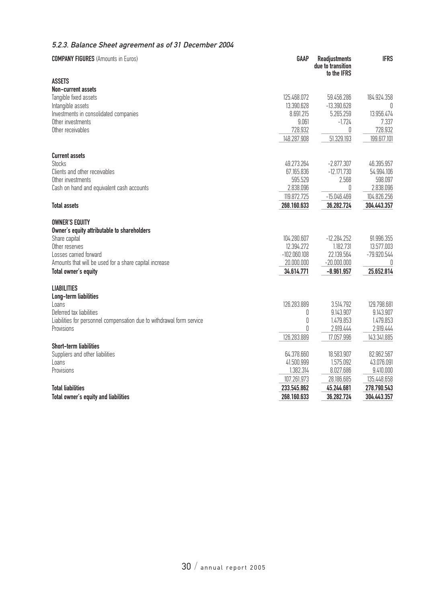### 5.2.3. Balance Sheet agreement as of 31 December 2004

| <b>COMPANY FIGURES</b> (Amounts in Euros)                             | GAAP           | <b>Readjustments</b><br>due to transition<br>to the <b>IFRS</b> | <b>IFRS</b>   |
|-----------------------------------------------------------------------|----------------|-----------------------------------------------------------------|---------------|
| <b>ASSETS</b>                                                         |                |                                                                 |               |
| Non-current assets                                                    |                |                                                                 |               |
| Tangible fixed assets                                                 | 125.468.072    | 59.456.286                                                      | 184.924.358   |
| Intangible assets                                                     | 13.390.628     | $-13.390.628$                                                   | 0             |
| Investments in consolidated companies                                 | 8.691.215      | 5.265.259                                                       | 13.956.474    |
| Other investments                                                     | 9.061          | $-1.724$                                                        | 7.337         |
| Other receivables                                                     | 728.932        | 0                                                               | 728.932       |
|                                                                       | 148.287.908    | 51.329.193                                                      | 199.617.101   |
| <b>Current assets</b>                                                 |                |                                                                 |               |
| <b>Stocks</b>                                                         | 49.273.264     | $-2.877.307$                                                    | 46.395.957    |
| Clients and other receivables                                         | 67.165.836     | $-12.171.730$                                                   | 54.994.106    |
| Other investments                                                     | 595.529        | 2.568                                                           | 598.097       |
| Cash on hand and equivalent cash accounts                             | 2.838.096      | 0                                                               | 2.838.096     |
|                                                                       | 119.872.725    | $-15.046.469$                                                   | 104.826.256   |
| <b>Total assets</b>                                                   | 268.160.633    | 36.282.724                                                      | 304.443.357   |
| <b>OWNER'S EQUITY</b>                                                 |                |                                                                 |               |
| Owner's equity attributable to shareholders                           |                |                                                                 |               |
| Share capital                                                         | 104.280.607    | $-12.284.252$                                                   | 91.996.355    |
| Other reserves                                                        | 12.394.272     | 1.182.731                                                       | 13.577.003    |
| Losses carried forward                                                | $-102.060.108$ | 22.139.564                                                      | $-79.920.544$ |
| Amounts that will be used for a share capital increase                | 20.000.000     | $-20.000.000$                                                   | 0             |
| Total owner's equity                                                  | 34.614.771     | $-8.961.957$                                                    | 25.652.814    |
| <b>LIABILITIES</b>                                                    |                |                                                                 |               |
| Long-term liabilities                                                 |                |                                                                 |               |
| Loans                                                                 | 126.283.889    | 3.514.792                                                       | 129.798.681   |
| Deferred tax liabilities                                              | 0              | 9.143.907                                                       | 9.143.907     |
| Liabilities for personnel compensation due to withdrawal form service | 0              | 1.479.853                                                       | 1.479.853     |
| Provisions                                                            | 0              | 2.919.444                                                       | 2.919.444     |
| <b>Short-term liabilities</b>                                         | 126.283.889    | 17.057.996                                                      | 143.341.885   |
| Suppliers and other liabilities                                       | 64.378.660     | 18.583.907                                                      | 82.962.567    |
| Loans                                                                 | 41.500.999     | 1.575.092                                                       | 43.076.091    |
| Provisions                                                            | 1.382.314      | 8.027.686                                                       | 9.410.000     |
|                                                                       | 107.261.973    | 28.186.685                                                      | 135.448.658   |
| <b>Total liabilities</b>                                              | 233.545.862    | 45.244.681                                                      | 278.790.543   |
| <b>Total owner's equity and liabilities</b>                           | 268.160.633    | 36.282.724                                                      | 304.443.357   |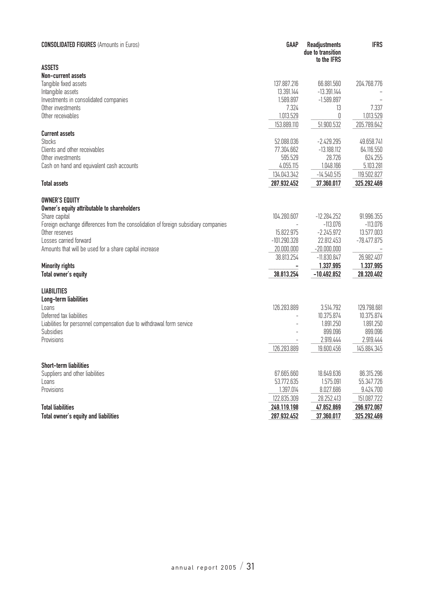| <b>CONSOLIDATED FIGURES</b> (Amounts in Euros)                                      | GAAP                     | Readjustments<br>due to transition<br>to the IFRS | <b>IFRS</b>   |
|-------------------------------------------------------------------------------------|--------------------------|---------------------------------------------------|---------------|
| <b>ASSETS</b>                                                                       |                          |                                                   |               |
| Non-current assets                                                                  |                          |                                                   |               |
| Tangible fixed assets                                                               | 137.887.216              | 66.881.560                                        | 204.768.776   |
| Intangible assets                                                                   | 13.391.144               | $-13.391.144$                                     |               |
| Investments in consolidated companies                                               | 1.589.897                | $-1.589.897$                                      |               |
| Other investments                                                                   | 7.324                    | 13                                                | 7.337         |
| Other receivables                                                                   | 1.013.529                | $\mathbb 0$                                       | 1.013.529     |
|                                                                                     | 153.889.110              | 51.900.532                                        | 205.789.642   |
| <b>Current assets</b>                                                               |                          |                                                   |               |
| <b>Stocks</b>                                                                       | 52.088.036               | $-2.429.295$                                      | 49.658.741    |
| Clients and other receivables                                                       | 77.304.662               | $-13.188.112$                                     | 64.116.550    |
| Other investments                                                                   | 595.529                  | 28.726                                            | 624.255       |
| Cash on hand and equivalent cash accounts                                           | 4.055.115                | 1.048.166                                         | 5.103.281     |
|                                                                                     | 134.043.342              | $-14.540.515$                                     | 119.502.827   |
| <b>Total assets</b>                                                                 | 287.932.452              | 37.360.017                                        | 325.292.469   |
|                                                                                     |                          |                                                   |               |
| <b>OWNER'S EQUITY</b><br>Owner's equity attributable to shareholders                |                          |                                                   |               |
| Share capital                                                                       | 104.280.607              | $-12.284.252$                                     | 91.996.355    |
| Foreign exchange differences from the consolidation of foreign subsidiary companies |                          | $-113.076$                                        | $-113.076$    |
| Other reserves                                                                      | 15.822.975               | $-2.245.972$                                      | 13.577.003    |
| Losses carried forward                                                              | $-101.290.328$           | 22.812.453                                        | $-78.477.875$ |
| Amounts that will be used for a share capital increase                              | 20.000.000               | $-20.000.000$                                     |               |
|                                                                                     |                          |                                                   |               |
|                                                                                     | 38.813.254               | $-11.830.847$                                     | 26.982.407    |
| <b>Minority rights</b>                                                              | $\overline{\phantom{a}}$ | 1.337.995                                         | 1.337.995     |
| Total owner's equity                                                                | 38.813.254               | $-10.492.852$                                     | 28.320.402    |
| <b>LIABILITIES</b>                                                                  |                          |                                                   |               |
| Long-term liabilities                                                               |                          |                                                   |               |
| Loans                                                                               | 126.283.889              | 3.514.792                                         | 129.798.681   |
| Deferred tax liabilities                                                            |                          | 10.375.874                                        | 10.375.874    |
| Liabilities for personnel compensation due to withdrawal form service               |                          | 1.891.250                                         | 1.891.250     |
| <b>Subsidies</b>                                                                    |                          | 899.096                                           | 899.096       |
| Provisions                                                                          |                          | 2.919.444                                         | 2.919.444     |
|                                                                                     | 126.283.889              | 19.600.456                                        | 145.884.345   |
| <b>Short-term liabilities</b>                                                       |                          |                                                   |               |
| Suppliers and other liabilities                                                     | 67.665.660               | 18.649.636                                        | 86.315.296    |
| Loans                                                                               | 53.772.635               | 1.575.091                                         | 55.347.726    |
| Provisions                                                                          | 1.397.014                | 8.027.686                                         | 9.424.700     |
|                                                                                     | 122.835.309              | 28.252.413                                        | 151.087.722   |
| <b>Total liabilities</b>                                                            | 249.119.198              | 47.852.869                                        | 296.972.067   |
|                                                                                     |                          |                                                   |               |
| <b>Total owner's equity and liabilities</b>                                         | 287.932.452              | 37.360.017                                        | 325.292.469   |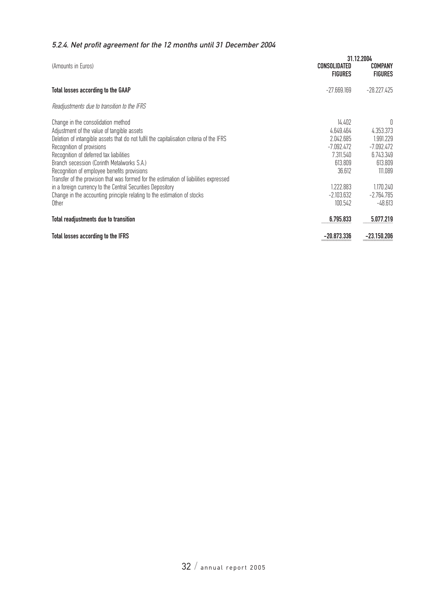## 5.2.4. Net profit agreement for the 12 months until 31 December 2004

|                                                                                          | 31.12.2004                     |                                  |
|------------------------------------------------------------------------------------------|--------------------------------|----------------------------------|
| (Amounts in Euros)                                                                       | CONSOLIDATED<br><b>FIGURES</b> | <b>COMPANY</b><br><b>FIGURES</b> |
| <b>Total losses according to the GAAP</b>                                                | $-27.669.169$                  | $-28.227.425$                    |
| Readjustments due to transition to the IFRS                                              |                                |                                  |
| Change in the consolidation method                                                       | 14.402                         | O                                |
| Adjustment of the value of tangible assets                                               | 4.649.464                      | 4.353.373                        |
| Deletion of intangible assets that do not fulfil the capitalisation criteria of the IFRS | 2.042.685                      | 1.991.229                        |
| Recognition of provisions                                                                | $-7.092.472$                   | $-7.092.472$                     |
| Recognition of deferred tax liabilities                                                  | 7.311.540                      | 6.743.349                        |
| Branch secession (Corinth Metalworks S.A.)                                               | 613,809                        | 613.809                          |
| Recognition of employee benefits provisions                                              | 36.612                         | 111.089                          |
| Transfer of the provision that was formed for the estimation of liabilities expressed    |                                |                                  |
| in a foreign currency to the Central Securities Depository                               | 1.222.883                      | 1.170.240                        |
| Change in the accounting principle relating to the estimation of stocks                  | -2.103.632                     | $-2.764.785$                     |
| Other                                                                                    | 100.542                        | $-48.613$                        |
| <b>Total readjustments due to transition</b>                                             | 6.795.833                      | 5.077.219                        |
| <b>Total losses according to the IFRS</b>                                                | $-20.873.336$                  | $-23.150.206$                    |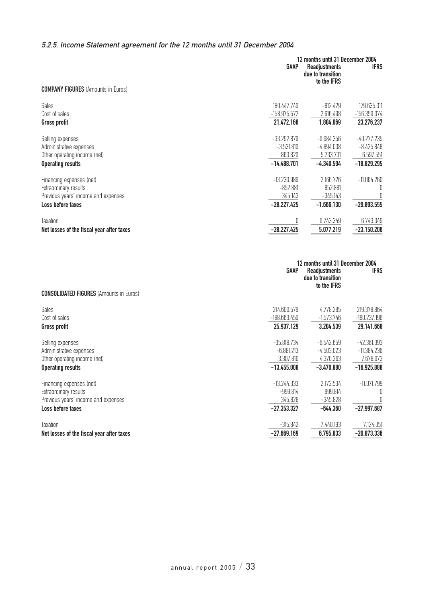### 5.2.5. Income Statement agreement for the 12 months until 31 December 2004

|                                                                                                               | GAAP                                                    | 12 months until 31 December 2004<br><b>Readjustments</b><br>due to transition<br>to the IFRS | <b>IFRS</b>                                |
|---------------------------------------------------------------------------------------------------------------|---------------------------------------------------------|----------------------------------------------------------------------------------------------|--------------------------------------------|
| <b>COMPANY FIGURES</b> (Amounts in Euros)                                                                     |                                                         |                                                                                              |                                            |
| Sales<br>Cost of sales                                                                                        | 180.447.740<br>$-158.975.572$                           | -812.429<br>2.616.498                                                                        | 179.635.311<br>$-156.359.074$              |
| Gross profit                                                                                                  | 21.472.168                                              | 1.804.069                                                                                    | 23.276.237                                 |
| Selling expenses<br>Administrative expenses<br>Other operating income (net)                                   | $-33.292.879$<br>$-3.531.810$<br>863.820                | -6.984.356<br>$-4.894.038$<br>5.733.731                                                      | $-40.277.235$<br>$-8.425.848$<br>6.597.551 |
| <b>Operating results</b>                                                                                      | $-14.488.701$                                           | $-4.340.594$                                                                                 | $-18.829.295$                              |
| Financing expenses (net)<br>Extraordinary results<br>Previous years' income and expenses<br>Loss before taxes | $-13.230.986$<br>$-852.881$<br>345.143<br>$-28.227.425$ | 2.166.726<br>852.881<br>-345.143<br>$-1.666.130$                                             | $-11.064.260$<br>U<br>$-29.893.555$        |
| Taxation                                                                                                      |                                                         | 6.743.349                                                                                    | 6.743.349                                  |
| Net losses of the fiscal year after taxes                                                                     | $-28.227.425$                                           | 5.077.219                                                                                    | $-23.150.206$                              |

|                                                | GAAP           | 12 months until 31 December 2004<br><b>Readjustments</b><br>due to transition<br>to the IFRS | <b>IFRS</b>   |
|------------------------------------------------|----------------|----------------------------------------------------------------------------------------------|---------------|
| <b>CONSOLIDATED FIGURES</b> (Amounts in Euros) |                |                                                                                              |               |
| <b>Sales</b>                                   | 214,600.579    | 4.778.285                                                                                    | 219.378.864   |
| Cost of sales                                  | $-188.663.450$ | $-1.573.746$                                                                                 | -190.237.196  |
| Gross profit                                   | 25.937.129     | 3.204.539                                                                                    | 29.141.668    |
| Selling expenses                               | $-35.818.734$  | $-6.542.659$                                                                                 | -42.361.393   |
| Administrative expenses                        | $-6.881.213$   | $-4.503.023$                                                                                 | $-11.384.236$ |
| Other operating income (net)                   | 3.307.810      | 4.370.263                                                                                    | 7.678.073     |
| <b>Operating results</b>                       | $-13.455.008$  | $-3.470.880$                                                                                 | $-16.925.888$ |
| Financing expenses (net)                       | $-13.244.333$  | 2.172.534                                                                                    | $-11.071.799$ |
| Extraordinary results                          | $-999.814$     | 999.814                                                                                      | 0             |
| Previous years' income and expenses            | 345.828        | $-345.828$                                                                                   |               |
| Loss before taxes                              | $-27.353.327$  | $-644.360$                                                                                   | $-27.997.687$ |
| Taxation                                       | $-315.842$     | 7.440.193                                                                                    | 7.124.351     |
| Net losses of the fiscal year after taxes      | $-27.669.169$  | 6.795.833                                                                                    | $-20.873.336$ |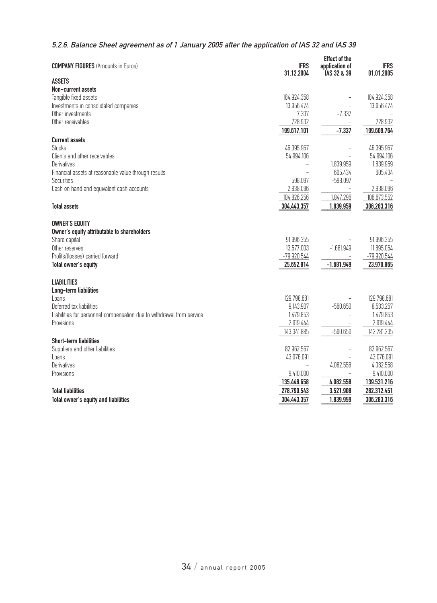### 5.2.6. Balance Sheet agreement as of 1 January 2005 after the application of IAS 32 and IAS 39

| <b>COMPANY FIGURES</b> (Amounts in Euros)                             | <b>IFRS</b><br>31.12.2004 | <b>Effect of the</b><br>application of<br>IAS 32 & 39 | <b>IFRS</b><br>01.01.2005 |
|-----------------------------------------------------------------------|---------------------------|-------------------------------------------------------|---------------------------|
| <b>ASSETS</b>                                                         |                           |                                                       |                           |
| Non-current assets                                                    |                           |                                                       |                           |
| Tangible fixed assets                                                 | 184.924.358               |                                                       | 184.924.358               |
| Investments in consolidated companies                                 | 13.956.474                | $\qquad \qquad -$                                     | 13.956.474                |
| Other investments                                                     | 7.337                     | $-7.337$                                              |                           |
| Other receivables                                                     | 728.932                   |                                                       | 728.932                   |
|                                                                       | 199.617.101               | $-7.337$                                              | 199.609.764               |
| <b>Current assets</b>                                                 |                           |                                                       |                           |
| <b>Stocks</b>                                                         | 46.395.957                |                                                       | 46.395.957                |
| Clients and other receivables                                         | 54.994.106                |                                                       | 54.994.106                |
| Derivatives                                                           |                           | 1.839.959                                             | 1.839.959                 |
| Financial assets at reasonable value through results                  |                           | 605.434                                               | 605.434                   |
| <b>Securities</b>                                                     | 598.097                   | $-598.097$                                            |                           |
| Cash on hand and equivalent cash accounts                             | 2.838.096                 |                                                       | 2.838.096                 |
|                                                                       | 104.826.256               | 1.847.296                                             | 106.673.552               |
| <b>Total assets</b>                                                   | 304.443.357               | 1.839.959                                             | 306.283.316               |
| <b>OWNER'S EQUITY</b>                                                 |                           |                                                       |                           |
| Owner's equity attributable to shareholders                           |                           |                                                       |                           |
| Share capital                                                         | 91.996.355                |                                                       | 91.996.355                |
| Other reserves                                                        | 13.577.003                | $-1.681.949$                                          | 11.895.054                |
| Profits/(losses) carried forward                                      | $-79.920.544$             |                                                       | $-79.920.544$             |
| Total owner's equity                                                  | 25.652.814                | $-1.681.949$                                          | 23.970.865                |
| <b>LIABILITIES</b>                                                    |                           |                                                       |                           |
| Long-term liabilities                                                 |                           |                                                       |                           |
| Loans                                                                 | 129.798.681               |                                                       | 129.798.681               |
| Deferred tax liabilities                                              | 9.143.907                 | $-560.650$                                            | 8.583.257                 |
| Liabilities for personnel compensation due to withdrawal from service | 1.479.853                 | $\qquad \qquad -$                                     | 1.479.853                 |
| Provisions                                                            | 2.919.444                 |                                                       | 2.919.444                 |
|                                                                       | 143.341.885               | $-560.650$                                            | 142.781.235               |
| <b>Short-term liabilities</b>                                         |                           |                                                       |                           |
| Suppliers and other liabilities                                       | 82.962.567                | $\qquad \qquad -$                                     | 82.962.567                |
| Loans                                                                 | 43.076.091                |                                                       | 43.076.091                |
| Derivatives                                                           |                           | 4.082.558                                             | 4.082.558                 |
| Provisions                                                            | 9.410.000                 | $\overline{\phantom{a}}$                              | 9.410.000                 |
|                                                                       |                           | 4.082.558                                             | 139.531.216               |
|                                                                       | 135.448.658               |                                                       |                           |
| <b>Total liabilities</b>                                              | 278.790.543               | 3.521.908                                             | 282.312.451               |
| Total owner's equity and liabilities                                  | 304.443.357               | 1.839.959                                             | 306.283.316               |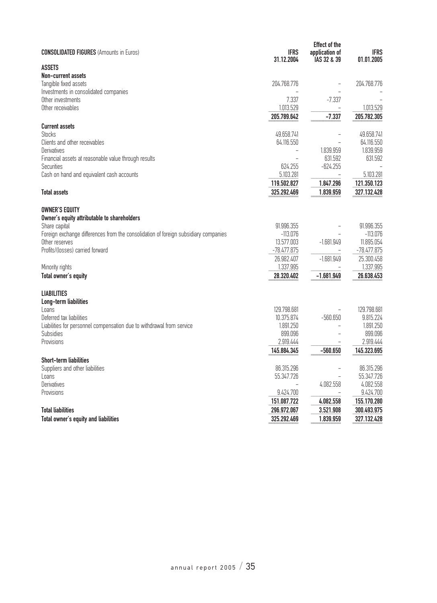| <b>CONSOLIDATED FIGURES</b> (Amounts in Euros)                                      | <b>IFRS</b><br>31.12.2004 | <b>Effect of the</b><br>application of<br>IAS 32 & 39 | <b>IFRS</b><br>01.01.2005 |
|-------------------------------------------------------------------------------------|---------------------------|-------------------------------------------------------|---------------------------|
| <b>ASSETS</b>                                                                       |                           |                                                       |                           |
| Non-current assets                                                                  |                           |                                                       |                           |
| Tangible fixed assets                                                               | 204.768.776               |                                                       | 204.768.776               |
| Investments in consolidated companies                                               |                           |                                                       |                           |
| Other investments                                                                   | 7.337                     | $-7.337$                                              |                           |
| Other receivables                                                                   | 1.013.529                 |                                                       | 1.013.529                 |
|                                                                                     | 205.789.642               | $-7.337$                                              | 205.782.305               |
| <b>Current assets</b>                                                               |                           |                                                       |                           |
| <b>Stocks</b>                                                                       | 49.658.741<br>64.116.550  |                                                       | 49.658.741                |
| Clients and other receivables<br>Derivatives                                        |                           | 1.839.959                                             | 64.116.550<br>1.839.959   |
| Financial assets at reasonable value through results                                |                           | 631.592                                               | 631.592                   |
| Securities                                                                          | 624.255                   | $-624.255$                                            |                           |
| Cash on hand and equivalent cash accounts                                           | 5.103.281                 |                                                       | 5.103.281                 |
|                                                                                     | 119.502.827               | 1.847.296                                             | 121.350.123               |
| <b>Total assets</b>                                                                 | 325.292.469               | 1.839.959                                             | 327.132.428               |
|                                                                                     |                           |                                                       |                           |
| <b>OWNER'S EQUITY</b>                                                               |                           |                                                       |                           |
| Owner's equity attributable to shareholders                                         |                           |                                                       |                           |
| Share capital                                                                       | 91.996.355                |                                                       | 91.996.355                |
| Foreign exchange differences from the consolidation of foreign subsidiary companies | $-113.076$                |                                                       | -113.076                  |
| Other reserves                                                                      | 13.577.003                | $-1.681.949$                                          | 11.895.054                |
| Profits/(losses) carried forward                                                    | $-78.477.875$             |                                                       | $-78.477.875$             |
|                                                                                     | 26.982.407                | $-1.681.949$                                          | 25.300.458                |
| Minority rights                                                                     | 1.337.995                 | $\overline{\phantom{0}}$                              | 1.337.995                 |
| Total owner's equity                                                                | 28.320.402                | $-1.681.949$                                          | 26.638.453                |
| <b>LIABILITIES</b>                                                                  |                           |                                                       |                           |
| Long-term liabilities                                                               |                           |                                                       |                           |
| Loans                                                                               | 129.798.681               |                                                       | 129.798.681               |
| Deferred tax liabilities                                                            | 10.375.874                | $-560.650$                                            | 9.815.224                 |
| Liabilities for personnel compensation due to withdrawal from service               | 1.891.250                 | $\overline{a}$                                        | 1.891.250                 |
| <b>Subsidies</b>                                                                    | 899.096                   | $\overline{a}$                                        | 899.096                   |
| Provisions                                                                          | 2.919.444                 |                                                       | 2.919.444                 |
|                                                                                     | 145.884.345               | $-560.650$                                            | 145.323.695               |
| <b>Short-term liabilities</b>                                                       |                           |                                                       |                           |
| Suppliers and other liabilities                                                     | 86.315.296                |                                                       | 86.315.296                |
| Loans                                                                               | 55.347.726                |                                                       | 55.347.726                |
| Derivatives                                                                         | 9.424.700                 | 4.082.558<br>$\overline{a}$                           | 4.082.558                 |
| Provisions                                                                          |                           |                                                       | 9.424.700                 |
|                                                                                     | 151.087.722               | 4.082.558                                             | 155.170.280               |
| <b>Total liabilities</b>                                                            | 296.972.067               | 3.521.908                                             | 300.493.975               |
| Total owner's equity and liabilities                                                | 325.292.469               | 1.839.959                                             | 327.132.428               |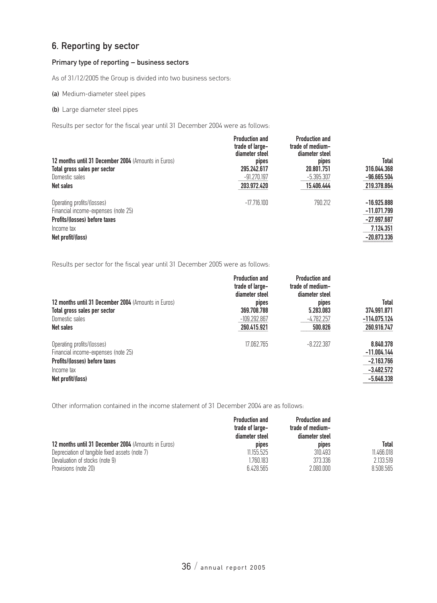## 6. Reporting by sector

#### Primary type of reporting – business sectors

As of 31/12/2005 the Group is divided into two business sectors:

(a) Medium-diameter steel pipes

(b) Large diameter steel pipes

Results per sector for the fiscal year until 31 December 2004 were as follows:

| 12 months until 31 December 2004 (Amounts in Euros)<br>Total gross sales per sector<br>Domestic sales<br><b>Net sales</b>             | <b>Production and</b><br>trade of large-<br>diameter steel<br>pipes<br>295.242.617<br>$-91.270.197$<br>203.972.420 | <b>Production and</b><br>trade of medium-<br>diameter steel<br>pipes<br>20.801.751<br>$-5.395.307$<br>15.406.444 | Total<br>316.044.368<br>$-96.665.504$<br>219.378.864                          |
|---------------------------------------------------------------------------------------------------------------------------------------|--------------------------------------------------------------------------------------------------------------------|------------------------------------------------------------------------------------------------------------------|-------------------------------------------------------------------------------|
| Operating profits/(losses)<br>Financial income-expenses (note 25)<br>Profits/(losses) before taxes<br>Income tax<br>Net profit/(loss) | $-17.716.100$                                                                                                      | 790.212                                                                                                          | $-16.925.888$<br>$-11.071.799$<br>$-27.997.687$<br>7.124.351<br>$-20.873.336$ |

Results per sector for the fiscal year until 31 December 2005 were as follows:

| 12 months until 31 December 2004 (Amounts in Euros)<br>Total gross sales per sector<br>Domestic sales<br>Net sales                    | <b>Production and</b><br>trade of large-<br>diameter steel<br>pipes<br>369.708.788<br>$-109.292.867$<br>260.415.921 | <b>Production and</b><br>trade of medium-<br>diameter steel<br>pipes<br>5.283.083<br>$-4.782.257$<br>500.826 | Total<br>374.991.871<br>$-114.075.124$<br>260.916.747                      |
|---------------------------------------------------------------------------------------------------------------------------------------|---------------------------------------------------------------------------------------------------------------------|--------------------------------------------------------------------------------------------------------------|----------------------------------------------------------------------------|
| Operating profits/(losses)<br>Financial income-expenses (note 25)<br>Profits/(losses) before taxes<br>Income tax<br>Net profit/(loss) | 17.062.765                                                                                                          | $-8.222.387$                                                                                                 | 8.840.378<br>$-11.004.144$<br>$-2.163.766$<br>$-3.482.572$<br>$-5.646.338$ |

Other information contained in the income statement of 31 December 2004 are as follows:

|                                                     | <b>Production and</b><br>trade of large-<br>diameter steel | <b>Production and</b><br>trade of medium-<br>diameter steel |            |
|-----------------------------------------------------|------------------------------------------------------------|-------------------------------------------------------------|------------|
| 12 months until 31 December 2004 (Amounts in Euros) | pipes                                                      | pipes                                                       | Total      |
| Depreciation of tangible fixed assets (note 7)      | 11.155.525                                                 | 310.493                                                     | 11.466.018 |
| Devaluation of stocks (note 9)                      | 1.760.183                                                  | 373.336                                                     | 2.133.519  |
| Provisions (note 20)                                | 6.428.565                                                  | 2.080.000                                                   | 8.508.565  |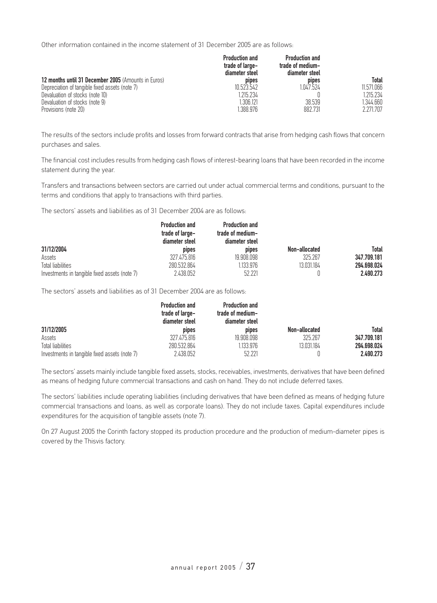Other information contained in the income statement of 31 December 2005 are as follows:

|                                                     | <b>Production and</b><br>trade of large-<br>diameter steel | <b>Production and</b><br>trade of medium-<br>diameter steel |              |
|-----------------------------------------------------|------------------------------------------------------------|-------------------------------------------------------------|--------------|
| 12 months until 31 December 2005 (Amounts in Euros) | pipes                                                      | pipes                                                       | <b>Total</b> |
| Depreciation of tangible fixed assets (note 7)      | 10.523.542                                                 | 1047524                                                     | 11.571.066   |
| Devaluation of stocks (note 10)                     | 1.215.234                                                  |                                                             | 1.215.234    |
| Devaluation of stocks (note 9)                      | 1.306.121                                                  | 38.539                                                      | 1.344.660    |
| Provisions (note 20)                                | 1.388.976                                                  | 882.731                                                     | 2.271.707    |

The results of the sectors include profits and losses from forward contracts that arise from hedging cash flows that concern purchases and sales.

The financial cost includes results from hedging cash flows of interest-bearing loans that have been recorded in the income statement during the year.

Transfers and transactions between sectors are carried out under actual commercial terms and conditions, pursuant to the terms and conditions that apply to transactions with third parties.

The sectors' assets and liabilities as of 31 December 2004 are as follows:

|                                               | <b>Production and</b><br>trade of large-<br>diameter steel | <b>Production and</b><br>trade of medium-<br>diameter steel |               |              |
|-----------------------------------------------|------------------------------------------------------------|-------------------------------------------------------------|---------------|--------------|
| 31/12/2004                                    | pipes                                                      | pipes                                                       | Non-allocated | <b>Total</b> |
| Assets                                        | 327.475.816                                                | 19,908,098                                                  | 325.267       | 347.709.181  |
| Total liabilities                             | 280.532.864                                                | .133.976                                                    | 13.031.184    | 294.698.024  |
| Investments in tangible fixed assets (note 7) | 2.438.052                                                  | 52.221                                                      |               | 2.490.273    |

The sectors' assets and liabilities as of 31 December 2004 are as follows:

|                                               | <b>Production and</b><br>trade of large-<br>diameter steel | <b>Production and</b><br>trade of medium-<br>diameter steel |               |              |
|-----------------------------------------------|------------------------------------------------------------|-------------------------------------------------------------|---------------|--------------|
| 31/12/2005                                    | pipes                                                      | pipes                                                       | Non-allocated | <b>Total</b> |
| Assets                                        | 327.475.816                                                | 19.908.098                                                  | 325.267       | 347.709.181  |
| Total liabilities                             | 280.532.864                                                | 1.133.976                                                   | 13.031.184    | 294.698.024  |
| Investments in tangible fixed assets (note 7) | 2.438.052                                                  | 52.221                                                      |               | 2.490.273    |

The sectors' assets mainly include tangible fixed assets, stocks, receivables, investments, derivatives that have been defined as means of hedging future commercial transactions and cash on hand. They do not include deferred taxes.

The sectors' liabilities include operating liabilities (including derivatives that have been defined as means of hedging future commercial transactions and loans, as well as corporate loans). They do not include taxes. Capital expenditures include expenditures for the acquisition of tangible assets (note 7).

On 27 August 2005 the Corinth factory stopped its production procedure and the production of medium-diameter pipes is covered by the Thisvis factory.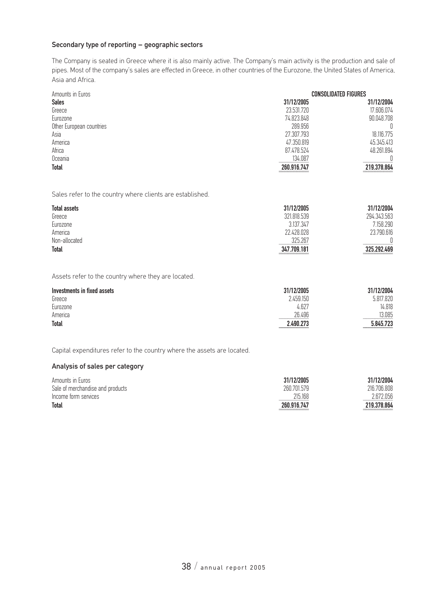#### Secondary type of reporting – geographic sectors

The Company is seated in Greece where it is also mainly active. The Company's main activity is the production and sale of pipes. Most of the company's sales are effected in Greece, in other countries of the Eurozone, the United States of America, Asia and Africa.

| Amounts in Euros         | <b>CONSOLIDATED FIGURES</b> |             |  |
|--------------------------|-----------------------------|-------------|--|
| <b>Sales</b>             | 31/12/2005                  | 31/12/2004  |  |
| Greece                   | 23.531.720                  | 17.606.074  |  |
| Eurozone                 | 74.823.848                  | 90.048.708  |  |
| Other European countries | 289.956                     |             |  |
| Asia                     | 27,307,793                  | 18.116.775  |  |
| America                  | 47.350.819                  | 45.345.413  |  |
| Africa                   | 87.478.524                  | 48.261.894  |  |
| Oceania                  | 134.087                     |             |  |
| <b>Total</b>             | 260.916.747                 | 219.378.864 |  |

Sales refer to the country where clients are established.

| <b>Total assets</b> | 31/12/2005  | 31/12/2004  |
|---------------------|-------------|-------------|
| Greece              | 321.818.539 | 294.343.563 |
| Eurozone            | 3.137.347   | 7.158.290   |
| America             | 22.428.028  | 23.790.616  |
| Non-allocated       | 325.267     |             |
| <b>Total</b>        | 347.709.181 | 325.292.469 |

Assets refer to the country where they are located.

| Investments in fixed assets | 31/12/2005 | 31/12/2004 |
|-----------------------------|------------|------------|
| Greece                      | 2.459.150  | 5.817.820  |
| Eurozone                    | 4.627      | 14.818     |
| America                     | 26.496     | 13.085     |
| <b>Total</b>                | 2.490.273  | 5.845.723  |

Capital expenditures refer to the country where the assets are located.

#### Analysis of sales per category

| Amounts in Euros                 | 31/12/2005  | 31/12/2004  |
|----------------------------------|-------------|-------------|
| Sale of merchandise and products | 260.701.579 | 216,706,808 |
| Income form services             | 215.168     | 2.672.056   |
| <b>Total</b>                     | 260.916.747 | 219.378.864 |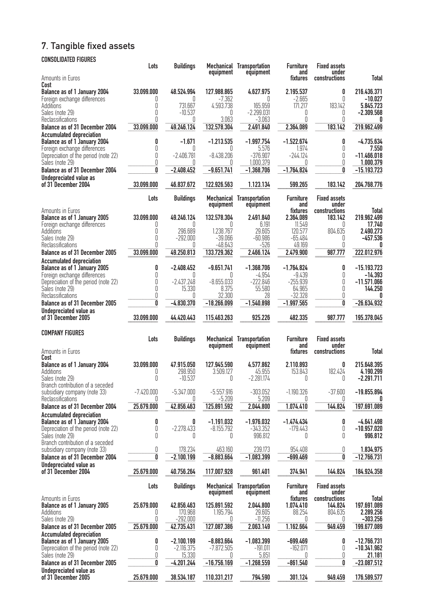## 7. Tangible fixed assets

## CONSOLIDATED FIGURES

| Amounts in Euros                                                                              | Lots            | Buildings                    | equipment                                           | Mechanical Transportation<br>equipment | <b>Furniture</b><br>and<br>fixtures | <b>Fixed assets</b><br>under<br>constructions | Total                          |
|-----------------------------------------------------------------------------------------------|-----------------|------------------------------|-----------------------------------------------------|----------------------------------------|-------------------------------------|-----------------------------------------------|--------------------------------|
| Cost                                                                                          |                 |                              |                                                     |                                        |                                     |                                               |                                |
| Balance as of 1 January 2004<br>Foreign exchange differences                                  | 33.099.000<br>O | 48.524.994<br>0              | 127.988.865<br>$-7.362$                             | 4.627.975<br>0                         | 2.195.537<br>$-2.665$               | 0<br>0                                        | 216.436.371<br>$-10.027$       |
| Additions                                                                                     | 0               | 731.667                      | 4.593.738                                           | 165.959                                | 171.217                             | 183.142                                       | 5.845.723                      |
| Sales (note 29)<br>Reclassifications                                                          | 0<br>N          | $-10.537$<br>0               | 0<br>3.063                                          | $-2.299.031$<br>$-3.063$               | 0<br>0                              | U<br>0                                        | $-2.309.568$<br>0              |
| Balance as of 31 December 2004                                                                | 33.099.000      | 49.246.124                   | 132.578.304                                         | 2.491.840                              | 2.364.089                           | 183.142                                       | 219.962.499                    |
| <b>Accumulated depreciation</b>                                                               |                 |                              | $-1.213.535$                                        |                                        |                                     |                                               |                                |
| Balance as of 1 January 2004<br>Foreign exchange differences                                  | 0<br>0          | $-1.671$<br>Ŋ                | Ŋ                                                   | $-1.997.754$<br>5.576                  | $-1.522.674$<br>1.974               | 0<br>0                                        | $-4.735.634$<br>7.550          |
| Depreciation of the period (note 22)                                                          | 0               | $-2.406.781$                 | $-8.438.206$                                        | $-376.907$                             | $-244.124$                          | 0                                             | $-11.466.018$                  |
| Sales (note 29)<br>Balance as of 31 December 2004                                             | 0<br>Ō          | 0<br>$-2.408.452$            | U<br>$-9.651.741$                                   | 1.000.379<br>$-1.368.706$              | 0<br>$-1.764.824$                   | 0<br>Ō                                        | 1.000.379<br>$-15.193.723$     |
| <b>Undepreciated value as</b>                                                                 |                 |                              |                                                     |                                        |                                     |                                               |                                |
| of 31 December 2004                                                                           | 33.099.000      | 46.837.672                   | 122.926.563                                         | 1.123.134                              | 599.265                             | 183.142                                       | 204.768.776                    |
|                                                                                               | Lots            | <b>Buildings</b>             | Mechanical                                          | <b>Transportation</b>                  | <b>Furniture</b>                    | <b>Fixed assets</b>                           |                                |
| Amounts in Euros                                                                              |                 |                              | equipment                                           | equipment                              | and<br>fixtures                     | under<br>constructions                        | Total                          |
| Balance as of 1 January 2005                                                                  | 33.099.000      | 49.246.124                   | 132.578.304                                         | 2.491.840                              | 2.364.089                           | 183.142                                       | 219.962.499                    |
| Foreign exchange differences<br>Additions                                                     | U<br>0          | $[]$<br>296.689              | $\begin{array}{c} \square \end{array}$<br>1.238.767 | 6.191<br>29.605                        | 11.549<br>120.577                   | 0<br>804.635                                  | 17.740<br>2.490.273            |
| Sales (note 29)                                                                               | 0               | $-292.000$                   | $-39.066$                                           | $-60.986$                              | $-65.484$                           | U                                             | $-457.536$                     |
| Reclassifications<br>Balance as of 31 December 2005                                           | N<br>33.099.000 | 0<br>49.250.813              | $-48.643$<br>133.729.362                            | $-526$<br>2.466.124                    | 49.169<br>2.479.900                 | 0<br>987.777                                  | 222.012.976                    |
| <b>Accumulated depreciation</b>                                                               |                 |                              |                                                     |                                        |                                     |                                               |                                |
| Balance as of 1 January 2005<br>Foreign exchange differences                                  | 0<br>0          | $-2.408.452$<br>0            | $-9.651.741$<br>0                                   | $-1.368.706$<br>$-4.954$               | $-1.764.824$<br>$-9.439$            | 0<br>0                                        | $-15.193.723$<br>$-14.393$     |
| Depreciation of the period (note 22)                                                          | 0               | $-2.437.248$                 | $-8.655.033$                                        | $-222.846$                             | $-255.939$                          | 0                                             | $-11.571.066$                  |
| Sales (note 29)<br>Reclassifications                                                          | 0<br>0          | 15.330<br>0                  | 8.375<br>32.300                                     | 55.580<br>28                           | 64.965<br>$-32.328$                 | 0<br>0                                        | 144.250<br>П                   |
| <b>Balance as of 31 December 2005</b>                                                         | 0               | $-4.830.370$                 | $-18.266.099$                                       | $-1.540.898$                           | $-1.997.565$                        | $\overline{\mathbf{0}}$                       | $-26.634.932$                  |
| <b>Undepreciated value as</b>                                                                 |                 |                              |                                                     |                                        |                                     |                                               |                                |
| of 31 December 2005                                                                           | 33.099.000      | 44.420.443                   | 115.463.263                                         | 925.226                                | 482.335                             | 987.777                                       | 195.378.045                    |
| <b>COMPANY FIGURES</b>                                                                        |                 |                              |                                                     |                                        |                                     |                                               |                                |
|                                                                                               |                 |                              |                                                     |                                        |                                     |                                               |                                |
|                                                                                               | Lots            | <b>Buildings</b>             | equipment                                           | Mechanical Transportation<br>equipment | <b>Furniture</b><br>and             | <b>Fixed assets</b><br>under                  |                                |
| Amounts in Euros                                                                              |                 |                              |                                                     |                                        | fixtures                            | constructions                                 | Total                          |
| Cost<br>Balance as of 1 January 2004                                                          | 33.099.000      | 47.915.050                   | 127.945.590                                         | 4.577.862                              | 2.110.893                           | 0                                             | 215.648.395                    |
| Additions                                                                                     | U               | 298.950                      | 3.509.127<br>$[]$                                   | 45.955                                 | 153.843<br>O                        | 182.424<br>0                                  | 4.190.299                      |
| Sales (note 29)<br>Branch contribution of a seceded                                           | 0               | $-10.537$                    |                                                     | $-2.281.174$                           |                                     |                                               | $-2.291.711$                   |
| subsidiary company (note 33)                                                                  | $-7.420.000$    | $-5.347.000$                 | $-5.557.916$                                        | $-303.052$                             | $-1.190.326$                        | $-37.600$                                     | $-19.855.894$<br>0             |
| Reclassifications<br>Balance as of 31 December 2004                                           | 0<br>25.679.000 | 0<br>42.856.463              | $-5.209$<br>125.891.592                             | 5.209<br>2.044.800                     | 0<br>1.074.410                      | 0<br>144.824                                  | 197.691.089                    |
| <b>Accumulated depreciation</b>                                                               |                 |                              |                                                     |                                        |                                     |                                               |                                |
| Balance as of 1 January 2004<br>Depreciation of the period (note 22)                          | 0<br>0          | 0<br>$-2.278.433$            | $-1.191.032$<br>$-8.155.792$                        | $-1.976.032$<br>$-343.352$             | $-1.474.434$<br>$-179.443$          | 0<br>0                                        | $-4.641.498$<br>$-10.957.020$  |
| Sales (note 29)                                                                               | n               | $[]$                         | 0                                                   | 996.812                                | 0                                   | 0                                             | 996.812                        |
| Branch contribution of a seceded                                                              | 0               | 178.234                      | 463.160                                             | 239.173                                | 954.408                             | 0                                             | 1.834.975                      |
| subsidiary company (note 33)<br>Balance as of 31 December 2004                                | 0               | $-2.100.199$                 | $-8.883.664$                                        | $-1.083.399$                           | $-699.469$                          | 0                                             | $-12.766.731$                  |
| <b>Undepreciated value as</b><br>of 31 December 2004                                          | 25.679.000      | 40.756.264                   | 117.007.928                                         | 961.401                                | 374.941                             | 144.824                                       | 184.924.358                    |
|                                                                                               | Lots            | <b>Buildings</b>             |                                                     | Mechanical Transportation              | <b>Furniture</b>                    | <b>Fixed assets</b>                           |                                |
| Amounts in Euros                                                                              |                 |                              | equipment                                           | equipment                              | and<br>fixtures                     | under<br>constructions                        | <b>Total</b>                   |
| Balance as of 1 January 2005                                                                  | 25.679.000      | 42.856.463                   | 125.891.592                                         | 2.044.800                              | 1.074.410                           | 144.824                                       | 197.691.089                    |
| Additions<br>Sales (note 29)                                                                  | U<br>0          | 170.968<br>$-292.000$        | 1.195.794<br>0                                      | 29.605<br>$-11.256$                    | 88.254<br>O                         | 804.635<br>0                                  | 2.289.256<br>$-303.256$        |
| <b>Balance as of 31 December 2005</b>                                                         | 25.679.000      | 42.735.431                   | 127.087.386                                         | 2.063.149                              | 1.162.664                           | 949.459                                       | 199.677.089                    |
| <b>Accumulated depreciation</b>                                                               |                 |                              |                                                     |                                        |                                     |                                               |                                |
| Balance as of 1 January 2005<br>Depreciation of the period (note 22)                          | 0<br>0          | $-2.100.199$<br>$-2.116.375$ | $-8.883.664$<br>$-7.872.505$                        | $-1.083.399$<br>$-191.011$             | $-699.469$<br>$-162.071$            | 0<br>0                                        | $-12.766.731$<br>$-10.341.962$ |
| Sales (note 29)                                                                               | 0               | 15.330                       | U                                                   | 5.851                                  | 0                                   | 0                                             | 21.181                         |
| <b>Balance as of 31 December 2005</b><br><b>Undepreciated value as</b><br>of 31 December 2005 | 0<br>25.679.000 | $-4.201.244$<br>38.534.187   | $-16.756.169$<br>110.331.217                        | $-1.268.559$<br>794.590                | $-861.540$<br>301.124               | Ō<br>949.459                                  | $-23.087.512$<br>176.589.577   |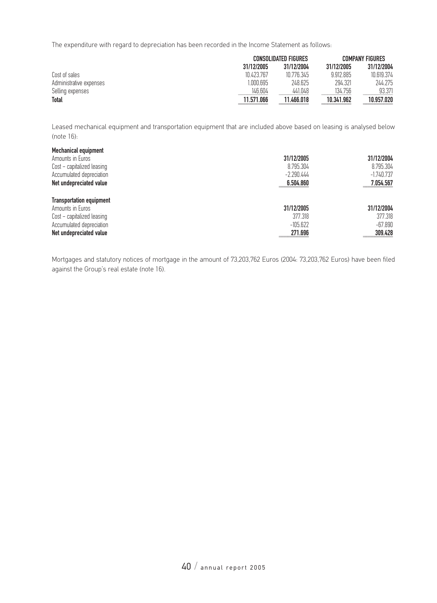The expenditure with regard to depreciation has been recorded in the Income Statement as follows:

|                         |            | <b>CONSOLIDATED FIGURES</b> |            | <b>COMPANY FIGURES</b> |
|-------------------------|------------|-----------------------------|------------|------------------------|
|                         | 31/12/2005 | 31/12/2004                  | 31/12/2005 | 31/12/2004             |
| Cost of sales           | 10 423 767 | 10 776 345                  | 9.912.885  | 10 619 374             |
| Administrative expenses | 1.000.695  | 248.625                     | 294.321    | 244.275                |
| Selling expenses        | 146.604    | 441.048                     | 134.756    | 93.371                 |
| <b>Total</b>            | 11.571.066 | 11.466.018                  | 10.341.962 | 10.957.020             |

Leased mechanical equipment and transportation equipment that are included above based on leasing is analysed below (note 16):

| <b>Mechanical equipment</b>     |              |              |
|---------------------------------|--------------|--------------|
| Amounts in Euros                | 31/12/2005   | 31/12/2004   |
| Cost - capitalized leasing      | 8.795.304    | 8.795.304    |
| Accumulated depreciation        | $-2.290.444$ | $-1.740.737$ |
| Net undepreciated value         | 6,504,860    | 7.054.567    |
| <b>Transportation equipment</b> |              |              |
| Amounts in Euros                | 31/12/2005   | 31/12/2004   |
| Cost - capitalized leasing      | 377.318      | 377.318      |
| Accumulated depreciation        | $-105.622$   | $-67.890$    |
| Net undepreciated value         | 271.696      | 309.428      |

Mortgages and statutory notices of mortgage in the amount of 73,203,762 Euros (2004: 73,203,762 Euros) have been filed against the Group's real estate (note 16).

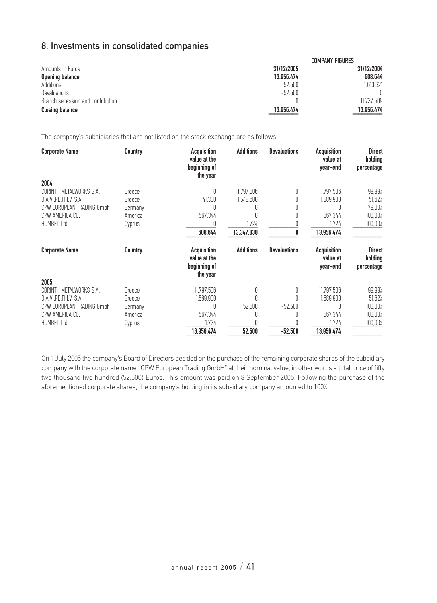## 8. Investments in consolidated companies

|                                   | <b>COMPANY FIGURES</b> |            |  |  |
|-----------------------------------|------------------------|------------|--|--|
| Amounts in Euros                  | 31/12/2005             | 31/12/2004 |  |  |
| <b>Opening balance</b>            | 13.956.474             | 608.644    |  |  |
| Additions                         | 52.500                 | 1.610.321  |  |  |
| <b>Devaluations</b>               | $-52.500$              | n          |  |  |
| Branch secession and contribution |                        | 11.737.509 |  |  |
| <b>Closing balance</b>            | 13.956.474             | 13.956.474 |  |  |

The company's subsidiaries that are not listed on the stock exchange are as follows:

| <b>Corporate Name</b>     | <b>Country</b> | <b>Acquisition</b><br>value at the<br>beginning of<br>the year | <b>Additions</b> | <b>Devaluations</b> | <b>Acquisition</b><br>value at<br>year-end | <b>Direct</b><br>holding<br>percentage |
|---------------------------|----------------|----------------------------------------------------------------|------------------|---------------------|--------------------------------------------|----------------------------------------|
| 2004                      |                |                                                                |                  |                     |                                            |                                        |
| CORINTH METALWORKS S.A.   | Greece         | 0                                                              | 11.797.506       | 0                   | 11.797.506                                 | 99,99%                                 |
| DIA.VI.PE.THI.V. S.A.     | Greece         | 41.300                                                         | 1.548.600        | 0                   | 1.589.900                                  | 51,62%                                 |
| CPW EUROPEAN TRADING Gmbh | Germany        |                                                                |                  | 0                   |                                            | 79,00%                                 |
| CPW AMERICA CO.           | America        | 567.344                                                        |                  | 0                   | 567.344                                    | 100,00%                                |
| <b>HUMBEL Ltd</b>         | Cyprus         | 0                                                              | 1.724            |                     | 1.724                                      | 100,00%                                |
|                           |                | 608.644                                                        | 13.347.830       |                     | 13.956.474                                 |                                        |
| <b>Corporate Name</b>     | Country        | Acquisition<br>value at the<br>beginning of<br>the year        | <b>Additions</b> | <b>Devaluations</b> | <b>Acquisition</b><br>value at<br>year-end | <b>Direct</b><br>holding<br>percentage |
| 2005                      |                |                                                                |                  |                     |                                            |                                        |
| CORINTH METALWORKS S.A.   | Greece         | 11.797.506                                                     | Ŋ                | 0                   | 11.797.506                                 | 99,99%                                 |
| DIA.VI.PE.THI.V. S.A.     | Greece         | 1.589.900                                                      |                  |                     | 1.589.900                                  | 51,62%                                 |
| CPW EUROPEAN TRADING Gmbh | Germany        |                                                                | 52.500           | $-52.500$           |                                            | 100,00%                                |
| CPW AMERICA CO.           | America        | 567.344                                                        | N                |                     | 567.344                                    | 100,00%                                |
| <b>HUMBEL Ltd</b>         | Cyprus         | 1.724                                                          |                  |                     | 1.724                                      | 100,00%                                |
|                           |                | 13.956.474                                                     | 52.500           | $-52.500$           | 13.956.474                                 |                                        |

On 1 July 2005 the company's Board of Directors decided on the purchase of the remaining corporate shares of the subsidiary company with the corporate name "CPW European Trading GmbH" at their nominal value, in other words a total price of fifty two thousand five hundred (52,500) Euros. This amount was paid on 8 September 2005. Following the purchase of the aforementioned corporate shares, the company's holding in its subsidiary company amounted to 100%.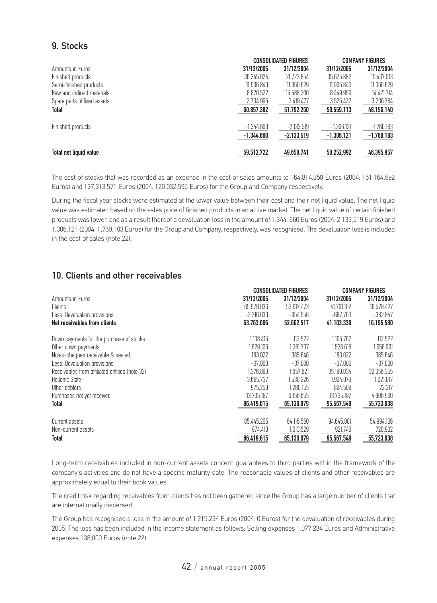## 9. Stocks

|                               |              | <b>CONSOLIDATED FIGURES</b> |              | <b>COMPANY FIGURES</b> |
|-------------------------------|--------------|-----------------------------|--------------|------------------------|
| Amounts in Euros              | 31/12/2005   | 31/12/2004                  | 31/12/2005   | 31/12/2004             |
| Finished products             | 36.345.024   | 21.723.854                  | 35.675.882   | 19.437.013             |
| Semi-finished products        | 11.906.840   | 11.060.629                  | 11.906.840   | 11.060.629             |
| Raw and indirect materials    | 8.870.522    | 15.588.300                  | 8.449.959    | 14.421.714             |
| Spare parts of fixed assets   | 3.734.996    | 3.419.477                   | 3.526.432    | 3.236.784              |
| <b>Total</b>                  | 60.857.382   | 51.792.260                  | 59.559.113   | 48.156.140             |
| Finished products             | -1.344.660   | $-2.133.519$                | $-1.306.121$ | $-1.760.183$           |
|                               | $-1.344.660$ | $-2.133.519$                | $-1.306.121$ | $-1.760.183$           |
| <b>Total net liquid value</b> | 59.512.722   | 49.658.741                  | 58.252.992   | 46.395.957             |

The cost of stocks that was recorded as an expense in the cost of sales amounts to 164,814,350 Euros (2004: 151,164,692 Euros) and 137,313,571 Euros (2004: 120,032,595 Euros) for the Group and Company respectively.

During the fiscal year stocks were estimated at the lower value between their cost and their net liquid value. The net liquid value was estimated based on the sales price of finished products in an active market. The net liquid value of certain finished products was lower, and as a result thereof a devaluation loss in the amount of 1,344, 660 Euros (2004: 2,133,519 Euros) and 1,306,121 (2004: 1,760,183 Euros) for the Group and Company, respectively, was recognised. The devaluation loss is included in the cost of sales (note 22).

## 10. Clients and other receivables

|                                                | <b>CONSOLIDATED FIGURES</b> | <b>COMPANY FIGURES</b> |            |            |
|------------------------------------------------|-----------------------------|------------------------|------------|------------|
| Amounts in Euros                               | 31/12/2005                  | 31/12/2004             | 31/12/2005 | 31/12/2004 |
| Clients                                        | 65.979.036                  | 53.617.473             | 41.791.102 | 16.578.427 |
| Less: Devaluation provisions                   | $-2.216.030$                | -954.956               | -687.763   | $-382.847$ |
| Net receivables from clients                   | 63.763.006                  | 52.662.517             | 41.103.339 | 16.195.580 |
| Down payments for the purchase of stocks       | 1.108.415                   | 112.522                | 1.105.762  | 112.522    |
| Other down payments                            | 1.629.106                   | .381.737               | 1.528.618  | 1.058.901  |
| Notes-cheques receivable & sealed              | 183.022                     | 385.646                | 183.022    | 385.646    |
| Less: Devaluation provisions                   | $-37.000$                   | $-37.000$              | $-37.000$  | $-37.000$  |
| Receivables from affiliated entities (note 32) | 1.376.883                   | 1.657.621              | 35.180.034 | 32.056.355 |
| Hellenic State                                 | 3.685.737                   | 1.530.226              | 1.904.079  | 1.021.817  |
| Other debtors                                  | 975.259                     | 1.280.155              | 864.508    | 22.317     |
| Purchases not yet received                     | 13.735.187                  | 6.156.655              | 13.735.187 | 4.906.900  |
| Total                                          | 86.419.615                  | 65.130.079             | 95.567.549 | 55.723.038 |
| Current assets                                 | 85.445.205                  | 64.116.550             | 94.645.801 | 54.994.106 |
| Non-current assets                             | 974.410                     | 1.013.529              | 921.748    | 728.932    |
| Total                                          | 86.419.615                  | 65.130.079             | 95.567.549 | 55.723.038 |

Long-term receivables included in non-current assets concern guarantees to third parties within the framework of the company's activities and do not have a specific maturity date. The reasonable values of clients and other receivables are approximately equal to their book values.

The credit risk regarding receivables from clients has not been gathered since the Group has a large number of clients that are internationally dispersed.

The Group has recognised a loss in the amount of 1,215,234 Euros (2004: 0 Euros) for the devaluation of receivables during 2005. The loss has been included in the income statement as follows: Selling expenses 1,077,234 Euros and Administrative expenses 138,000 Euros (note 22).

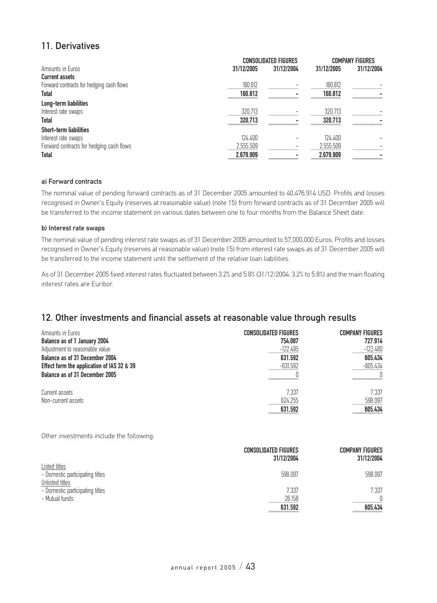## 11. Derivatives

|                                          | <b>CONSOLIDATED FIGURES</b> |            |            | <b>COMPANY FIGURES</b> |  |
|------------------------------------------|-----------------------------|------------|------------|------------------------|--|
| Amounts in Euros                         | 31/12/2005                  | 31/12/2004 | 31/12/2005 | 31/12/2004             |  |
| <b>Current assets</b>                    |                             |            |            |                        |  |
| Forward contracts for hedging cash flows | 160.812                     |            | 160.812    |                        |  |
| <b>Total</b>                             | 160.812                     |            | 160.812    |                        |  |
| Long-term liabilities                    |                             |            |            |                        |  |
| Interest rate swaps                      | 320.713                     |            | 320.713    |                        |  |
| <b>Total</b>                             | 320.713                     |            | 320.713    |                        |  |
| <b>Short-term liabilities</b>            |                             |            |            |                        |  |
| Interest rate swaps                      | 124.400                     |            | 124.400    |                        |  |
| Forward contracts for hedging cash flows | 2.555.509                   |            | 2.555.509  |                        |  |
| <b>Total</b>                             | 2.679.909                   |            | 2.679.909  |                        |  |

#### a) Forward contracts

The nominal value of pending forward contracts as of 31 December 2005 amounted to 40,476,914 USD. Profits and losses recognised in Owner's Equity (reserves at reasonable value) (note 15) from forward contracts as of 31 December 2005 will be transferred to the income statement on various dates between one to four months from the Balance Sheet date.

#### b) Interest rate swaps

The nominal value of pending interest rate swaps as of 31 December 2005 amounted to 57,000,000 Euros. Profits and losses recognised in Owner's Equity (reserves at reasonable value) (note 15) from interest rate swaps as of 31 December 2005 will be transferred to the income statement until the settlement of the relative loan liabilities.

As of 31 December 2005 fixed interest rates fluctuated between 3.2% and 5.8% (31/12/2004: 3.2% to 5.8%) and the main floating interest rates are Euribor.

### 12. Other investments and financial assets at reasonable value through results

| Amounts in Euros<br><b>Balance as of 1 January 2004</b> | <b>CONSOLIDATED FIGURES</b><br>754.087 | <b>COMPANY FIGURES</b><br>727.914 |
|---------------------------------------------------------|----------------------------------------|-----------------------------------|
| Adjustment to reasonable value                          | $-122.495$                             | $-122.480$                        |
| Balance as of 31 December 2004                          | 631.592                                | 605.434                           |
| Effect form the application of IAS 32 & 39              | -631.592                               | -605.434                          |
| Balance as of 31 December 2005                          |                                        |                                   |
| Current assets                                          | 7 337                                  | 7 337                             |
| Non-current assets                                      | 624.255                                | 598.097                           |
|                                                         | 631.592                                | 605.434                           |

Other investments include the following:

|                                 | <b>CONSOLIDATED FIGURES</b><br>31/12/2004 | <b>COMPANY FIGURES</b><br>31/12/2004 |
|---------------------------------|-------------------------------------------|--------------------------------------|
| Listed titles                   |                                           |                                      |
| - Domestic participating titles | 598.097                                   | 598.097                              |
| Unlisted titles                 |                                           |                                      |
| - Domestic participating titles | 7.337                                     | 7.337                                |
| - Mutual funds                  | 26.158                                    | Ŋ                                    |
|                                 | 631.592                                   | 605.434                              |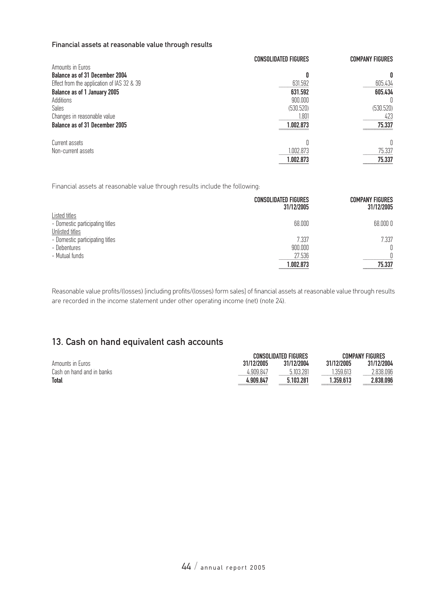#### Financial assets at reasonable value through results

|                                            | <b>CONSOLIDATED FIGURES</b> | <b>COMPANY FIGURES</b> |
|--------------------------------------------|-----------------------------|------------------------|
| Amounts in Euros                           |                             |                        |
| <b>Balance as of 31 December 2004</b>      | Λ                           | 0                      |
| Effect from the application of IAS 32 & 39 | 631.592                     | 605.434                |
| Balance as of 1 January 2005               | 631.592                     | 605.434                |
| Additions                                  | 900.000                     |                        |
| <b>Sales</b>                               | (530.520)                   | (530.520)              |
| Changes in reasonable value                | 1.801                       | 423                    |
| <b>Balance as of 31 December 2005</b>      | 1.002.873                   | 75.337                 |
| Current assets                             |                             | Ŋ                      |
| Non-current assets                         | 1.002.873                   | 75.337                 |
|                                            | 1.002.873                   | 75.337                 |

Financial assets at reasonable value through results include the following:

|                                 | <b>CONSOLIDATED FIGURES</b><br>31/12/2005 | <b>COMPANY FIGURES</b><br>31/12/2005 |
|---------------------------------|-------------------------------------------|--------------------------------------|
| Listed titles                   |                                           |                                      |
| - Domestic participating titles | 68.000                                    | 68,000 0                             |
| Unlisted titles                 |                                           |                                      |
| - Domestic participating titles | 7.337                                     | 7.337                                |
| - Debentures                    | 900.000                                   | 0                                    |
| - Mutual funds                  | 27.536                                    |                                      |
|                                 | 1.002.873                                 | 75.337                               |

Reasonable value profits/(losses) [including profits/(losses) form sales] of financial assets at reasonable value through results are recorded in the income statement under other operating income (net) (note 24).

## 13. Cash on hand equivalent cash accounts

|                           | <b>CONSOLIDATED FIGURES</b> | <b>COMPANY FIGURES</b> |            |            |
|---------------------------|-----------------------------|------------------------|------------|------------|
| Amounts in Euros          | 31/12/2005                  | 31/12/2004             | 31/12/2005 | 31/12/2004 |
| Cash on hand and in banks | 4.909.847                   | 5.103.281              | .359.613   | 2.838.096  |
| <b>Total</b>              | 4.909.847                   | 5.103.281              | 1.359.613  | 2.838.096  |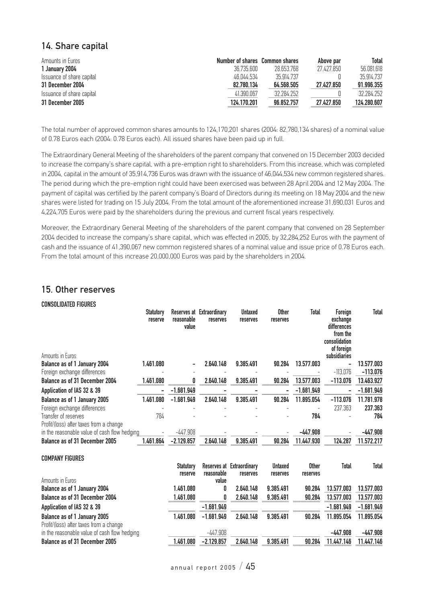## 14. Share capital

| Amounts in Euros          | Number of shares Common shares |            | Above par  | <b>Total</b> |
|---------------------------|--------------------------------|------------|------------|--------------|
| 1 January 2004            | 36.735.600                     | 28.653.768 | 27 427 850 | 56 081 618   |
| Issuance of share capital | 46.044.534                     | 35.914.737 |            | 35.914.737   |
| 31 December 2004          | 82.780.134                     | 64.568.505 | 27.427.850 | 91.996.355   |
| Issuance of share capital | 41.390.067                     | 32.284.252 |            | 32.284.252   |
| 31 December 2005          | 124.170.201                    | 96.852.757 | 27.427.850 | 124.280.607  |

The total number of approved common shares amounts to 124,170,201 shares (2004: 82,780,134 shares) of a nominal value of 0.78 Euros each (2004: 0.78 Euros each). All issued shares have been paid up in full.

The Extraordinary General Meeting of the shareholders of the parent company that convened on 15 December 2003 decided to increase the company's share capital, with a pre-emption right to shareholders. From this increase, which was completed in 2004, capital in the amount of 35,914,736 Euros was drawn with the issuance of 46,044,534 new common registered shares. The period during which the pre-emption right could have been exercised was between 28 April 2004 and 12 May 2004. The payment of capital was certified by the parent company's Board of Directors during its meeting on 18 May 2004 and the new shares were listed for trading on 15 July 2004. From the total amount of the aforementioned increase 31,690,031 Euros and 4,224,705 Euros were paid by the shareholders during the previous and current fiscal years respectively.

Moreover, the Extraordinary General Meeting of the shareholders of the parent company that convened on 28 September 2004 decided to increase the company's share capital, which was effected in 2005, by 32,284,252 Euros with the payment of cash and the issuance of 41,390,067 new common registered shares of a nominal value and issue price of 0.78 Euros each. From the total amount of this increase 20,000,000 Euros was paid by the shareholders in 2004.

### 15. Other reserves

#### CONSOLIDATED FIGURES

| 1.461.080<br>2.640.148<br>13.577.003<br>Balance as of 1 January 2004<br>9.385.491<br>90.284<br>$-113.076$<br>Foreign exchange differences<br>Balance as of 31 December 2004<br>$-113.076$<br>1.461.080<br>2.640.148<br>9.385.491<br>90.284<br>13.577.003<br>0<br>$-1.681.949$<br>Application of IAS 32 & 39<br>$-1.681.949$<br>1.461.080<br>$-1.681.949$<br>2.640.148<br>90.284<br>$-113.076$<br>9.385.491<br>11.895.054<br><b>Balance as of 1 January 2005</b><br>Foreign exchange differences<br>237.363<br>Transfer of reserves<br>784<br>784<br>Profit/(loss) after taxes from a change<br>in the reasonable value of cash flow hedging<br>$-447.908$<br>$-447.908$<br>$-447.908$<br>124.287<br>Balance as of 31 December 2005<br>1.461.864<br>$-2.129.857$<br>2.640.148<br>9.385.491<br>90.284<br>11.447.930<br>11.572.217<br><b>COMPANY FIGURES</b><br>Reserves at Extraordinary<br><b>Other</b><br>Total<br>Untaxed<br><b>Statutory</b><br>reasonable<br>reserve<br>reserves<br>reserves<br>reserves<br>Amounts in Euros<br>value<br>1.461.080<br>2.640.148<br>9.385.491<br>90.284<br>13.577.003<br>Balance as of 1 January 2004<br>0<br>13.577.003<br><b>Balance as of 31 December 2004</b><br>1.461.080<br>2.640.148<br>9.385.491<br>90.284<br>0<br>$-1.681.949$<br>$-1.681.949$<br>Application of IAS 32 & 39<br>1.461.080<br>2.640.148<br>$-1.681.949$<br>9.385.491<br>90.284<br>11.895.054<br>Balance as of 1 January 2005<br>Profit/(loss) after taxes from a change<br>$-447.908$<br>$-447.908$<br>in the reasonable value of cash flow hedging<br>1.461.080<br>2.640.148<br>9.385.491<br>90.284<br><b>Balance as of 31 December 2005</b><br>$-2.129.857$<br>11.447.146 | Amounts in Euros | <b>Statutory</b><br>reserve | reasonable<br>value | Reserves at Extraordinary<br>reserves | <b>Untaxed</b><br>reserves | Other<br>reserves | Total | Foreign<br>exchange<br>differences<br>from the<br>consolidation<br>of foreign<br>subsidiaries | Total        |
|---------------------------------------------------------------------------------------------------------------------------------------------------------------------------------------------------------------------------------------------------------------------------------------------------------------------------------------------------------------------------------------------------------------------------------------------------------------------------------------------------------------------------------------------------------------------------------------------------------------------------------------------------------------------------------------------------------------------------------------------------------------------------------------------------------------------------------------------------------------------------------------------------------------------------------------------------------------------------------------------------------------------------------------------------------------------------------------------------------------------------------------------------------------------------------------------------------------------------------------------------------------------------------------------------------------------------------------------------------------------------------------------------------------------------------------------------------------------------------------------------------------------------------------------------------------------------------------------------------------------------------------------------------------------------------------|------------------|-----------------------------|---------------------|---------------------------------------|----------------------------|-------------------|-------|-----------------------------------------------------------------------------------------------|--------------|
|                                                                                                                                                                                                                                                                                                                                                                                                                                                                                                                                                                                                                                                                                                                                                                                                                                                                                                                                                                                                                                                                                                                                                                                                                                                                                                                                                                                                                                                                                                                                                                                                                                                                                       |                  |                             |                     |                                       |                            |                   |       |                                                                                               | 13.577.003   |
|                                                                                                                                                                                                                                                                                                                                                                                                                                                                                                                                                                                                                                                                                                                                                                                                                                                                                                                                                                                                                                                                                                                                                                                                                                                                                                                                                                                                                                                                                                                                                                                                                                                                                       |                  |                             |                     |                                       |                            |                   |       |                                                                                               | $-113.076$   |
|                                                                                                                                                                                                                                                                                                                                                                                                                                                                                                                                                                                                                                                                                                                                                                                                                                                                                                                                                                                                                                                                                                                                                                                                                                                                                                                                                                                                                                                                                                                                                                                                                                                                                       |                  |                             |                     |                                       |                            |                   |       |                                                                                               | 13.463.927   |
|                                                                                                                                                                                                                                                                                                                                                                                                                                                                                                                                                                                                                                                                                                                                                                                                                                                                                                                                                                                                                                                                                                                                                                                                                                                                                                                                                                                                                                                                                                                                                                                                                                                                                       |                  |                             |                     |                                       |                            |                   |       |                                                                                               | $-1.681.949$ |
|                                                                                                                                                                                                                                                                                                                                                                                                                                                                                                                                                                                                                                                                                                                                                                                                                                                                                                                                                                                                                                                                                                                                                                                                                                                                                                                                                                                                                                                                                                                                                                                                                                                                                       |                  |                             |                     |                                       |                            |                   |       |                                                                                               | 11.781.978   |
|                                                                                                                                                                                                                                                                                                                                                                                                                                                                                                                                                                                                                                                                                                                                                                                                                                                                                                                                                                                                                                                                                                                                                                                                                                                                                                                                                                                                                                                                                                                                                                                                                                                                                       |                  |                             |                     |                                       |                            |                   |       |                                                                                               | 237.363      |
|                                                                                                                                                                                                                                                                                                                                                                                                                                                                                                                                                                                                                                                                                                                                                                                                                                                                                                                                                                                                                                                                                                                                                                                                                                                                                                                                                                                                                                                                                                                                                                                                                                                                                       |                  |                             |                     |                                       |                            |                   |       |                                                                                               | 784          |
|                                                                                                                                                                                                                                                                                                                                                                                                                                                                                                                                                                                                                                                                                                                                                                                                                                                                                                                                                                                                                                                                                                                                                                                                                                                                                                                                                                                                                                                                                                                                                                                                                                                                                       |                  |                             |                     |                                       |                            |                   |       |                                                                                               |              |
|                                                                                                                                                                                                                                                                                                                                                                                                                                                                                                                                                                                                                                                                                                                                                                                                                                                                                                                                                                                                                                                                                                                                                                                                                                                                                                                                                                                                                                                                                                                                                                                                                                                                                       |                  |                             |                     |                                       |                            |                   |       |                                                                                               |              |
|                                                                                                                                                                                                                                                                                                                                                                                                                                                                                                                                                                                                                                                                                                                                                                                                                                                                                                                                                                                                                                                                                                                                                                                                                                                                                                                                                                                                                                                                                                                                                                                                                                                                                       |                  |                             |                     |                                       |                            |                   |       |                                                                                               |              |
|                                                                                                                                                                                                                                                                                                                                                                                                                                                                                                                                                                                                                                                                                                                                                                                                                                                                                                                                                                                                                                                                                                                                                                                                                                                                                                                                                                                                                                                                                                                                                                                                                                                                                       |                  |                             |                     |                                       |                            |                   |       |                                                                                               |              |
|                                                                                                                                                                                                                                                                                                                                                                                                                                                                                                                                                                                                                                                                                                                                                                                                                                                                                                                                                                                                                                                                                                                                                                                                                                                                                                                                                                                                                                                                                                                                                                                                                                                                                       |                  |                             |                     |                                       |                            |                   |       |                                                                                               | Total        |
|                                                                                                                                                                                                                                                                                                                                                                                                                                                                                                                                                                                                                                                                                                                                                                                                                                                                                                                                                                                                                                                                                                                                                                                                                                                                                                                                                                                                                                                                                                                                                                                                                                                                                       |                  |                             |                     |                                       |                            |                   |       |                                                                                               | 13.577.003   |
|                                                                                                                                                                                                                                                                                                                                                                                                                                                                                                                                                                                                                                                                                                                                                                                                                                                                                                                                                                                                                                                                                                                                                                                                                                                                                                                                                                                                                                                                                                                                                                                                                                                                                       |                  |                             |                     |                                       |                            |                   |       |                                                                                               | 13,577,003   |
|                                                                                                                                                                                                                                                                                                                                                                                                                                                                                                                                                                                                                                                                                                                                                                                                                                                                                                                                                                                                                                                                                                                                                                                                                                                                                                                                                                                                                                                                                                                                                                                                                                                                                       |                  |                             |                     |                                       |                            |                   |       |                                                                                               | $-1.681.949$ |
|                                                                                                                                                                                                                                                                                                                                                                                                                                                                                                                                                                                                                                                                                                                                                                                                                                                                                                                                                                                                                                                                                                                                                                                                                                                                                                                                                                                                                                                                                                                                                                                                                                                                                       |                  |                             |                     |                                       |                            |                   |       |                                                                                               | 11.895.054   |
|                                                                                                                                                                                                                                                                                                                                                                                                                                                                                                                                                                                                                                                                                                                                                                                                                                                                                                                                                                                                                                                                                                                                                                                                                                                                                                                                                                                                                                                                                                                                                                                                                                                                                       |                  |                             |                     |                                       |                            |                   |       |                                                                                               | $-447.908$   |
|                                                                                                                                                                                                                                                                                                                                                                                                                                                                                                                                                                                                                                                                                                                                                                                                                                                                                                                                                                                                                                                                                                                                                                                                                                                                                                                                                                                                                                                                                                                                                                                                                                                                                       |                  |                             |                     |                                       |                            |                   |       |                                                                                               | 11.447.146   |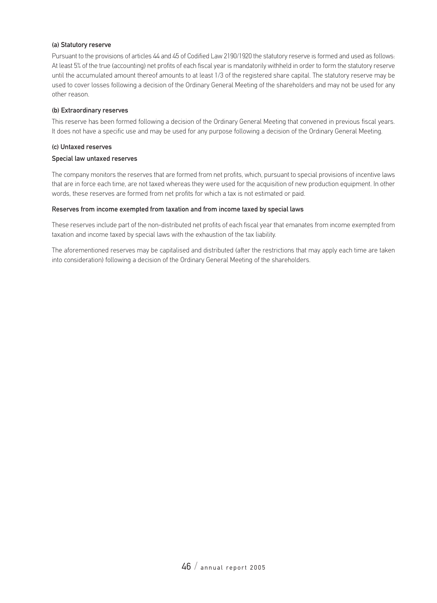#### (a) Statutory reserve

Pursuant to the provisions of articles 44 and 45 of Codified Law 2190/1920 the statutory reserve is formed and used as follows: At least 5% of the true (accounting) net profits of each fiscal year is mandatorily withheld in order to form the statutory reserve until the accumulated amount thereof amounts to at least 1/3 of the registered share capital. The statutory reserve may be used to cover losses following a decision of the Ordinary General Meeting of the shareholders and may not be used for any other reason.

#### (b) Extraordinary reserves

This reserve has been formed following a decision of the Ordinary General Meeting that convened in previous fiscal years. It does not have a specific use and may be used for any purpose following a decision of the Ordinary General Meeting.

#### (c) Untaxed reserves

#### Special law untaxed reserves

The company monitors the reserves that are formed from net profits, which, pursuant to special provisions of incentive laws that are in force each time, are not taxed whereas they were used for the acquisition of new production equipment. In other words, these reserves are formed from net profits for which a tax is not estimated or paid.

#### Reserves from income exempted from taxation and from income taxed by special laws

These reserves include part of the non-distributed net profits of each fiscal year that emanates from income exempted from taxation and income taxed by special laws with the exhaustion of the tax liability.

The aforementioned reserves may be capitalised and distributed (after the restrictions that may apply each time are taken into consideration) following a decision of the Ordinary General Meeting of the shareholders.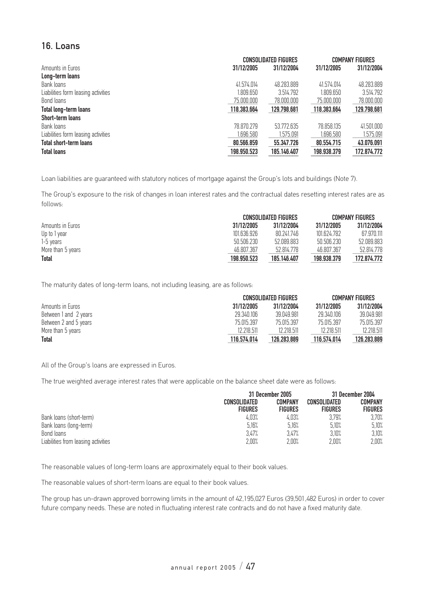## 16. Loans

| <b>CONSOLIDATED FIGURES</b>         |             |             |             | <b>COMPANY FIGURES</b> |
|-------------------------------------|-------------|-------------|-------------|------------------------|
| Amounts in Euros                    | 31/12/2005  | 31/12/2004  | 31/12/2005  | 31/12/2004             |
| Long-term loans                     |             |             |             |                        |
| Bank loans                          | 41.574.014  | 48.283.889  | 41.574.014  | 48.283.889             |
| Liabilities form leasing activities | 1.809.650   | 3.514.792   | 1.809.650   | 3.514.792              |
| Bond loans                          | 75,000,000  | 78,000,000  | 75,000,000  | 78.000.000             |
| <b>Total long-term loans</b>        | 118.383.664 | 129.798.681 | 118.383.664 | 129.798.681            |
| Short-term loans                    |             |             |             |                        |
| Bank loans                          | 78.870.279  | 53.772.635  | 78.858.135  | 41.501.000             |
| Liabilities form leasing activities | 1.696.580   | 1.575.091   | 1.696.580   | 1.575.091              |
| <b>Total short-term loans</b>       | 80.566.859  | 55.347.726  | 80.554.715  | 43.076.091             |
| <b>Total loans</b>                  | 198.950.523 | 185.146.407 | 198.938.379 | 172.874.772            |

Loan liabilities are guaranteed with statutory notices of mortgage against the Group's lots and buildings (Note 7).

The Group's exposure to the risk of changes in loan interest rates and the contractual dates resetting interest rates are as follows:

|                   | <b>CONSOLIDATED FIGURES</b> | <b>COMPANY FIGURES</b> |             |             |
|-------------------|-----------------------------|------------------------|-------------|-------------|
| Amounts in Euros  | 31/12/2005                  | 31/12/2004             | 31/12/2005  | 31/12/2004  |
| Up to 1 year      | 101.636.926                 | 80 241 746             | 101.624.782 | 67.970.111  |
| 1-5 years         | 50.506.230                  | 52.089.883             | 50.506.230  | 52.089.883  |
| More than 5 years | 46.807.367                  | 52.814.778             | 46.807.367  | 52.814.778  |
| <b>Total</b>      | 198.950.523                 | 185.146.407            | 198.938.379 | 172.874.772 |

The maturity dates of long-term loans, not including leasing, are as follows:

|                       | <b>CONSOLIDATED FIGURES</b> | <b>COMPANY FIGURES</b> |             |             |
|-----------------------|-----------------------------|------------------------|-------------|-------------|
| Amounts in Euros      | 31/12/2005                  | 31/12/2004             | 31/12/2005  | 31/12/2004  |
| Between 1 and 2 years | 29.340.106                  | 39 049 981             | 29.340.106  | 39.049.981  |
| Between 2 and 5 years | 75.015.397                  | 75 015 397             | 75.015.397  | 75.015.397  |
| More than 5 years     | 12 218 511                  | 12 218 511             | 12.218.511  | 12.218.511  |
| <b>Total</b>          | 116.574.014                 | 126,283,889            | 116,574,014 | 126,283,889 |

All of the Group's loans are expressed in Euros.

The true weighted average interest rates that were applicable on the balance sheet date were as follows:

|                                     | 31 December 2005               |                                  | 31 December 2004               |                                  |  |
|-------------------------------------|--------------------------------|----------------------------------|--------------------------------|----------------------------------|--|
|                                     | CONSOLIDATED<br><b>FIGURES</b> | <b>COMPANY</b><br><b>FIGURES</b> | CONSOLIDATED<br><b>FIGURES</b> | <b>COMPANY</b><br><b>FIGURES</b> |  |
| Bank loans (short-term)             | 4.03%                          | 4.03%                            | 3.79%                          | 3,70%                            |  |
| Bank loans (long-term)              | 5.16%                          | 5.16%                            | 5.10%                          | 5.10%                            |  |
| Bond loans                          | 3.47%                          | 3.47%                            | 3.10%                          | 3.10%                            |  |
| Liabilities from leasing activities | 2.00%                          | 2,00%                            | 2.00%                          | 2,00%                            |  |

The reasonable values of long-term loans are approximately equal to their book values.

The reasonable values of short-term loans are equal to their book values.

The group has un-drawn approved borrowing limits in the amount of 42,195,027 Euros (39,501,482 Euros) in order to cover future company needs. These are noted in fluctuating interest rate contracts and do not have a fixed maturity date.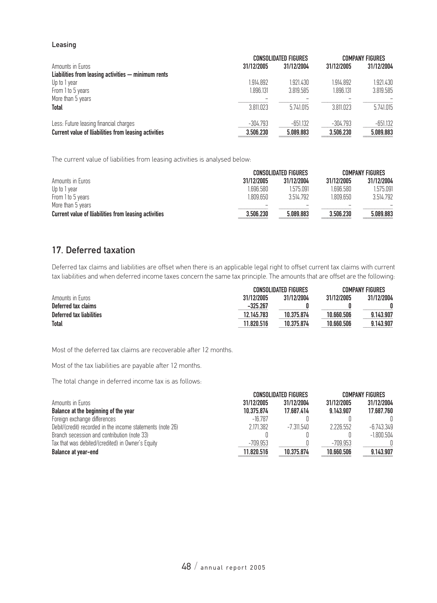#### Leasing

|                                                       | <b>CONSOLIDATED FIGURES</b> | <b>COMPANY FIGURES</b> |            |            |
|-------------------------------------------------------|-----------------------------|------------------------|------------|------------|
| Amounts in Euros                                      | 31/12/2005                  | 31/12/2004             | 31/12/2005 | 31/12/2004 |
| Liabilities from leasing activities - minimum rents   |                             |                        |            |            |
| Up to 1 year                                          | 1.914.892                   | 1.921.430              | 1.914.892  | 1.921.430  |
| From 1 to 5 years                                     | 1.896.131                   | 3 819 585              | 1.896.131  | 3.819.585  |
| More than 5 years                                     |                             |                        |            |            |
| <b>Total</b>                                          | 3.811.023                   | 5 741 015              | 3.811.023  | 5.741.015  |
| Less: Future leasing financial charges                | $-304.793$                  | -651.132               | $-304.793$ | $-651.132$ |
| Current value of Iliabilities from leasing activities | 3.506.230                   | 5.089.883              | 3.506.230  | 5.089.883  |

The current value of liabilities from leasing activities is analysed below:

|                                                              | <b>CONSOLIDATED FIGURES</b> |            | <b>COMPANY FIGURES</b> |            |
|--------------------------------------------------------------|-----------------------------|------------|------------------------|------------|
| Amounts in Euros                                             | 31/12/2005                  | 31/12/2004 | 31/12/2005             | 31/12/2004 |
| Up to 1 year                                                 | 1 696 580                   | 1.575.091  | 1 696 580              | 1.575.091  |
| From 1 to 5 years                                            | 1 809 650                   | 3 514 792  | 1 809 650              | 3.514.792  |
| More than 5 years                                            |                             |            |                        |            |
| <b>Current value of Iliabilities from leasing activities</b> | 3.506.230                   | 5.089.883  | 3.506.230              | 5.089.883  |

## 17. Deferred taxation

Deferred tax claims and liabilities are offset when there is an applicable legal right to offset current tax claims with current tax liabilities and when deferred income taxes concern the same tax principle. The amounts that are offset are the following:

|                          |            | <b>CONSOLIDATED FIGURES</b> |            | <b>COMPANY FIGURES</b> |  |
|--------------------------|------------|-----------------------------|------------|------------------------|--|
| Amounts in Euros         | 31/12/2005 | 31/12/2004                  | 31/12/2005 | 31/12/2004             |  |
| Deferred tax claims      | -325 267   |                             |            |                        |  |
| Deferred tax liabilities | 12.145.783 | 10.375.874                  | 10.660.506 | 9.143.907              |  |
| <b>Total</b>             | 11.820.516 | 10.375.874                  | 10.660.506 | 9.143.907              |  |

Most of the deferred tax claims are recoverable after 12 months.

Most of the tax liabilities are payable after 12 months.

The total change in deferred income tax is as follows:

|                                                            | <b>CONSOLIDATED FIGURES</b> |            |            | <b>COMPANY FIGURES</b> |  |
|------------------------------------------------------------|-----------------------------|------------|------------|------------------------|--|
| Amounts in Euros                                           | 31/12/2005                  | 31/12/2004 | 31/12/2005 | 31/12/2004             |  |
| Balance at the beginning of the year                       | 10.375.874                  | 17.687.414 | 9.143.907  | 17.687.760             |  |
| Foreign exchange differences                               | $-16.787$                   |            |            |                        |  |
| Debit/(credit) recorded in the income statements (note 26) | 2.171.382                   | -7 311 540 | 2226552    | -6.743.349             |  |
| Branch secession and contribution (note 33)                |                             |            |            | $-1.800.504$           |  |
| Tax that was debited/(credited) in Owner's Equity          | -709.953                    |            | $-709.953$ |                        |  |
| Balance at year-end                                        | 11.820.516                  | 10.375.874 | 10.660.506 | 9.143.907              |  |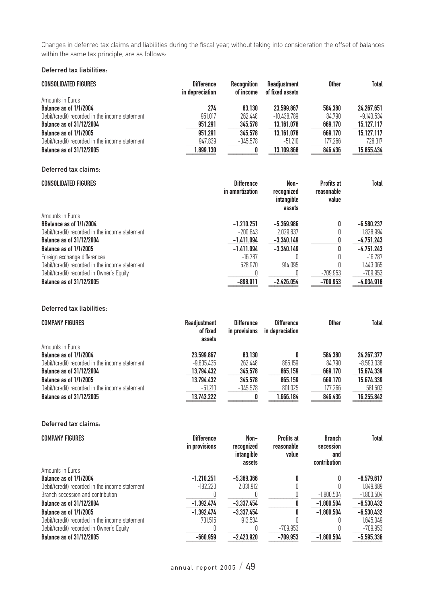Changes in deferred tax claims and liabilities during the fiscal year, without taking into consideration the offset of balances within the same tax principle, are as follows:

#### Deferred tax liabilities:

| <b>CONSOLIDATED FIGURES</b>                     | <b>Difference</b><br>in depreciation | Recognition<br>of income | Readiustment<br>of fixed assets | <b>Other</b> | <b>Total</b> |
|-------------------------------------------------|--------------------------------------|--------------------------|---------------------------------|--------------|--------------|
| Amounts in Euros                                |                                      |                          |                                 |              |              |
| Balance as of 1/1/2004                          | 274                                  | 83.130                   | 23,599,867                      | 584.380      | 24.267.651   |
| Debit/(credit) recorded in the income statement | 951.017                              | 262.448                  | $-10438789$                     | 84.790       | $-9.140.534$ |
| <b>Balance as of 31/12/2004</b>                 | 951.291                              | 345.578                  | 13.161.078                      | 669.170      | 15.127.117   |
| <b>Balance as of 1/1/2005</b>                   | 951.291                              | 345.578                  | 13.161.078                      | 669.170      | 15.127.117   |
| Debit/(credit) recorded in the income statement | 947.839                              | $-345.578$               | $-51.210$                       | 177.266      | 728.317      |
| <b>Balance as of 31/12/2005</b>                 | 1.899.130                            |                          | 13.109.868                      | 846.436      | 15.855.434   |

#### Deferred tax claims:

| <b>CONSOLIDATED FIGURES</b>                     | <b>Difference</b><br>in amortization | Non-<br>recognized<br>intangible<br>assets | <b>Profits at</b><br>reasonable<br>value | Total        |
|-------------------------------------------------|--------------------------------------|--------------------------------------------|------------------------------------------|--------------|
| Amounts in Euros                                |                                      |                                            |                                          |              |
| BBalance as of 1/1/2004                         | $-1.210.251$                         | $-5.369.986$                               |                                          | $-6.580.237$ |
| Debit/(credit) recorded in the income statement | $-200.843$                           | 2.029.837                                  |                                          | 1.828.994    |
| <b>Balance as of 31/12/2004</b>                 | $-1.411.094$                         | $-3.340.149$                               |                                          | $-4.751.243$ |
| <b>Balance as of 1/1/2005</b>                   | $-1.411.094$                         | $-3.340.149$                               |                                          | $-4.751.243$ |
| Foreign exchange differences                    | -16.787                              |                                            |                                          | -16 787      |
| Debit/(credit) recorded in the income statement | 528.970                              | 914.095                                    |                                          | 1.443.065    |
| Debit/(credit) recorded in Owner's Equity       |                                      |                                            | $-709.953$                               | $-709.953$   |
| <b>Balance as of 31/12/2005</b>                 | $-898.911$                           | $-2.426.054$                               | $-709.953$                               | $-4.034.918$ |

#### Deferred tax liabilities:

| <b>COMPANY FIGURES</b>                          | Readiustment<br>of fixed<br>assets | <b>Difference</b><br>in provisions | <b>Difference</b><br>in depreciation | <b>Other</b> | Total        |
|-------------------------------------------------|------------------------------------|------------------------------------|--------------------------------------|--------------|--------------|
| Amounts in Euros                                |                                    |                                    |                                      |              |              |
| <b>Balance as of 1/1/2004</b>                   | 23.599.867                         | 83.130                             | Λ                                    | 584.380      | 24 267 377   |
| Debit/(credit) recorded in the income statement | $-9.805.435$                       | 262.448                            | 865.159                              | 84.790       | $-8.593.038$ |
| <b>Balance as of 31/12/2004</b>                 | 13.794.432                         | 345.578                            | 865.159                              | 669.170      | 15.674.339   |
| <b>Balance as of 1/1/2005</b>                   | 13.794.432                         | 345.578                            | 865.159                              | 669.170      | 15.674.339   |
| Debit/(credit) recorded in the income statement | $-51.210$                          | -345.578                           | 801.025                              | 177.266      | 581.503      |
| <b>Balance as of 31/12/2005</b>                 | 13.743.222                         |                                    | 1.666.184                            | 846.436      | 16.255.842   |

#### Deferred tax claims:

| <b>COMPANY FIGURES</b>                          | <b>Difference</b><br>in provisions | Non-<br>recognized<br><i>intangible</i><br>assets | <b>Profits at</b><br>reasonable<br>value | <b>Branch</b><br>secession<br>and<br>contribution | <b>Total</b> |
|-------------------------------------------------|------------------------------------|---------------------------------------------------|------------------------------------------|---------------------------------------------------|--------------|
| Amounts in Euros                                |                                    |                                                   |                                          |                                                   |              |
| <b>Balance as of 1/1/2004</b>                   | $-1.210.251$                       | $-5.369.366$                                      |                                          |                                                   | $-6.579.617$ |
| Debit/(credit) recorded in the income statement | $-182.223$                         | 2.031.912                                         |                                          |                                                   | 1.849.689    |
| Branch secession and contribution               |                                    |                                                   |                                          | $-1.800.504$                                      | $-1.800.504$ |
| Balance as of 31/12/2004                        | $-1.392.474$                       | $-3.337.454$                                      |                                          | $-1.800.504$                                      | $-6.530.432$ |
| <b>Balance as of 1/1/2005</b>                   | $-1.392.474$                       | $-3.337.454$                                      | П                                        | $-1.800.504$                                      | $-6.530.432$ |
| Debit/(credit) recorded in the income statement | 731.515                            | 913.534                                           |                                          |                                                   | 1.645.049    |
| Debit/(credit) recorded in Owner's Equity       |                                    |                                                   | $-709.953$                               |                                                   | -709.953     |
| <b>Balance as of 31/12/2005</b>                 | $-660.959$                         | $-2.423.920$                                      | $-709.953$                               | $-1.800.504$                                      | $-5.595.336$ |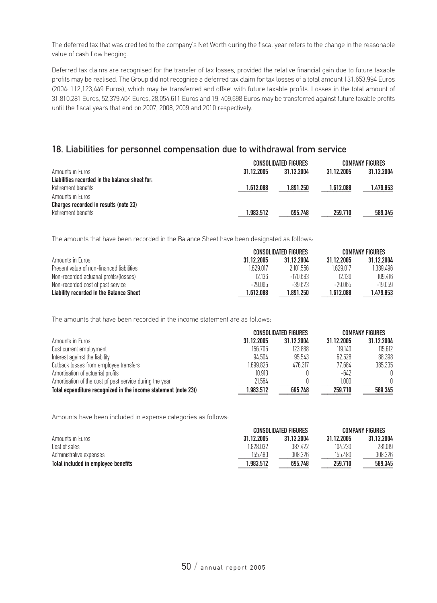The deferred tax that was credited to the company's Net Worth during the fiscal year refers to the change in the reasonable value of cash flow hedging.

Deferred tax claims are recognised for the transfer of tax losses, provided the relative financial gain due to future taxable profits may be realised. The Group did not recognise a deferred tax claim for tax losses of a total amount 131,653,994 Euros (2004: 112,123,449 Euros), which may be transferred and offset with future taxable profits. Losses in the total amount of 31,810,281 Euros, 52,379,404 Euros, 28,054,611 Euros and 19, 409,698 Euros may be transferred against future taxable profits until the fiscal years that end on 2007, 2008, 2009 and 2010 respectively.

## 18. Liabilities for personnel compensation due to withdrawal from service

|                                                | <b>CONSOLIDATED FIGURES</b> |            | <b>COMPANY FIGURES</b> |            |
|------------------------------------------------|-----------------------------|------------|------------------------|------------|
| Amounts in Euros                               | 31.12.2005                  | 31.12.2004 | 31.12.2005             | 31.12.2004 |
| Liabilities recorded in the balance sheet for. |                             |            |                        |            |
| Retirement benefits                            | 1.612.088                   | 1.891.250  | 1.612.088              | 1.479.853  |
| Amounts in Euros                               |                             |            |                        |            |
| Charges recorded in results (note 23)          |                             |            |                        |            |
| Retirement benefits                            | 1.983.512                   | 695.748    | 259.710                | 589.345    |

The amounts that have been recorded in the Balance Sheet have been designated as follows:

|                                           | CONSOLIDATED FIGURES |            | <b>COMPANY FIGURES</b> |            |
|-------------------------------------------|----------------------|------------|------------------------|------------|
| Amounts in Euros                          | 31.12.2005           | 31.12.2004 | 31.12.2005             | 31.12.2004 |
| Present value of non-financed liabilities | I 629 N17            | 2 101 556  | 1 629 017              | 1.389.496  |
| Non-recorded actuarial profits/(losses)   | 12136                | -170 683   | 12136                  | 109.416    |
| Non-recorded cost of past service         | -29 N65              | $-39623$   | -29 N65                | $-19.059$  |
| Liability recorded in the Balance Sheet   | 1.612.088            | 1.891.250  | 1.612.088              | 1.479.853  |

The amounts that have been recorded in the income statement are as follows:

| <b>CONSOLIDATED FIGURES</b>                                     |            |            |            | <b>COMPANY FIGURES</b> |
|-----------------------------------------------------------------|------------|------------|------------|------------------------|
| Amounts in Euros                                                | 31.12.2005 | 31.12.2004 | 31.12.2005 | 31.12.2004             |
| Cost current employment                                         | 156,705    | 123.888    | 119.140    | 115.612                |
| Interest against the liability                                  | 94.504     | 95.543     | 62.528     | 88.398                 |
| Cutback losses from employee transfers                          | 1.699.826  | 476.317    | 77.684     | 385.335                |
| Amortisation of actuarial profits                               | 10.913     |            | $-642$     | O.                     |
| Amortisation of the cost pf past service during the year        | 21.564     |            | 1.000      | n                      |
| Total expenditure recognized in the income statement (note 23)) | 1.983.512  | 695.748    | 259.710    | 589.345                |

Amounts have been included in expense categories as follows:

|                                     |            | CONSOLIDATED FIGURES |            | COMPANY FIGURES |  |
|-------------------------------------|------------|----------------------|------------|-----------------|--|
| Amounts in Euros                    | 31.12.2005 | 31.12.2004           | 31.12.2005 | 31.12.2004      |  |
| Cost of sales                       | 1 828 032  | 387 422              | 104.230    | 281.019         |  |
| Administrative expenses             | 155.480    | 308.326              | 155.480    | 308.326         |  |
| Total included in employee benefits | 1.983.512  | 695.748              | 259.710    | 589.345         |  |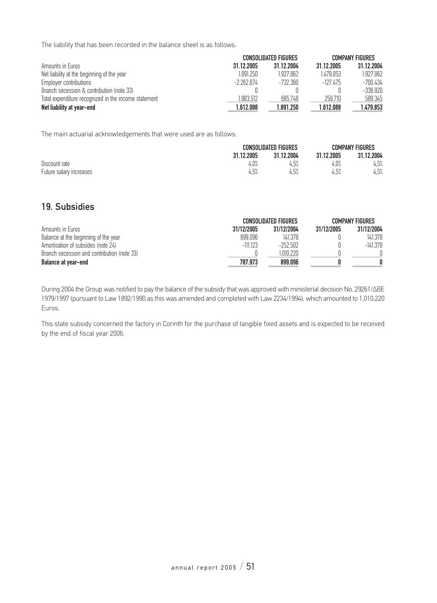The liability that has been recorded in the balance sheet is as follows:

|                                                      | <b>CONSOLIDATED FIGURES</b> | <b>COMPANY FIGURES</b> |            |            |
|------------------------------------------------------|-----------------------------|------------------------|------------|------------|
| Amounts in Euros                                     | 31.12.2005                  | 31.12.2004             | 31.12.2005 | 31.12.2004 |
| Net liability at the beginning of the year           | 1.891.250                   | 1.927.862              | 1.479.853  | 1.927.862  |
| Employer contributions                               | -2 262 674                  | -732.360               | -127 475   | -700.434   |
| Branch secession & contribution (note 33)            |                             |                        |            | $-336.920$ |
| Total expenditure recognized in the income statement | 1.983.512                   | 695.748                | 259.710    | 589.345    |
| Net liability at year-end                            | 1.612.088                   | 1.891.250              | 1.612.088  | 1.479.853  |

The main actuarial acknowledgements that were used are as follows:

|                         | <b>CONSOLIDATED FIGURES</b> |            | <b>COMPANY FIGURES</b> |            |
|-------------------------|-----------------------------|------------|------------------------|------------|
|                         | 31.12.2005                  | 31.12.2004 | 31.12.2005             | 31.12.2004 |
| Discount rate           | 4.0%                        | 4.5%       | 4.0%                   | 4,5%       |
| Future salary increases | 4,5%                        | 4.5%       | 4.5%                   | 4,5%       |

## 19. Subsidies

|                                             |            | <b>CONSOLIDATED FIGURES</b> | <b>COMPANY FIGURES</b> |            |
|---------------------------------------------|------------|-----------------------------|------------------------|------------|
| Amounts in Euros                            | 31/12/2005 | 31/12/2004                  | 31/12/2005             | 31/12/2004 |
| Balance at the beginning of the year        | 899.096    | 141 378                     |                        | 141.378    |
| Amortisation of subsides (note 24)          | $-111123$  | -252.502                    |                        | -141.378   |
| Branch secession and contribution (note 33) |            | 1 010 220                   |                        |            |
| Balance at year-end                         | 787.973    | 899.096                     |                        |            |

During 2004 the Group was notified to pay the balance of the subsidy that was approved with ministerial decision No. 29261/ΔΒΕ 1979/1997 (pursuant to Law 1892/1990 as this was amended and completed with Law 2234/1994), which amounted to 1,010,220 Euros.

This state subsidy concerned the factory in Corinth for the purchase of tangible fixed assets and is expected to be received by the end of fiscal year 2006.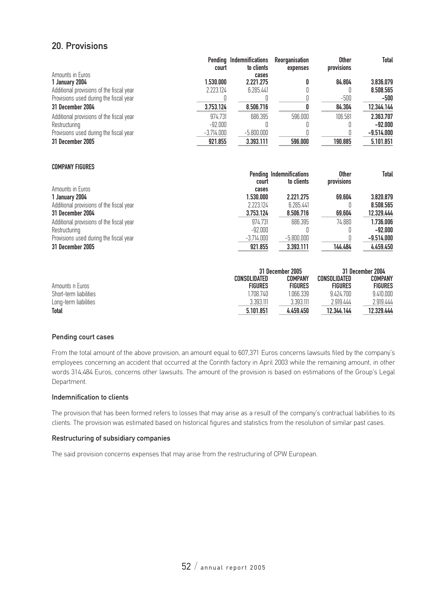## 20. Provisions

|                                          | court        | Pending Indemnifications<br>to clients | Reorganisation<br>expenses | <b>Other</b><br>provisions | Total        |
|------------------------------------------|--------------|----------------------------------------|----------------------------|----------------------------|--------------|
| Amounts in Euros                         |              | cases                                  |                            |                            |              |
| 1 January 2004                           | 1.530.000    | 2.221.275                              |                            | 84.804                     | 3.836.079    |
| Additional provisions of the fiscal year | 2.223.124    | 6.285.441                              |                            |                            | 8.508.565    |
| Provisions used during the fiscal year   |              |                                        |                            | $-500$                     | $-500$       |
| 31 December 2004                         | 3.753.124    | 8.506.716                              |                            | 84.304                     | 12.344.144   |
| Additional provisions of the fiscal year | 974.731      | 686.395                                | 596,000                    | 106.581                    | 2.363.707    |
| Restructuring                            | $-92.000$    |                                        |                            |                            | $-92.000$    |
| Provisions used during the fiscal year   | $-3.714.000$ | $-5.800.000$                           |                            |                            | $-9.514.000$ |
| 31 December 2005                         | 921.855      | 3.393.111                              | 596.000                    | 190.885                    | 5.101.851    |

#### COMPANY FIGURES

| <b>UUITANI LIUUNLU</b>                   | court        | <b>Pending Indemnifications</b><br>to clients | <b>Other</b><br>provisions | Total        |
|------------------------------------------|--------------|-----------------------------------------------|----------------------------|--------------|
| Amounts in Euros                         | cases        |                                               |                            |              |
| 1 January 2004                           | 1.530.000    | 2.221.275                                     | 69.604                     | 3.820.879    |
| Additional provisions of the fiscal year | 2.223.124    | 6.285.441                                     |                            | 8.508.565    |
| 31 December 2004                         | 3.753.124    | 8,506,716                                     | 69.604                     | 12.329.444   |
| Additional provisions of the fiscal year | 974.731      | 686.395                                       | 74.880                     | 1.736.006    |
| Restructuring                            | $-92.000$    |                                               |                            | $-92.000$    |
| Provisions used during the fiscal year   | $-3.714.000$ | $-5.800.000$                                  |                            | $-9.514.000$ |
| 31 December 2005                         | 921.855      | 3.393.111                                     | 144.484                    | 4.459.450    |

|                        | 31 December 2005 |                | 31 December 2004 |                |
|------------------------|------------------|----------------|------------------|----------------|
|                        | CONSOLIDATED     | COMPANY        | CONSOLIDATED     | COMPANY        |
| Amounts n Euros        | <b>FIGURES</b>   | <b>FIGURES</b> | <b>FIGURES</b>   | <b>FIGURES</b> |
| Short-term liabilities | .708.740         | 1.066.339      | 9 424 700        | 9.410.000      |
| Long-term liabilities  | 3.393.111        | 3.393.111      | 2.919.444        | 2.919.444      |
| <b>Total</b>           | 5.101.851        | 4.459.450      | 12.344.144       | 12.329.444     |

#### Pending court cases

From the total amount of the above provision, an amount equal to 607,371 Euros concerns lawsuits filed by the company's employees concerning an accident that occurred at the Corinth factory in April 2003 while the remaining amount, in other words 314,484 Euros, concerns other lawsuits. The amount of the provision is based on estimations of the Group's Legal Department.

#### Indemnification to clients

The provision that has been formed refers to losses that may arise as a result of the company's contractual liabilities to its clients. The provision was estimated based on historical figures and statistics from the resolution of similar past cases.

#### Restructuring of subsidiary companies

The said provision concerns expenses that may arise from the restructuring of CPW European.

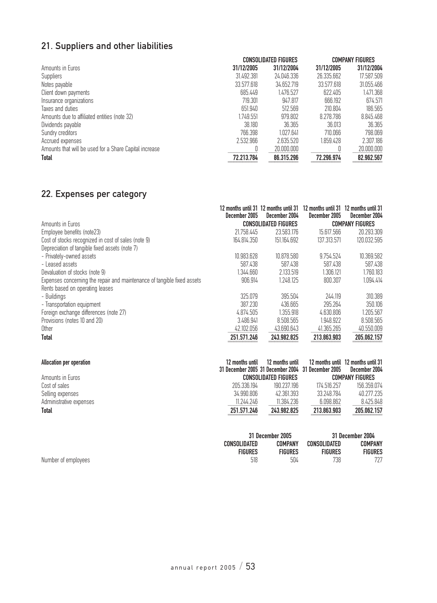## 21. Suppliers and other liabilities

|                                                        |            | <b>CONSOLIDATED FIGURES</b> |            | <b>COMPANY FIGURES</b> |
|--------------------------------------------------------|------------|-----------------------------|------------|------------------------|
| Amounts in Euros                                       | 31/12/2005 | 31/12/2004                  | 31/12/2005 | 31/12/2004             |
| Suppliers                                              | 31.492.381 | 24.046.336                  | 26.335.662 | 17.587.509             |
| Notes payable                                          | 33.577.618 | 34.652.719                  | 33.577.618 | 31.055.466             |
| Client down payments                                   | 685.449    | 1.476.527                   | 622.405    | 1.471.368              |
| Insurance organizations                                | 719.301    | 947.817                     | 666.192    | 674.571                |
| Taxes and duties                                       | 651.940    | 512.569                     | 210.804    | 186.565                |
| Amounts due to affiliated entities (note 32)           | 1.749.551  | 979.802                     | 8.278.786  | 8.845.468              |
| Dividends payable                                      | 38.180     | 36,365                      | 36.013     | 36.365                 |
| Sundry creditors                                       | 766.398    | 1.027.641                   | 710.066    | 798.069                |
| Accrued expenses                                       | 2.532.966  | 2.635.520                   | 1.859.428  | 2.307.186              |
| Amounts that will be used for a Share Capital increase |            | 20,000,000                  |            | 20.000.000             |
| <b>Total</b>                                           | 72.213.784 | 86.315.296                  | 72.296.974 | 82.962.567             |

## 22. Expenses per category

|                                                                         | December 2005 | 12 months until 31 12 months until 31<br>December 2004 | 12 months until 31<br>December 2005 | 12 months until 31<br>December 2004 |
|-------------------------------------------------------------------------|---------------|--------------------------------------------------------|-------------------------------------|-------------------------------------|
| Amounts in Euros                                                        |               | <b>CONSOLIDATED FIGURES</b>                            |                                     | <b>COMPANY FIGURES</b>              |
| Employee benefits (note23)                                              | 21.758.445    | 23.583.176                                             | 15.617.566                          | 20.293.309                          |
| Cost of stocks recognized in cost of sales (note 9)                     | 164.814.350   | 151.164.692                                            | 137.313.571                         | 120.032.595                         |
| Depreciation of tangible fixed assets (note 7)                          |               |                                                        |                                     |                                     |
| - Privately-owned assets                                                | 10.983.628    | 10.878.580                                             | 9.754.524                           | 10.369.582                          |
| - Leased assets                                                         | 587.438       | 587.438                                                | 587.438                             | 587.438                             |
| Devaluation of stocks (note 9)                                          | 1.344.660     | 2.133.519                                              | 1.306.121                           | 1.760.183                           |
| Expenses concerning the repair and maintenance of tangible fixed assets | 906.914       | 1.248.125                                              | 800.307                             | 1.094.414                           |
| Rents based on operating leases                                         |               |                                                        |                                     |                                     |
| - Buildings                                                             | 325.079       | 395.504                                                | 244.119                             | 310.389                             |
| - Transportation equipment                                              | 387.230       | 436 665                                                | 295.264                             | 350.106                             |
| Foreign exchange differences (note 27)                                  | 4.874.505     | 1.355.918                                              | 4.630.806                           | 1.205.567                           |
| Provisions (notes 10 and 20)                                            | 3.486.941     | 8.508.565                                              | 1.948.922                           | 8.508.565                           |
| Other                                                                   | 42.102.056    | 43.690.643                                             | 41.365.265                          | 40.550.009                          |
| <b>Total</b>                                                            | 251.571.246   | 243.982.825                                            | 213.863.903                         | 205.062.157                         |

| Allocation per operation | 12 months until<br>31 December 2005 31 December 2004 31 December 2005 | 12 months until             |             | 12 months until 12 months until 31<br>December 2004 |
|--------------------------|-----------------------------------------------------------------------|-----------------------------|-------------|-----------------------------------------------------|
| Amounts in Euros         |                                                                       | <b>CONSOLIDATED FIGURES</b> |             | <b>COMPANY FIGURES</b>                              |
| Cost of sales            | 205.336.194                                                           | 190.237.196                 | 174.516.257 | 156.359.074                                         |
| Selling expenses         | 34.990.806                                                            | 42 361 393                  | 33.248.784  | 40 277 235                                          |
| Administrative expenses  | 11.244.246                                                            | 11.384.236                  | 6.098.862   | 8.425.848                                           |
| <b>Total</b>             | 251.571.246                                                           | 243.982.825                 | 213.863.903 | 205.062.157                                         |
|                          |                                                                       |                             |             |                                                     |

|                     |                | 31 December 2005 | 31 December 2004 |                |  |
|---------------------|----------------|------------------|------------------|----------------|--|
|                     | CONSOLIDATED   | <b>COMPANY</b>   | CONSOLIDATED     | COMPANY        |  |
|                     | <b>FIGURES</b> | <b>FIGURES</b>   | <b>FIGURES</b>   | <b>FIGURES</b> |  |
| Number of employees | 518            | 504              | 738              | 727            |  |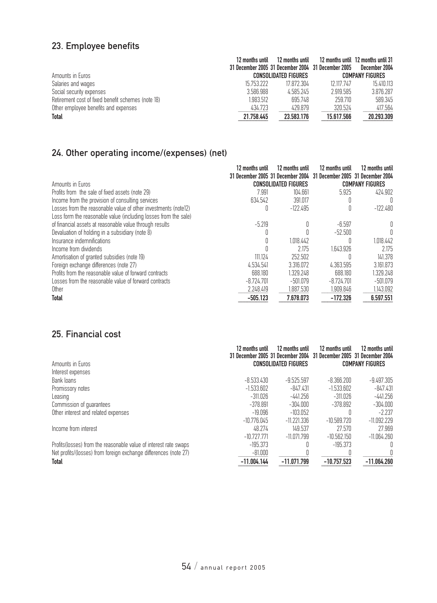## 23. Employee benefits

|                                                    | 12 months until | 12 months until             |                                                    | 12 months until 12 months until 31 |
|----------------------------------------------------|-----------------|-----------------------------|----------------------------------------------------|------------------------------------|
|                                                    |                 |                             | 31 December 2005 31 December 2004 31 December 2005 | December 2004                      |
| Amounts in Euros                                   |                 | <b>CONSOLIDATED FIGURES</b> |                                                    | <b>COMPANY FIGURES</b>             |
| Salaries and wages                                 | 15.753.222      | 17 872 304                  | 12 117 747                                         | 15.410.113                         |
| Social security expenses                           | 3.586.988       | 4.585.245                   | 2.919.585                                          | 3.876.287                          |
| Retirement cost of fixed benefit schemes (note 18) | 1.983.512       | 695.748                     | 259 710                                            | 589.345                            |
| Other employee benefits and expenses               | 434.723         | 429.879                     | 320.524                                            | 417.564                            |
| <b>Total</b>                                       | 21.758.445      | 23.583.176                  | 15.617.566                                         | 20.293.309                         |

## 24. Other operating income/(expenses) (net)

|                                                                 | 12 months until | 12 months until             | 12 months until                                                     | 12 months until        |
|-----------------------------------------------------------------|-----------------|-----------------------------|---------------------------------------------------------------------|------------------------|
|                                                                 |                 |                             | 31 December 2005 31 December 2004 31 December 2005 31 December 2004 |                        |
| Amounts in Euros                                                |                 | <b>CONSOLIDATED FIGURES</b> |                                                                     | <b>COMPANY FIGURES</b> |
| Profits from the sale of fixed assets (note 29)                 | 7.991           | 104.661                     | 5.925                                                               | 424.902                |
| Income from the provision of consulting services                | 634.542         | 391.017                     |                                                                     |                        |
| Losses from the reasonable value of other investments (note12)  |                 | $-122.495$                  |                                                                     | $-122.480$             |
| Loss form the reasonable value (including losses from the sale) |                 |                             |                                                                     |                        |
| of financial assets at reasonable value through results         | $-5.219$        |                             | $-6.597$                                                            | 0                      |
| Devaluation of holding in a subsidiary (note 8)                 |                 |                             | $-52.500$                                                           |                        |
| Insurance indemnifications                                      |                 | 1.018.442                   |                                                                     | 1.018.442              |
| Income from dividends                                           |                 | 2175                        | 1.643.926                                                           | 2.175                  |
| Amortisation of granted subsidies (note 19)                     | 111.124         | 252.502                     |                                                                     | 141.378                |
| Foreign exchange differences (note 27)                          | 4.534.541       | 3.316.072                   | 4.363.595                                                           | 3.161.873              |
| Profits from the reasonable value of forward contracts          | 688.180         | 1.329.248                   | 688.180                                                             | 1.329.248              |
| Losses from the reasonable value of forward contracts           | $-8.724.701$    | $-501.079$                  | $-8.724.701$                                                        | $-501.079$             |
| Other                                                           | 2.248.419       | 1.887.530                   | 1.909.846                                                           | 1.143.092              |
| <b>Total</b>                                                    | $-505.123$      | 7.678.073                   | $-172.326$                                                          | 6.597.551              |

## 25. Financial cost

|                                                                   | 12 months until<br>31 December 2005 31 December 2004 31 December 2005 31 December 2004 | 12 months until             | 12 months until | 12 months until        |
|-------------------------------------------------------------------|----------------------------------------------------------------------------------------|-----------------------------|-----------------|------------------------|
| Amounts in Euros                                                  |                                                                                        | <b>CONSOLIDATED FIGURES</b> |                 | <b>COMPANY FIGURES</b> |
| Interest expenses                                                 |                                                                                        |                             |                 |                        |
| Bank loans                                                        | $-8.533.430$                                                                           | $-9.525.597$                | $-8.366.200$    | $-9.497.305$           |
| Promissory notes                                                  | $-1.533.602$                                                                           | $-847.431$                  | $-1.533.602$    | -847.431               |
| Leasing                                                           | $-311.026$                                                                             | -441.256                    | $-311.026$      | -441.256               |
| Commission of guarantees                                          | $-378.891$                                                                             | $-304.000$                  | $-378.892$      | $-304.000$             |
| Other interest and related expenses                               | $-19.096$                                                                              | $-103.052$                  |                 | $-2.237$               |
|                                                                   | -10 776 045                                                                            | $-11.221.336$               | $-10.589.720$   | $-11$ 0.92 22.9        |
| Income from interest                                              | 48.274                                                                                 | 149.537                     | 27.570          | 27.969                 |
|                                                                   | $-10.727.771$                                                                          | $-11$ $071$ $799$           | $-10.562.150$   | $-11.064.260$          |
| Profits (losses) from the reasonable value of interest rate swaps | $-195.373$                                                                             |                             | $-195.373$      | 0                      |
| Net profits/(losses) from foreign exchange differences (note 27)  | $-81.000$                                                                              |                             |                 | 0                      |
| <b>Total</b>                                                      | $-11.004.144$                                                                          | $-11.071.799$               | $-10.757.523$   | $-11.064.260$          |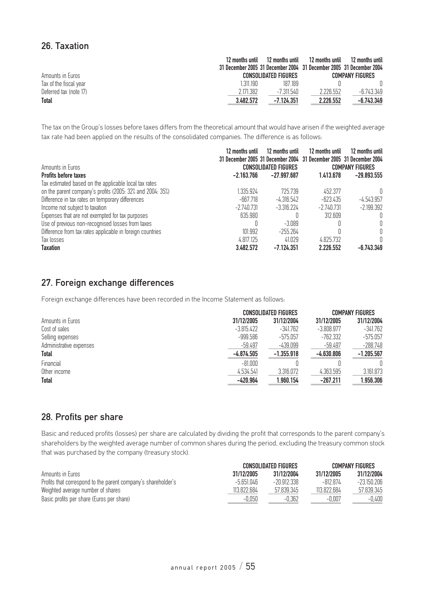## 26. Taxation

|                        | 12 months until                                                     | 12 months until             | 12 months until | 12 months until        |
|------------------------|---------------------------------------------------------------------|-----------------------------|-----------------|------------------------|
|                        | 31 December 2005 31 December 2004 31 December 2005 31 December 2004 |                             |                 |                        |
| Amounts in Euros       |                                                                     | <b>CONSOLIDATED FIGURES</b> |                 | <b>COMPANY FIGURES</b> |
| Tax of the fiscal year | 1 311 190                                                           | 187 189                     |                 |                        |
| Deferred tax (note 17) | 2.171.382                                                           | -7 311 540                  | 2.226.552       | -6.743.349             |
| <b>Total</b>           | 3.482.572                                                           | $-7.124.351$                | 2.226.552       | $-6.743.349$           |

The tax on the Group's losses before taxes differs from the theoretical amount that would have arisen if the weighted average tax rate had been applied on the results of the consolidated companies. The difference is as follows:

| Amounts in Euros                                          | 12 months until<br>31 December 2005 31 December 2004 31 December 2005 31 December 2004 | 12 months until<br><b>CONSOLIDATED FIGURES</b> | 12 months until | 12 months until<br><b>COMPANY FIGURES</b> |
|-----------------------------------------------------------|----------------------------------------------------------------------------------------|------------------------------------------------|-----------------|-------------------------------------------|
| <b>Profits before taxes</b>                               | $-2.163.766$                                                                           | $-27.997.687$                                  | 1.413.678       | $-29.893.555$                             |
| Tax estimated based on the applicable local tax rates     |                                                                                        |                                                |                 |                                           |
| on the parent company's profits (2005: 32% and 2004: 35%) | 1.335.924                                                                              | 725.739                                        | 452.377         | O.                                        |
| Difference in tax rates on temporary differences          | -667.718                                                                               | $-4.316.542$                                   | -623.435        | $-4.543.957$                              |
| Income not subject to taxation                            | -2.740.731                                                                             | $-3.316.224$                                   | -2.740.731      | $-2.199.392$                              |
| Expenses that are not exempted for tax purposes           | 635.980                                                                                |                                                | 312,609         |                                           |
| Use of previous non-recognised losses from taxes          |                                                                                        | $-3.089$                                       |                 | O.                                        |
| Difference from tax rates applicable in foreign countries | 101.992                                                                                | $-255.264$                                     |                 | n                                         |
| Tax losses                                                | 4.817.125                                                                              | 41.029                                         | 4.825.732       | U.                                        |
| <b>Taxation</b>                                           | 3.482.572                                                                              | $-7.124.351$                                   | 2.226.552       | $-6.743.349$                              |

## 27. Foreign exchange differences

Foreign exchange differences have been recorded in the Income Statement as follows:

|                         | <b>CONSOLIDATED FIGURES</b> |              |              | <b>COMPANY FIGURES</b> |  |
|-------------------------|-----------------------------|--------------|--------------|------------------------|--|
| Amounts in Euros        | 31/12/2005                  | 31/12/2004   | 31/12/2005   | 31/12/2004             |  |
| Cost of sales           | $-3.815.422$                | $-341.762$   | $-3.808.977$ | $-341.762$             |  |
| Selling expenses        | $-999.586$                  | -575.057     | -762.332     | $-575.057$             |  |
| Administrative expenses | $-59.497$                   | $-439.099$   | $-59.497$    | $-288.748$             |  |
| <b>Total</b>            | $-4.874.505$                | $-1.355.918$ | $-4.630.806$ | $-1.205.567$           |  |
| Financial               | $-81.000$                   |              |              |                        |  |
| Other income            | 4.534.541                   | 3.316.072    | 4.363.595    | 3.161.873              |  |
| <b>Total</b>            | $-420.964$                  | 1.960.154    | $-267.211$   | 1.956.306              |  |

## 28. Profits per share

Basic and reduced profits (losses) per share are calculated by dividing the profit that corresponds to the parent company's shareholders by the weighted average number of common shares during the period, excluding the treasury common stock that was purchased by the company (treasury stock).

|                                                               |             | <b>CONSOLIDATED FIGURES</b> |             | COMPANY FIGURES |
|---------------------------------------------------------------|-------------|-----------------------------|-------------|-----------------|
| Amounts in Euros                                              | 31/12/2005  | 31/12/2004                  | 31/12/2005  | 31/12/2004      |
| Profits that correspond to the parent company's shareholder's | -5 651 046  | $-20.912.338$               | -812 874    | -23.150.206     |
| Weighted average number of shares                             | 113.822.684 | 57 839 345                  | 113.822.684 | 57.839.345      |
| Basic profits per share (Euros per share)                     | -0.050      | -0.362                      | -0.007      | $-0.400$        |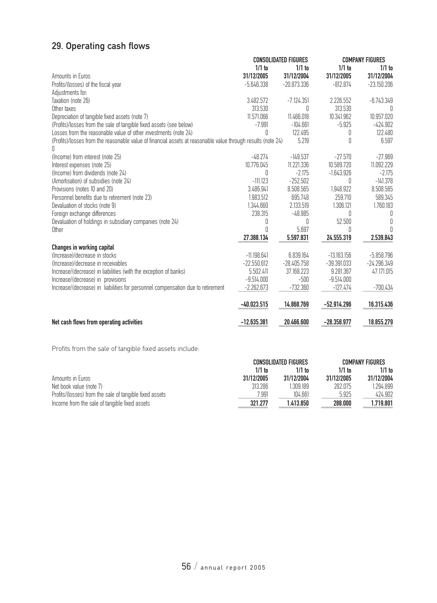## 29. Operating cash flows

|                                                                                                              |               | <b>CONSOLIDATED FIGURES</b> |               | <b>COMPANY FIGURES</b> |
|--------------------------------------------------------------------------------------------------------------|---------------|-----------------------------|---------------|------------------------|
|                                                                                                              | $1/1$ to      | $1/1$ to                    | $1/1$ to      | $1/1$ to               |
| Amounts in Euros                                                                                             | 31/12/2005    | 31/12/2004                  | 31/12/2005    | 31/12/2004             |
| Profits/(losses) of the fiscal year                                                                          | $-5.646.338$  | $-20.873.336$               | $-812.874$    | $-23.150.206$          |
| Adjustments for:                                                                                             |               |                             |               |                        |
| Taxation (note 26)                                                                                           | 3.482.572     | $-7.124.351$                | 2.226.552     | $-6.743.349$           |
| Other taxes                                                                                                  | 313.530       | 0                           | 313.530       | 0                      |
| Depreciation of tangible fixed assets (note 7)                                                               | 11.571.066    | 11.466.018                  | 10.341.962    | 10.957.020             |
| (Profits)/losses from the sale of tangible fixed assets (see below)                                          | $-7.991$      | $-104.661$                  | $-5.925$      | $-424.902$             |
| Losses from the reasonable value of other investments (note 24)                                              | Λ             | 122.495                     | 0             | 122.480                |
| (Profits)/losses from the reasonable value of financial assets at reasonable value through results (note 24) |               | 5.219                       | $\sqrt{ }$    | 6.597                  |
| (Income) from interest (note 25)                                                                             | $-48.274$     | $-149.537$                  | $-27.570$     | $-27.969$              |
| Interest expenses (note 25)                                                                                  | 10.776.045    | 11.221.336                  | 10.589.720    | 11.092.229             |
| (Income) from dividends (note 24)                                                                            | 0             | $-2.175$                    | $-1.643.926$  | $-2.175$               |
| (Amortisation) of subsidies (note 24)                                                                        | $-111.123$    | $-252.502$                  | 0             | $-141.378$             |
| Provisions (notes 10 and 20)                                                                                 | 3.486.941     | 8.508.565                   | 1.948.922     | 8.508.565              |
| Personnel benefits due to retirement (note 23)                                                               | 1.983.512     | 695.748                     | 259.710       | 589.345                |
| Devaluation of stocks (note 9)                                                                               | 1.344.660     | 2.133.519                   | 1.306.121     | 1.760.183              |
| Foreign exchange differences                                                                                 | 238.315       | $-48.985$                   | Ŋ             | O                      |
| Devaluation of holdings in subsidiary companies (note 24)                                                    | 0             | 0                           | 52.500        | 0                      |
| Other                                                                                                        | N             | 5.697                       | 0             | n                      |
|                                                                                                              | 27.388.134    | 5.597.831                   | 24.555.319    | 2.539.843              |
| <b>Changes in working capital</b>                                                                            |               |                             |               |                        |
| (Increase)/decrease in stocks                                                                                | $-11.198.641$ | 6.839.164                   | $-13.163.156$ | $-5.858.796$           |
| (Increase)/decrease in receivables                                                                           | $-22.550.612$ | $-28.405.758$               | $-39.391.033$ | $-24.296.349$          |
| Increase/(decrease) in liabilities (with the exception of banks)                                             | 5.502.411     | 37.168.223                  | 9.281.367     | 47.171.015             |
| Increase/(decrease) in provisions                                                                            | $-9.514.000$  | $-500$                      | $-9.514.000$  |                        |
| Increase/(decrease) in liabilities for personnel compensation due to retirement                              | $-2.262.673$  | $-732.360$                  | $-127.474$    | $-700.434$             |
|                                                                                                              | $-40.023.515$ | 14.868.769                  | $-52.914.296$ | 16.315.436             |
| Net cash flows from operating activities                                                                     | $-12.635.381$ | 20.466.600                  | $-28.358.977$ | 18.855.279             |

Profits from the sale of tangible fixed assets include:

|                                                         |            | <b>CONSOLIDATED FIGURES</b> |            | <b>COMPANY FIGURES</b> |  |
|---------------------------------------------------------|------------|-----------------------------|------------|------------------------|--|
|                                                         | $1/1$ to   | 1/1 tn                      | $1/1$ to   | $1/1$ to               |  |
| Amounts in Euros                                        | 31/12/2005 | 31/12/2004                  | 31/12/2005 | 31/12/2004             |  |
| Net book value (note 7)                                 | 313.286    | 309 189                     | 282.075    | 1.294.899              |  |
| Profits/(losses) from the sale of tangible fixed assets | 7.991      | 104.661                     | 5.925      | 424.902                |  |
| Income from the sale of tangible fixed assets           | 321.277    | 1.413.850                   | 288.000    | 1.719.801              |  |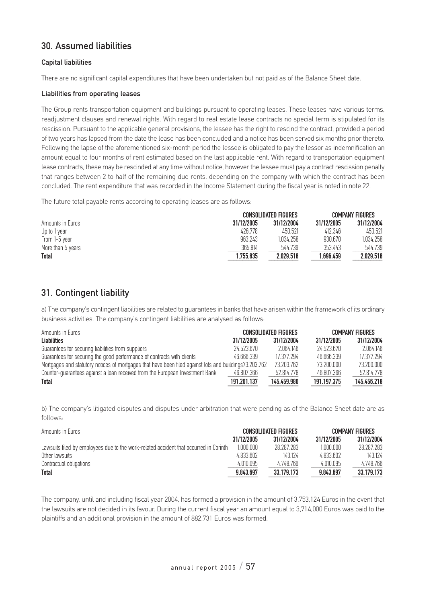## 30. Assumed liabilities

#### Capital liabilities

There are no significant capital expenditures that have been undertaken but not paid as of the Balance Sheet date.

#### Liabilities from operating leases

The Group rents transportation equipment and buildings pursuant to operating leases. These leases have various terms, readjustment clauses and renewal rights. With regard to real estate lease contracts no special term is stipulated for its rescission. Pursuant to the applicable general provisions, the lessee has the right to rescind the contract, provided a period of two years has lapsed from the date the lease has been concluded and a notice has been served six months prior thereto. Following the lapse of the aforementioned six-month period the lessee is obligated to pay the lessor as indemnification an amount equal to four months of rent estimated based on the last applicable rent. With regard to transportation equipment lease contracts, these may be rescinded at any time without notice, however the lessee must pay a contract rescission penalty that ranges between 2 to half of the remaining due rents, depending on the company with which the contract has been concluded. The rent expenditure that was recorded in the Income Statement during the fiscal year is noted in note 22.

The future total payable rents according to operating leases are as follows:

|                   | <b>CONSOLIDATED FIGURES</b> |            | <b>COMPANY FIGURES</b> |            |
|-------------------|-----------------------------|------------|------------------------|------------|
| Amounts in Euros  | 31/12/2005                  | 31/12/2004 | 31/12/2005             | 31/12/2004 |
| Up to 1 year      | 426.778                     | 450.521    | 412.346                | 450.521    |
| From 1-5 year     | 963.243                     | 1.034.258  | 930.670                | 1.034.258  |
| More than 5 years | 365.814                     | 544.739    | 353.443                | 544.739    |
| <b>Total</b>      | 1.755.835                   | 2.029.518  | 1.696.459              | 2.029.518  |

## 31. Contingent liability

a) The company's contingent liabilities are related to guarantees in banks that have arisen within the framework of its ordinary business activities. The company's contingent liabilities are analysed as follows:

| Amounts in Euros                                                                                       |             | <b>CONSOLIDATED FIGURES</b> |             | <b>COMPANY FIGURES</b> |
|--------------------------------------------------------------------------------------------------------|-------------|-----------------------------|-------------|------------------------|
| <b>Liabilities</b>                                                                                     | 31/12/2005  | 31/12/2004                  | 31/12/2005  | 31/12/2004             |
| Guarantees for securing liabilities from suppliers                                                     | 24 523 670  | 2 በ64 146                   | 24 523 670  | 2 በ64 146              |
| Guarantees for securing the good performance of contracts with clients                                 | 46.666.339  | 17 377 294                  | 46 666 339  | 17 377 294             |
| Mortgages and statutory notices of mortgages that have been filed against lots and buildings73.203.762 |             | 73 203 762                  | 73 200 000  | 73 200 000             |
| Counter-guarantees against a loan received from the European Investment Bank                           | 46.807.366  | 52.814.778                  | 46.807.366  | 52.814.778             |
| <b>Total</b>                                                                                           | 191.201.137 | 145.459.980                 | 191.197.375 | 145.456.218            |

b) The company's litigated disputes and disputes under arbitration that were pending as of the Balance Sheet date are as follows:

| Amounts in Euros                                                                      |            | CONSOLIDATED FIGURES |            | <b>COMPANY FIGURES</b> |
|---------------------------------------------------------------------------------------|------------|----------------------|------------|------------------------|
|                                                                                       | 31/12/2005 | 31/12/2004           | 31/12/2005 | 31/12/2004             |
| Lawsuits filed by employees due to the work-related accident that occurred in Corinth | 1.000.000  | 28 287 283           | 1 NUU UUU  | 28.287.283             |
| Other lawsuits                                                                        | 4 833 602  | 143 124              | 4 833 602  | 143 124                |
| Contractual obligations                                                               | 4.010.095  | 4 748 766            | 4.010.095  | 4.748.766              |
| <b>Total</b>                                                                          | 9.843.697  | 33.179.173           | 9.843.697  | 33.179.173             |

The company, until and including fiscal year 2004, has formed a provision in the amount of 3,753,124 Euros in the event that the lawsuits are not decided in its favour. During the current fiscal year an amount equal to 3,714,000 Euros was paid to the plaintiffs and an additional provision in the amount of 882,731 Euros was formed.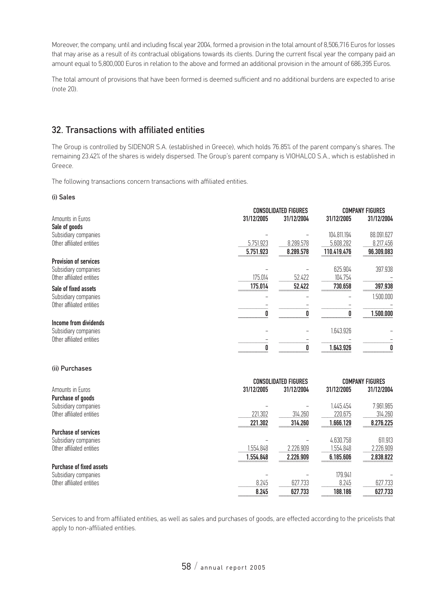Moreover, the company, until and including fiscal year 2004, formed a provision in the total amount of 8,506,716 Euros for losses that may arise as a result of its contractual obligations towards its clients. During the current fiscal year the company paid an amount equal to 5,800,000 Euros in relation to the above and formed an additional provision in the amount of 686,395 Euros.

The total amount of provisions that have been formed is deemed sufficient and no additional burdens are expected to arise (note 20).

## 32. Transactions with affiliated entities

The Group is controlled by SIDENOR S.A. (established in Greece), which holds 76.85% of the parent company's shares. The remaining 23.42% of the shares is widely dispersed. The Group's parent company is VIOHALCO S.A., which is established in Greece.

The following transactions concern transactions with affiliated entities.

(i) Sales

| Amounts in Euros                                                   | 31/12/2005         | <b>CONSOLIDATED FIGURES</b><br>31/12/2004 | 31/12/2005               | <b>COMPANY FIGURES</b><br>31/12/2004 |
|--------------------------------------------------------------------|--------------------|-------------------------------------------|--------------------------|--------------------------------------|
| Sale of goods<br>Subsidiary companies<br>Other affiliated entities | 5.751.923          | 8.289.578                                 | 104.811.194<br>5.608.282 | 88.091.627<br>8.217.456              |
| <b>Provision of services</b><br>Subsidiary companies               | 5.751.923          | 8.289.578                                 | 110.419.476<br>625.904   | 96.309.083<br>397.938                |
| Other affiliated entities<br>Sale of fixed assets                  | 175.014<br>175.014 | 52.422<br>52.422                          | 104.754<br>730.658       | 397.938                              |
| Subsidiary companies<br>Other affiliated entities                  |                    |                                           |                          | 1.500.000                            |
|                                                                    |                    |                                           |                          | 1.500.000                            |
| Income from dividends<br>Subsidiary companies                      |                    |                                           | 1.643.926                |                                      |
| Other affiliated entities                                          |                    |                                           | 1.643.926                | O                                    |

#### (ii) Purchases

|                                 | <b>CONSOLIDATED FIGURES</b> |            | <b>COMPANY FIGURES</b> |            |
|---------------------------------|-----------------------------|------------|------------------------|------------|
| Amounts in Euros                | 31/12/2005                  | 31/12/2004 | 31/12/2005             | 31/12/2004 |
| <b>Purchase of goods</b>        |                             |            |                        |            |
| Subsidiary companies            |                             |            | 1.445.454              | 7.961.965  |
| Other affiliated entities       | 221.302                     | 314.260    | 220.675                | 314.260    |
|                                 | 221.302                     | 314.260    | 1.666.129              | 8.276.225  |
| <b>Purchase of services</b>     |                             |            |                        |            |
| Subsidiary companies            |                             |            | 4.630.758              | 611.913    |
| Other affiliated entities       | 1.554.848                   | 2.226.909  | 1.554.848              | 2.226.909  |
|                                 | 1.554.848                   | 2.226.909  | 6.185.606              | 2.838.822  |
| <b>Purchase of fixed assets</b> |                             |            |                        |            |
| Subsidiary companies            |                             |            | 179.941                |            |
| Other affiliated entities       | 8.245                       | 627.733    | 8.245                  | 627.733    |
|                                 | 8.245                       | 627.733    | 188.186                | 627.733    |

Services to and from affiliated entities, as well as sales and purchases of goods, are effected according to the pricelists that apply to non-affiliated entities.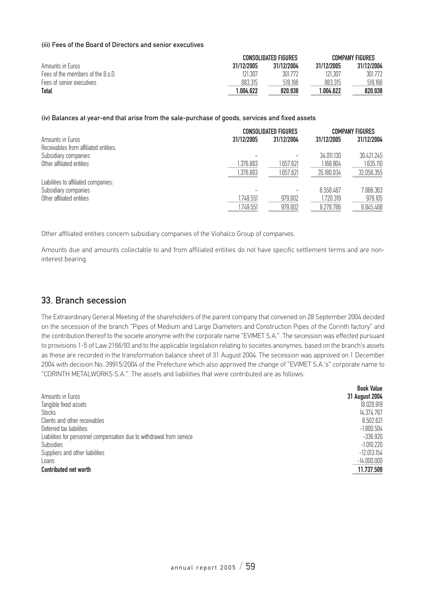#### (iii) Fees of the Board of Directors and senior executives

|                                   | CONSOLIDATED FIGURES | <b>COMPANY FIGURES</b> |            |            |
|-----------------------------------|----------------------|------------------------|------------|------------|
| Amounts in Euros                  | 31/12/2005           | 31/12/2004             | 31/12/2005 | 31/12/2004 |
| Fees of the members of the B.o.D. | 121.307              | 301772                 | 121.307    | 301.772    |
| Fees of senior executives         | 883.315              | 519166                 | 883.315    | 519.166    |
| <b>Total</b>                      | 1.004.622            | 820.938                | .004.622   | 820.938    |

#### (iv) Balances at year-end that arise from the sale-purchase of goods, services and fixed assets

|                                       | <b>CONSOLIDATED FIGURES</b> |            | <b>COMPANY FIGURES</b> |            |
|---------------------------------------|-----------------------------|------------|------------------------|------------|
| Amounts in Euros                      | 31/12/2005                  | 31/12/2004 | 31/12/2005             | 31/12/2004 |
| Receivables from affiliated entities. |                             |            |                        |            |
| Subsidiary companies                  |                             |            | 34.011.130             | 30.421.245 |
| Other affiliated entities             | 1.376.883                   | 1.657.621  | 1.168.904              | 1.635.110  |
|                                       | 1.376.883                   | 1.657.621  | 35.180.034             | 32.056.355 |
| Liabilities to affiliated companies.  |                             |            |                        |            |
| Subsidiary companies                  |                             |            | 6.558.467              | 7.866.363  |
| Other affiliated entities             | 1.749.551                   | 979.802    | 1.720.319              | 979.105    |
|                                       | 1749551                     | 979.802    | 8.278.786              | 8.845.468  |

Other affiliated entities concern subsidiary companies of the Viohalco Group of companies.

Amounts due and amounts collectable to and from affiliated entities do not have specific settlement terms and are noninterest bearing.

### 33. Branch secession

The Extraordinary General Meeting of the shareholders of the parent company that convened on 28 September 2004 decided on the secession of the branch "Pipes of Medium and Large Diameters and Construction Pipes of the Corinth factory" and the contribution thereof to the societe anonyme with the corporate name "EVIMET S.A.". The secession was effected pursuant to provisions 1-5 of Law 2166/93 and to the applicable legislation relating to societes anonymes, based on the branch's assets as these are recorded in the transformation balance sheet of 31 August 2004. The secession was approved on 1 December 2004 with decision No. 39915/2004 of the Prefecture which also approved the change of "EVIMET S.A.'s" corporate name to "CORINTH METALWORKS S.A.". The assets and liabilities that were contributed are as follows:

|                                                                       | <b>Book Value</b> |
|-----------------------------------------------------------------------|-------------------|
| Amounts in Euros                                                      | 31 August 2004    |
| Tangible fixed assets                                                 | 18.020.919        |
| <b>Stocks</b>                                                         | 14.374.767        |
| Clients and other receivables                                         | 8.502.621         |
| Deferred tax liabilities                                              | $-1.800.504$      |
| Liabilities for personnel compensation due to withdrawal from service | $-336.920$        |
| Subsidies                                                             | $-1.010.220$      |
| Suppliers and other liabilities                                       | $-12.013.154$     |
| Loans                                                                 | $-14.000.000$     |
| <b>Contributed net worth</b>                                          | 11.737.509        |
|                                                                       |                   |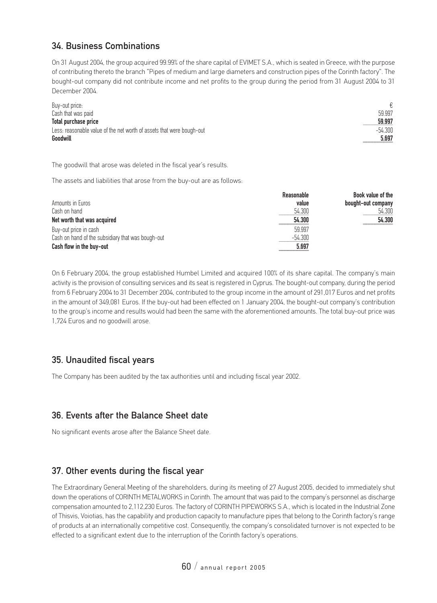## 34. Business Combinations

On 31 August 2004, the group acquired 99.99% of the share capital of EVIMET S.A., which is seated in Greece, with the purpose of contributing thereto the branch "Pipes of medium and large diameters and construction pipes of the Corinth factory". The bought-out company did not contribute income and net profits to the group during the period from 31 August 2004 to 31 December 2004.

| Buy-out price:                                                        |           |
|-----------------------------------------------------------------------|-----------|
| Cash that was paid                                                    | 59.997    |
| Total purchase price                                                  | 59.997    |
| Less: reasonable value of the net worth of assets that were bough-out | $-54.300$ |
| Goodwill                                                              | 5.697     |

The goodwill that arose was deleted in the fiscal year's results.

The assets and liabilities that arose from the buy-out are as follows:

|                                                   | Reasonable | Book value of the  |
|---------------------------------------------------|------------|--------------------|
| Amounts in Euros                                  | value      | bought-out company |
| Cash on hand                                      | 54.300     | 54.300             |
| Net worth that was acquired                       | 54.300     | 54.300             |
| Buy-out price in cash                             | 59.997     |                    |
| Cash on hand of the subsidiary that was bough-out | $-54.300$  |                    |
| Cash flow in the buy-out                          | 5.697      |                    |

On 6 February 2004, the group established Humbel Limited and acquired 100% of its share capital. The company's main activity is the provision of consulting services and its seat is registered in Cyprus. The bought-out company, during the period from 6 February 2004 to 31 December 2004, contributed to the group income in the amount of 291,017 Euros and net profits in the amount of 349,081 Euros. If the buy-out had been effected on 1 January 2004, the bought-out company's contribution to the group's income and results would had been the same with the aforementioned amounts. The total buy-out price was 1,724 Euros and no goodwill arose.

## 35. Unaudited fiscal years

The Company has been audited by the tax authorities until and including fiscal year 2002.

## 36. Events after the Balance Sheet date

No significant events arose after the Balance Sheet date.

### 37. Other events during the fiscal year

The Extraordinary General Meeting of the shareholders, during its meeting of 27 August 2005, decided to immediately shut down the operations of CORINTH METALWORKS in Corinth. The amount that was paid to the company's personnel as discharge compensation amounted to 2,112,230 Euros. The factory of CORINTH PIPEWORKS S.A., which is located in the Industrial Zone of Thisvis, Voiotias, has the capability and production capacity to manufacture pipes that belong to the Corinth factory's range of products at an internationally competitive cost. Consequently, the company's consolidated turnover is not expected to be effected to a significant extent due to the interruption of the Corinth factory's operations.

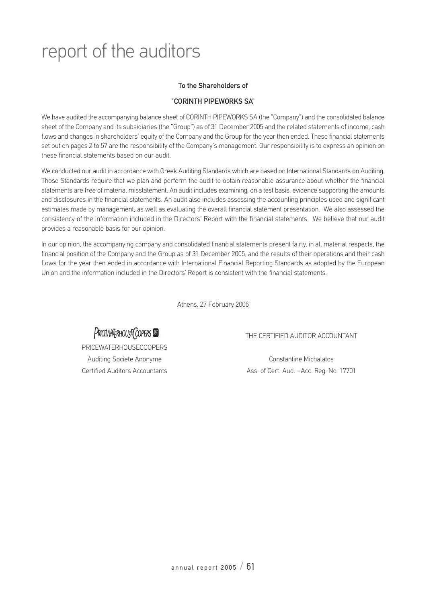# report of the auditors

#### To the Shareholders of

#### "CORINTH PIPEWORKS SA"

We have audited the accompanying balance sheet of CORINTH PIPEWORKS SA (the "Company") and the consolidated balance sheet of the Company and its subsidiaries (the "Group") as of 31 December 2005 and the related statements of income, cash flows and changes in shareholders' equity of the Company and the Group for the year then ended. These financial statements set out on pages 2 to 57 are the responsibility of the Company's management. Our responsibility is to express an opinion on these financial statements based on our audit.

We conducted our audit in accordance with Greek Auditing Standards which are based on International Standards on Auditing. Those Standards require that we plan and perform the audit to obtain reasonable assurance about whether the financial statements are free of material misstatement. An audit includes examining, on a test basis, evidence supporting the amounts and disclosures in the financial statements. An audit also includes assessing the accounting principles used and significant estimates made by management, as well as evaluating the overall financial statement presentation. We also assessed the consistency of the information included in the Directors' Report with the financial statements. We believe that our audit provides a reasonable basis for our opinion.

In our opinion, the accompanying company and consolidated financial statements present fairly, in all material respects, the financial position of the Company and the Group as of 31 December 2005, and the results of their operations and their cash flows for the year then ended in accordance with International Financial Reporting Standards as adopted by the European Union and the information included in the Directors' Report is consistent with the financial statements.

Athens, 27 February 2006



PRICEWATERHOUSECOOPERS

THE CERTIFIED AUDITOR ACCOUNTANT

Auditing Societe Anonyme **Constantine Michalatos** Certified Auditors Accountants Ass. of Cert. Aud. –Acc. Reg. No. 17701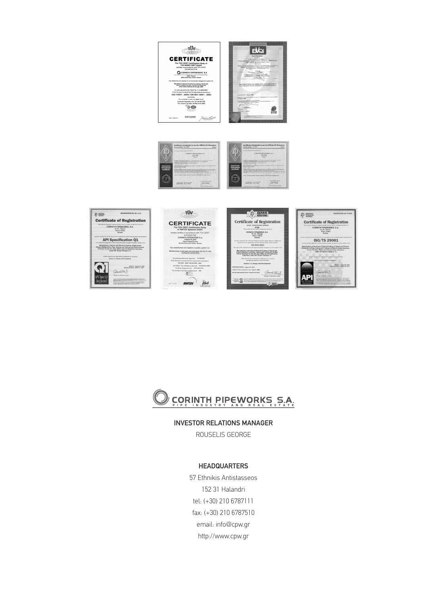







ф

America<br>Petroleu

 $\widehat{\odot}$ 

 $\langle \hat{\Phi} \rangle$  and  $\langle \hat{\Phi} \rangle$ Certificate of Registration APIQR' REGISTRATION INTH PIPEWORKS, S.A.<br>VI. Po. Thisvis<br>Thisvi, Violta<br>Greece www.<br>Social Athdres Inches<br>150 9001:2000 Manutacture, Internal and External Coating of Spiral and<br>Electric Welded Line Pipe, Casing and Tubing and Rolled<br>Hollow Sections for the Oil, Gas, Water and Construction<br>Industries under IAT Scope Category 17 a, aos<br>a any 31, aon'ny departementan'i Charles Charles<br>annonca ao amin'ny departementan'i Charles  $\equiv 3.5$ 





INVESTOR RELATIONS MANAGER

ROUSELIS GEORGE

#### **HEADQUARTERS**

57 Ethnikis Antistasseos 152 31 Halandri tel: (+30) 210 6787111 fax: (+30) 210 6787510 email: info@cpw.gr http://www.cpw.gr